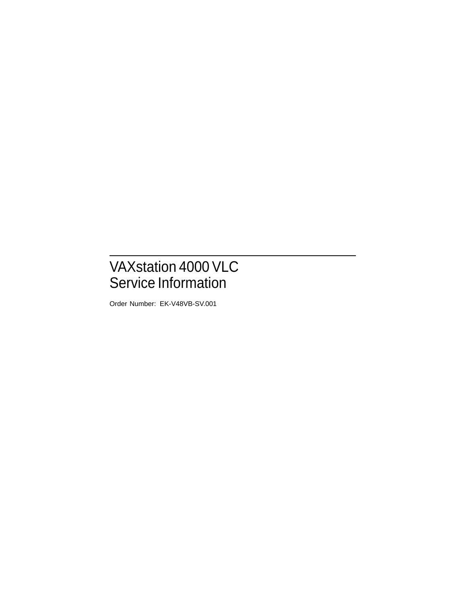# VAXstation 4000 VLC Service Information

Order Number: EK-V48VB-SV.001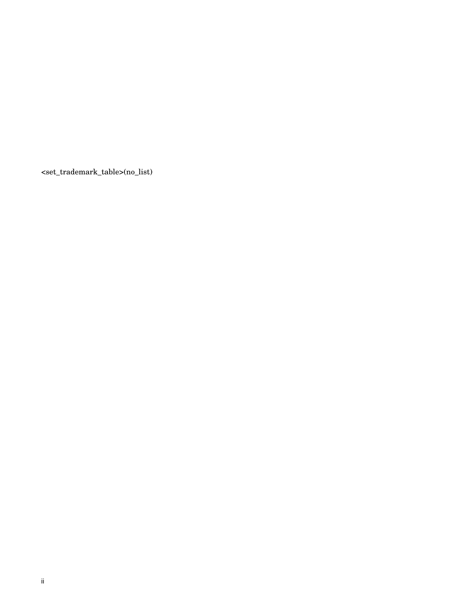<set\_trademark\_table>(no\_list)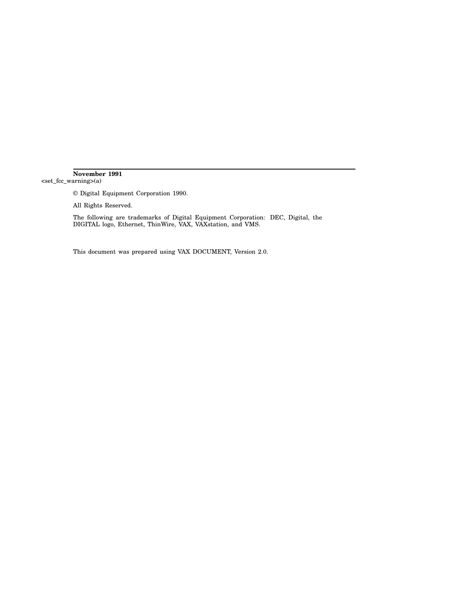#### **November 1991** <set\_fcc\_warning>(a)

© Digital Equipment Corporation 1990.

All Rights Reserved.

The following are trademarks of Digital Equipment Corporation: DEC, Digital, the DIGITAL logo, Ethernet, ThinWire, VAX, VAXstation, and VMS.

This document was prepared using VAX DOCUMENT, Version 2.0.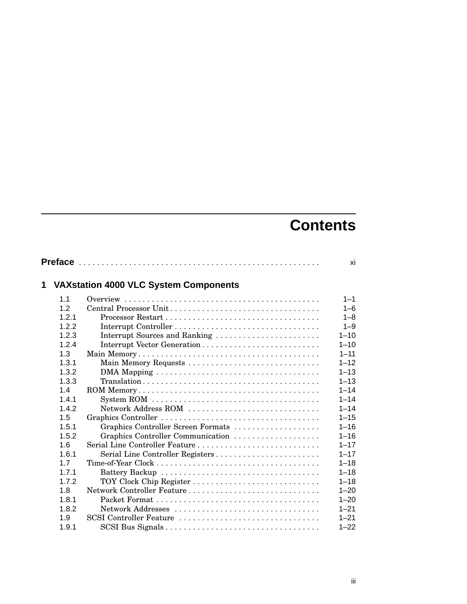# **Contents**

|   |       |                                              | xi       |
|---|-------|----------------------------------------------|----------|
| 1 |       | <b>VAXstation 4000 VLC System Components</b> |          |
|   | 1.1   |                                              | $1 - 1$  |
|   | 12    | Central Processor Unit                       | $1 - 6$  |
|   | 1.2.1 |                                              | $1 - 8$  |
|   | 1.2.2 |                                              | $1 - 9$  |
|   | 1.2.3 | Interrupt Sources and Ranking                | $1 - 10$ |
|   | 1.2.4 | Interrupt Vector Generation                  | $1 - 10$ |
|   | 1.3   |                                              | $1 - 11$ |
|   | 1.3.1 | Main Memory Requests                         | $1 - 12$ |
|   | 1.3.2 |                                              | $1 - 13$ |
|   | 1.3.3 |                                              | $1 - 13$ |
|   | 1.4   |                                              | $1 - 14$ |
|   | 1.4.1 |                                              | $1 - 14$ |
|   | 1.4.2 | Network Address ROM                          | $1 - 14$ |
|   | 1.5   |                                              | $1 - 15$ |
|   | 1.5.1 | Graphics Controller Screen Formats           | $1 - 16$ |
|   | 1.5.2 | Graphics Controller Communication            | $1 - 16$ |
|   | 1.6   |                                              | $1 - 17$ |
|   | 1.6.1 | Serial Line Controller Registers             | $1 - 17$ |
|   | 1.7   |                                              | $1 - 18$ |
|   | 1.7.1 |                                              | $1 - 18$ |
|   | 1.7.2 | TOY Clock Chip Register                      | $1 - 18$ |
|   | 1.8   | Network Controller Feature                   | $1 - 20$ |
|   | 1.8.1 |                                              | $1 - 20$ |
|   | 1.8.2 |                                              | $1 - 21$ |
|   | 1.9   | SCSI Controller Feature                      | $1 - 21$ |
|   | 1.9.1 |                                              | $1 - 22$ |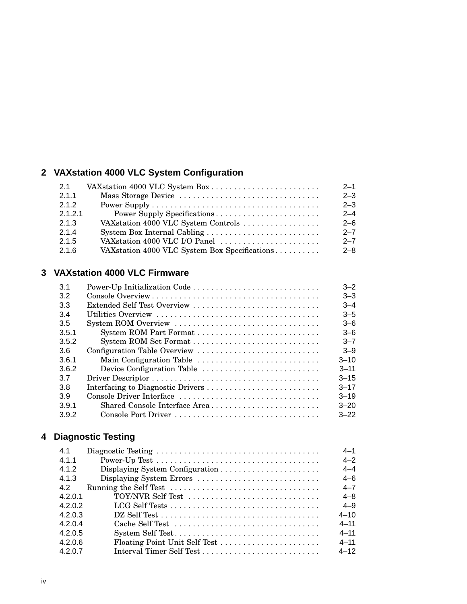# **2 VAXstation 4000 VLC System Configuration**

| 2.1     | VAX station 4000 VLC System Box                | $2 - 1$ |
|---------|------------------------------------------------|---------|
| 2.1.1   |                                                | $2 - 3$ |
| 2.1.2   |                                                | $2 - 3$ |
| 2.1.2.1 |                                                | $2 - 4$ |
| 2.1.3   | VAX station 4000 VLC System Controls           | $2 - 6$ |
| 2.1.4   |                                                | $2 - 7$ |
| 2.1.5   | VAX station 4000 VLC I/O Panel                 | $2 - 7$ |
| 2.1.6   | VAX station 4000 VLC System Box Specifications | $2 - 8$ |

## **3 VAXstation 4000 VLC Firmware**

|                               | $3 - 2$                  |
|-------------------------------|--------------------------|
|                               | $3 - 3$                  |
| Extended Self Test Overview   | $3 - 4$                  |
|                               | $3 - 5$                  |
|                               | $3 - 6$                  |
|                               | $3 - 6$                  |
|                               | $3 - 7$                  |
| Configuration Table Overview  | $3 - 9$                  |
|                               | $3 - 10$                 |
| Device Configuration Table    | $3 - 11$                 |
|                               | $3 - 15$                 |
|                               | $3 - 17$                 |
| Console Driver Interface      | $3 - 19$                 |
| Shared Console Interface Area | $3 - 20$                 |
|                               | $3 - 22$                 |
|                               | Main Configuration Table |

# **4 Diagnostic Testing**

| 4.1     |                                                                                     | $4 - 1$  |
|---------|-------------------------------------------------------------------------------------|----------|
| 4.1.1   |                                                                                     | $4 - 2$  |
| 4.1.2   |                                                                                     | $4 - 4$  |
| 4.1.3   | Displaying System Errors                                                            | $4 - 6$  |
| 42      | Running the Self Test $\dots \dots \dots \dots \dots \dots \dots \dots \dots \dots$ | $4 - 7$  |
| 4.2.0.1 | TOY/NVR Self Test                                                                   | $4 - 8$  |
| 4202    |                                                                                     | $4 - 9$  |
| 4203    |                                                                                     | $4 - 10$ |
| 4.2.0.4 | Cache Self Test                                                                     | $4 - 11$ |
| 4.2.0.5 | System Self Test                                                                    | $4 - 11$ |
| 4.2.0.6 | Floating Point Unit Self Test                                                       | $4 - 11$ |
| 4.2.0.7 |                                                                                     | $4 - 12$ |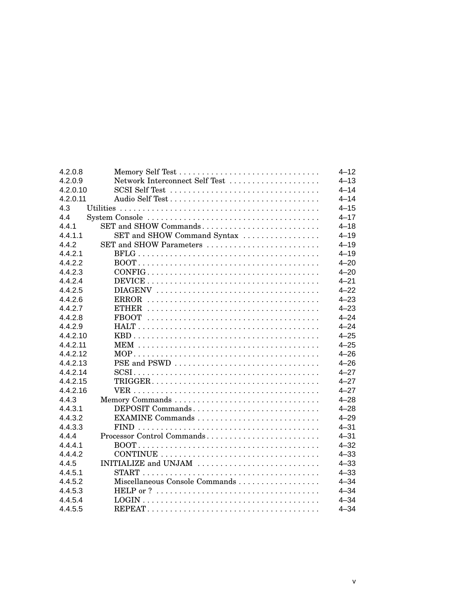| 4.2.0.8  |                                                                                              | $4 - 12$ |
|----------|----------------------------------------------------------------------------------------------|----------|
| 4.2.0.9  | Network Interconnect Self Test                                                               | $4 - 13$ |
| 4.2.0.10 |                                                                                              | $4 - 14$ |
| 4.2.0.11 |                                                                                              | $4 - 14$ |
| 4.3      |                                                                                              | $4 - 15$ |
| 4.4      |                                                                                              | $4 - 17$ |
| 4.4.1    | SET and SHOW Commands                                                                        | $4 - 18$ |
| 4.4.1.1  | SET and SHOW Command Syntax                                                                  | $4 - 19$ |
| 4.4.2    | SET and SHOW Parameters                                                                      | $4 - 19$ |
| 4.4.2.1  |                                                                                              | $4 - 19$ |
| 4.4.2.2  |                                                                                              | $4 - 20$ |
| 4.4.2.3  | $CONFIG \dots \dots \dots \dots \dots \dots \dots \dots \dots \dots \dots \dots \dots \dots$ | $4 - 20$ |
| 4.4.2.4  |                                                                                              | $4 - 21$ |
| 4.4.2.5  |                                                                                              | $4 - 22$ |
| 4.4.2.6  |                                                                                              | $4 - 23$ |
| 4.4.2.7  |                                                                                              | $4 - 23$ |
| 4.4.2.8  |                                                                                              | $4 - 24$ |
| 4.4.2.9  |                                                                                              | $4 - 24$ |
| 4.4.2.10 |                                                                                              | $4 - 25$ |
| 4.4.2.11 |                                                                                              | $4 - 25$ |
| 4.4.2.12 |                                                                                              | $4 - 26$ |
| 4.4.2.13 | PSE and PSWD                                                                                 | $4 - 26$ |
| 4.4.2.14 |                                                                                              | $4 - 27$ |
| 4.4.2.15 |                                                                                              | $4 - 27$ |
| 4.4.2.16 |                                                                                              | $4 - 27$ |
| 4.4.3    |                                                                                              | $4 - 28$ |
| 4.4.3.1  | DEPOSIT Commands                                                                             | $4 - 28$ |
| 4.4.3.2  |                                                                                              | $4 - 29$ |
| 4.4.3.3  |                                                                                              | $4 - 31$ |
| 4.4.4    | Processor Control Commands                                                                   | $4 - 31$ |
| 4.4.4.1  |                                                                                              | $4 - 32$ |
| 4.4.4.2  |                                                                                              | $4 - 33$ |
| 4.4.5    | INITIALIZE and UNJAM                                                                         | $4 - 33$ |
| 4.4.5.1  |                                                                                              | $4 - 33$ |
| 4.4.5.2  | Miscellaneous Console Commands                                                               | $4 - 34$ |
| 4.4.5.3  |                                                                                              | $4 - 34$ |
| 4.4.5.4  |                                                                                              | $4 - 34$ |
| 4.4.5.5  |                                                                                              | $4 - 34$ |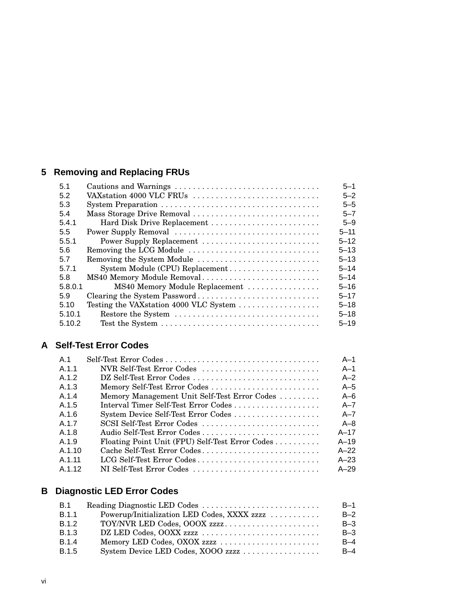# **5 Removing and Replacing FRUs**

| 5.1     | Cautions and Warnings                  | $5 - 1$  |
|---------|----------------------------------------|----------|
| 5.2     | VAXstation 4000 VLC FRUs               | $5 - 2$  |
| 5.3     |                                        | $5 - 5$  |
| 5.4     | Mass Storage Drive Removal             | $5 - 7$  |
| 5.4.1   | Hard Disk Drive Replacement            | $5 - 9$  |
| 5.5     | Power Supply Removal                   | $5 - 11$ |
| 5.5.1   | Power Supply Replacement               | $5 - 12$ |
| 5.6     | Removing the LCG Module                | $5 - 13$ |
| 5.7     | Removing the System Module             | $5 - 13$ |
| 5.7.1   |                                        | $5 - 14$ |
| 5.8     | MS40 Memory Module Removal             | $5 - 14$ |
| 5.8.0.1 | MS40 Memory Module Replacement         | $5 - 16$ |
| 5.9     | Clearing the System Password           | $5 - 17$ |
| 5.10    | Testing the VAXstation 4000 VLC System | $5 - 18$ |
| 5.10.1  |                                        | $5 - 18$ |
| 5.10.2  |                                        | $5 - 19$ |

# **A Self-Test Error Codes**

| A <sub>1</sub> |                                                 | $A-1$    |
|----------------|-------------------------------------------------|----------|
| A.1.1          | NVR Self-Test Error Codes                       | $A-1$    |
| A.1.2          | DZ Self-Test Error Codes                        | $A - 2$  |
| A.1.3          | Memory Self-Test Error Codes                    | $A-5$    |
| A.1.4          | Memory Management Unit Self-Test Error Codes    | A $-6$   |
| A.1.5          |                                                 | $A - 7$  |
| A.1.6          | System Device Self-Test Error Codes             | $A - 7$  |
| A.1.7          | SCSI Self-Test Error Codes                      | $A - 8$  |
| A.1.8          |                                                 | $A-17$   |
| A.1.9          | Floating Point Unit (FPU) Self-Test Error Codes | $A - 19$ |
| A.1.10         | Cache Self-Test Error Codes                     | $A-22$   |
| A 1 11         | LCG Self-Test Error Codes                       | $A - 23$ |
| A.1.12         | NI Self-Test Error Codes                        | $A - 29$ |

# **B Diagnostic LED Error Codes**

| <b>B.1</b>   |                                             | B-1   |
|--------------|---------------------------------------------|-------|
| <b>B.1.1</b> | Powerup/Initialization LED Codes, XXXX zzzz | $B-2$ |
| <b>B.1.2</b> | TOY/NVR LED Codes, OOOX zzzz                | $B-3$ |
| <b>B.1.3</b> |                                             | $B-3$ |
| <b>B.1.4</b> |                                             | $B-4$ |
| <b>B.1.5</b> |                                             | $B-4$ |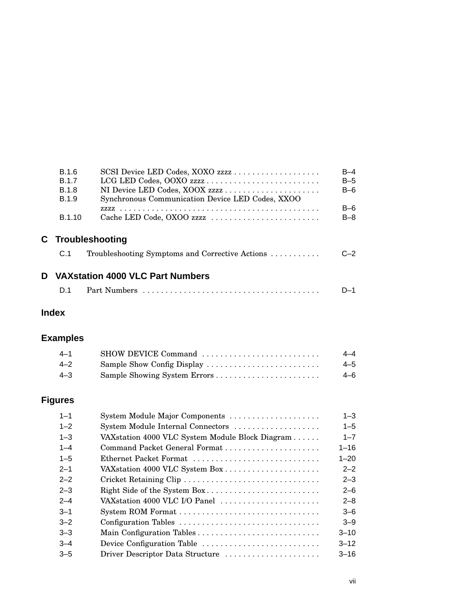| <b>B.1.6</b>  |                                                  | $B-4$   |
|---------------|--------------------------------------------------|---------|
| <b>B.1.7</b>  |                                                  | $B-5$   |
| <b>B.1.8</b>  |                                                  | $B-6$   |
| <b>B.1.9</b>  | Synchronous Communication Device LED Codes, XXOO |         |
|               |                                                  | $B-6$   |
| <b>B.1.10</b> | Cache LED Code, OXOO zzzz                        | $B - 8$ |
|               |                                                  |         |
|               | C Troubleshooting                                |         |
| C.1           | Troubleshooting Symptoms and Corrective Actions  | C—2     |
|               |                                                  |         |
|               | D VAX station 4000 VLC Part Numbers              |         |
|               |                                                  |         |
| D 1           |                                                  | D–1     |
|               |                                                  |         |

# **Index**

# **Examples**

| $4 - 1$ | SHOW DEVICE Command | 4–4     |
|---------|---------------------|---------|
| $4 - 2$ |                     | $4 - 5$ |
| -4–3    |                     | 4–6     |

# **Figures**

| $1 - 1$ | System Module Major Components                  | $1 - 3$  |
|---------|-------------------------------------------------|----------|
| $1 - 2$ | System Module Internal Connectors               | $1 - 5$  |
| $1 - 3$ | VAXstation 4000 VLC System Module Block Diagram | $1 - 7$  |
| $1 - 4$ |                                                 | $1 - 16$ |
| $1 - 5$ | Ethernet Packet Format                          | $1 - 20$ |
| $2 - 1$ | VAX station 4000 VLC System Box                 | $2 - 2$  |
| $2 - 2$ | Cricket Retaining Clip                          | $2 - 3$  |
| $2 - 3$ | Right Side of the System Box                    | $2 - 6$  |
| $2 - 4$ | VAX station 4000 VLC I/O Panel                  | $2 - 8$  |
| $3 - 1$ |                                                 | $3-6$    |
| $3 - 2$ |                                                 | $3 - 9$  |
| $3 - 3$ |                                                 | $3 - 10$ |
| $-3-4$  | Device Configuration Table                      | $3 - 12$ |
| $3 - 5$ | Driver Descriptor Data Structure                | $3 - 16$ |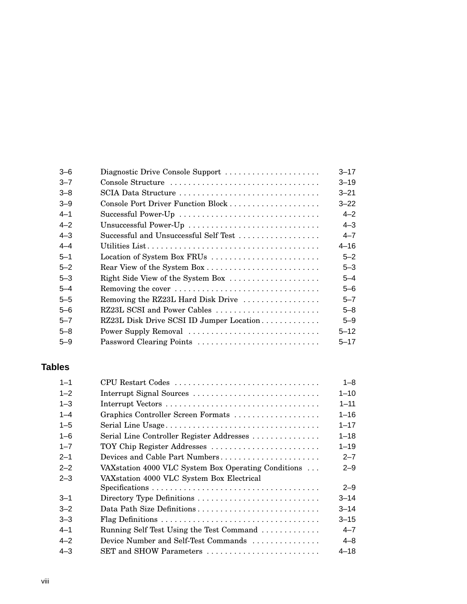| $3 - 6$ | Diagnostic Drive Console Support         | $3 - 17$ |
|---------|------------------------------------------|----------|
| $3 - 7$ | Console Structure                        | $3 - 19$ |
| $3 - 8$ | SCIA Data Structure                      | $3 - 21$ |
| $3 - 9$ | Console Port Driver Function Block       | $3 - 22$ |
| $4 - 1$ | Successful Power-Up                      | $4 - 2$  |
| $4 - 2$ | Unsuccessful Power-Up                    | $4 - 3$  |
| $4 - 3$ | Successful and Unsuccessful Self Test    | $4 - 7$  |
| $4 - 4$ |                                          | $4 - 16$ |
| $5 - 1$ | Location of System Box FRUs              | $5 - 2$  |
| $5 - 2$ |                                          | $5 - 3$  |
| $5 - 3$ | Right Side View of the System Box        | $5 - 4$  |
| $5 - 4$ | Removing the cover                       | $5 - 6$  |
| $5 - 5$ | Removing the RZ23L Hard Disk Drive       | $5 - 7$  |
| $5 - 6$ | RZ23L SCSI and Power Cables              | 5–8      |
| $5 - 7$ | RZ23L Disk Drive SCSI ID Jumper Location | $5 - 9$  |
| $5 - 8$ | Power Supply Removal                     | $5 - 12$ |
| $5 - 9$ | Password Clearing Points                 | $5 - 17$ |
|         |                                          |          |

# **Tables**

| CPU Restart Codes                                    | $1 - 8$  |
|------------------------------------------------------|----------|
| Interrupt Signal Sources                             | $1 - 10$ |
|                                                      | $1 - 11$ |
| Graphics Controller Screen Formats                   | $1 - 16$ |
|                                                      | $1 - 17$ |
| Serial Line Controller Register Addresses            | $1 - 18$ |
| TOY Chip Register Addresses                          | $1 - 19$ |
| Devices and Cable Part Numbers                       | $2 - 7$  |
| VAX station 4000 VLC System Box Operating Conditions | $2 - 9$  |
| VAXstation 4000 VLC System Box Electrical            |          |
|                                                      | $2 - 9$  |
| Directory Type Definitions                           | $3 - 14$ |
|                                                      | $3 - 14$ |
|                                                      | $3 - 15$ |
| Running Self Test Using the Test Command             | $4 - 7$  |
| Device Number and Self-Test Commands                 | $4 - 8$  |
| SET and SHOW Parameters                              | $4 - 18$ |
|                                                      |          |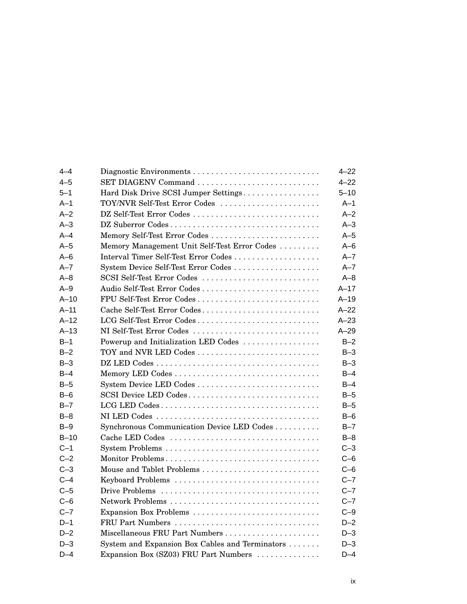| $4 - 4$ | Diagnostic Environments                         | $4 - 22$ |
|---------|-------------------------------------------------|----------|
| $4 - 5$ |                                                 | $4 - 22$ |
| $5 - 1$ | Hard Disk Drive SCSI Jumper Settings            | $5 - 10$ |
| $A-1$   | TOY/NVR Self-Test Error Codes                   | $A-1$    |
| $A-2$   | DZ Self-Test Error Codes                        | $A-2$    |
| $A-3$   | DZ Suberror Codes                               | $A-3$    |
| $A - 4$ |                                                 | $A-5$    |
| $A-5$   | Memory Management Unit Self-Test Error Codes    | $A - 6$  |
| $A-6$   | Interval Timer Self-Test Error Codes            | $A - 7$  |
| $A - 7$ | System Device Self-Test Error Codes             | $A - 7$  |
| $A - 8$ | SCSI Self-Test Error Codes                      | $A - 8$  |
| $A-9$   | Audio Self-Test Error Codes                     | $A-17$   |
| $A-10$  | FPU Self-Test Error Codes                       | $A-19$   |
| $A-11$  | Cache Self-Test Error Codes                     | $A-22$   |
| $A-12$  | LCG Self-Test Error Codes                       | $A - 23$ |
| $A-13$  | NI Self-Test Error Codes                        | $A-29$   |
| $B-1$   | Powerup and Initialization LED Codes            | $B-2$    |
| $B-2$   |                                                 | $B-3$    |
| $B-3$   |                                                 | $B-3$    |
| $B-4$   |                                                 | $B-4$    |
| $B-5$   | System Device LED Codes                         | $B-4$    |
| $B-6$   | SCSI Device LED Codes                           | $B-5$    |
| $B - 7$ | LCG LED Codes                                   | $B-5$    |
| $B-8$   |                                                 | $B-6$    |
| $B-9$   | Synchronous Communication Device LED Codes      | $B-7$    |
| $B-10$  | Cache LED Codes                                 | $B-8$    |
| $C-1$   |                                                 | $C-3$    |
| $C-2$   | Monitor Problems                                | $C-6$    |
| $C-3$   |                                                 | $C-6$    |
| $C-4$   | Keyboard Problems                               | $C-7$    |
| $C-5$   |                                                 | $C - 7$  |
| $C-6$   | Network Problems                                | $C - 7$  |
| $C - 7$ | Expansion Box Problems                          | $C-9$    |
| $D-1$   | FRU Part Numbers                                | $D-2$    |
| $D-2$   | Miscellaneous FRU Part Numbers                  | $D-3$    |
| $D-3$   | System and Expansion Box Cables and Terminators | $D-3$    |
| $D-4$   | Expansion Box (SZ03) FRU Part Numbers           | $D-4$    |
|         |                                                 |          |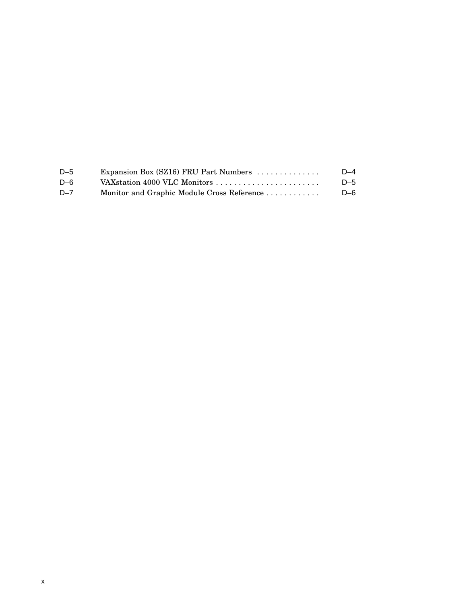| $D-5$   | Expansion Box (SZ16) FRU Part Numbers $\dots\dots\dots\dots$ | $D-4$ |
|---------|--------------------------------------------------------------|-------|
| $D-6$   | VAX station 4000 VLC Monitors                                | $D-5$ |
| $D - 7$ | Monitor and Graphic Module Cross Reference                   | $D-6$ |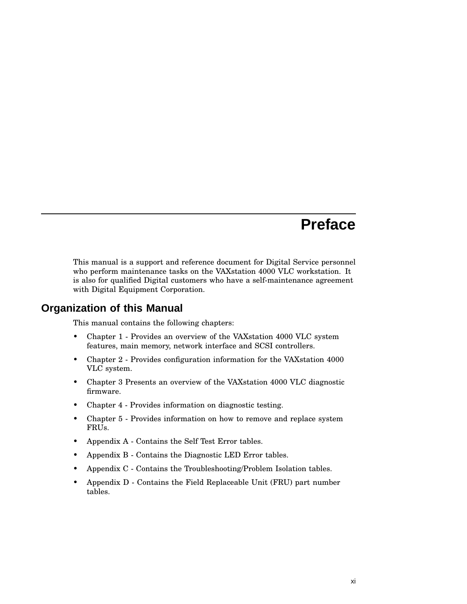# **Preface**

This manual is a support and reference document for Digital Service personnel who perform maintenance tasks on the VAXstation 4000 VLC workstation. It is also for qualified Digital customers who have a self-maintenance agreement with Digital Equipment Corporation.

## **Organization of this Manual**

This manual contains the following chapters:

- Chapter 1 Provides an overview of the VAXstation 4000 VLC system features, main memory, network interface and SCSI controllers.
- Chapter 2 Provides configuration information for the VAXstation 4000 VLC system.
- Chapter 3 Presents an overview of the VAXstation 4000 VLC diagnostic firmware.
- Chapter 4 Provides information on diagnostic testing.
- Chapter 5 Provides information on how to remove and replace system FRUs.
- Appendix A Contains the Self Test Error tables.
- Appendix B Contains the Diagnostic LED Error tables.
- Appendix C Contains the Troubleshooting/Problem Isolation tables.
- Appendix D Contains the Field Replaceable Unit (FRU) part number tables.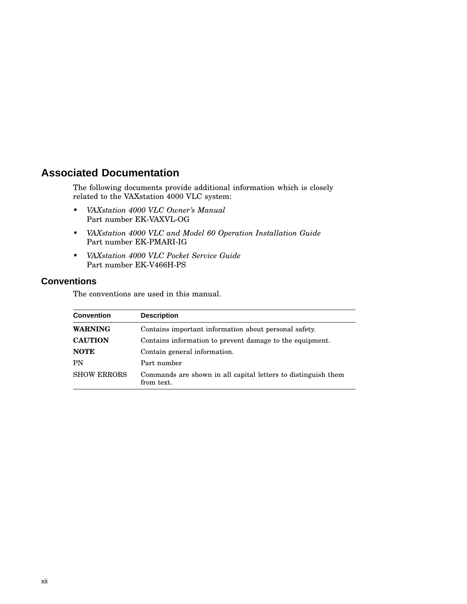# **Associated Documentation**

The following documents provide additional information which is closely related to the VAXstation 4000 VLC system:

- *VAXstation 4000 VLC Owner's Manual* Part number EK-VAXVL-OG
- *VAXstation 4000 VLC and Model 60 Operation Installation Guide* Part number EK-PMARI-IG
- *VAXstation 4000 VLC Pocket Service Guide* Part number EK-V466H-PS

#### **Conventions**

The conventions are used in this manual.

| <b>Convention</b>  | <b>Description</b>                                                          |
|--------------------|-----------------------------------------------------------------------------|
| WARNING            | Contains important information about personal safety.                       |
| <b>CAUTION</b>     | Contains information to prevent damage to the equipment.                    |
| <b>NOTE</b>        | Contain general information.                                                |
| PN                 | Part number                                                                 |
| <b>SHOW ERRORS</b> | Commands are shown in all capital letters to distinguish them<br>from text. |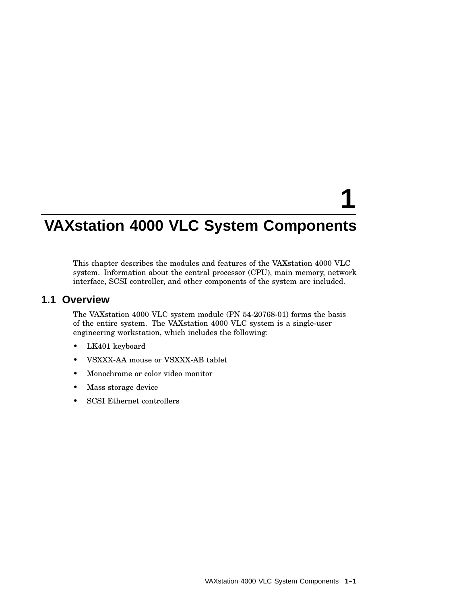# **1**

# **VAXstation 4000 VLC System Components**

This chapter describes the modules and features of the VAXstation 4000 VLC system. Information about the central processor (CPU), main memory, network interface, SCSI controller, and other components of the system are included.

#### **1.1 Overview**

The VAXstation 4000 VLC system module (PN 54-20768-01) forms the basis of the entire system. The VAXstation 4000 VLC system is a single-user engineering workstation, which includes the following:

- LK401 keyboard
- VSXXX-AA mouse or VSXXX-AB tablet
- Monochrome or color video monitor
- Mass storage device
- SCSI Ethernet controllers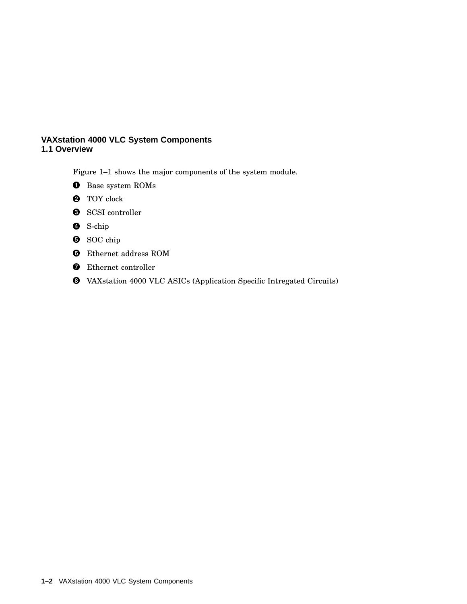Figure 1–1 shows the major components of the system module.

- **O** Base system ROMs
- **2** TOY clock
- **8** SCSI controller
- **O** S-chip
- $\bullet$  SOC chip
- Ethernet address ROM
- **O** Ethernet controller
- VAXstation 4000 VLC ASICs (Application Specific Intregated Circuits)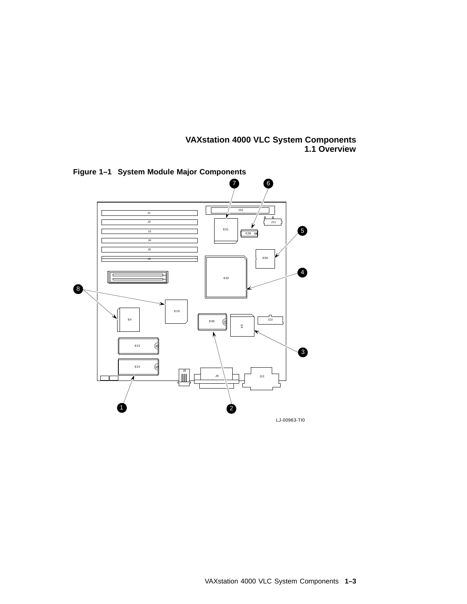

**Figure 1–1 System Module Major Components**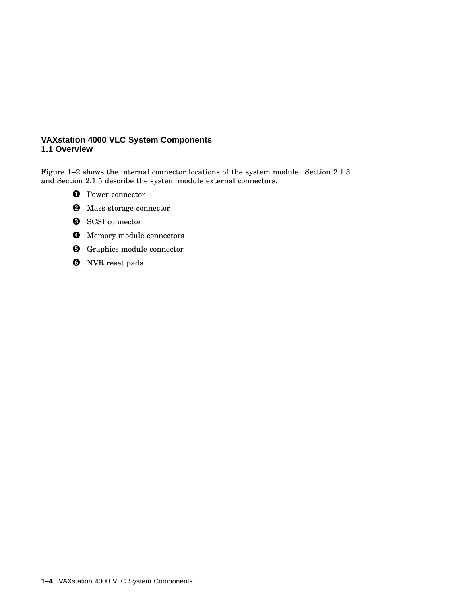Figure 1–2 shows the internal connector locations of the system module. Section 2.1.3 and Section 2.1.5 describe the system module external connectors.

- **O** Power connector
- **2** Mass storage connector
- **8** SCSI connector
- **4** Memory module connectors
- **O** Graphics module connector
- **O** NVR reset pads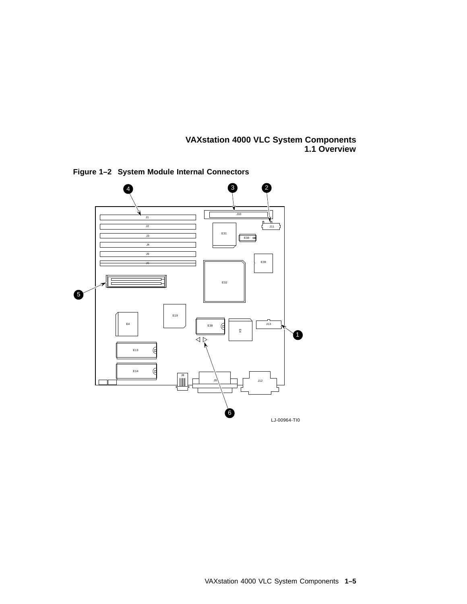

**Figure 1–2 System Module Internal Connectors**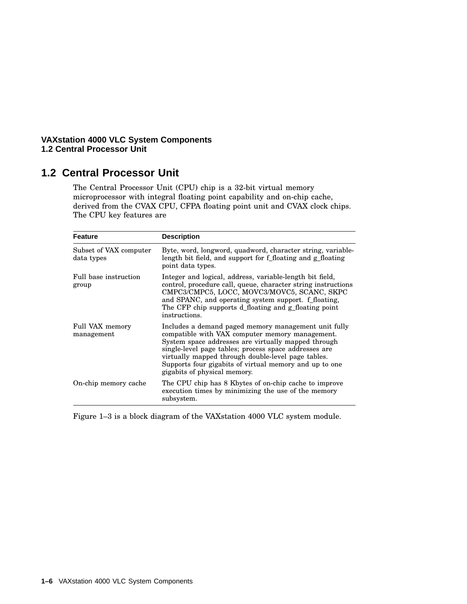## **1.2 Central Processor Unit**

The Central Processor Unit (CPU) chip is a 32-bit virtual memory microprocessor with integral floating point capability and on-chip cache, derived from the CVAX CPU, CFPA floating point unit and CVAX clock chips. The CPU key features are

| Feature                              | <b>Description</b>                                                                                                                                                                                                                                                                                                                                                      |
|--------------------------------------|-------------------------------------------------------------------------------------------------------------------------------------------------------------------------------------------------------------------------------------------------------------------------------------------------------------------------------------------------------------------------|
| Subset of VAX computer<br>data types | Byte, word, longword, quadword, character string, variable-<br>length bit field, and support for f_floating and g_floating<br>point data types.                                                                                                                                                                                                                         |
| Full base instruction<br>group       | Integer and logical, address, variable-length bit field,<br>control, procedure call, queue, character string instructions<br>CMPC3/CMPC5, LOCC, MOVC3/MOVC5, SCANC, SKPC<br>and SPANC, and operating system support. f floating,<br>The CFP chip supports d floating and g floating point<br>instructions.                                                              |
| Full VAX memory<br>management        | Includes a demand paged memory management unit fully<br>compatible with VAX computer memory management.<br>System space addresses are virtually mapped through<br>single-level page tables; process space addresses are<br>virtually mapped through double-level page tables.<br>Supports four gigabits of virtual memory and up to one<br>gigabits of physical memory. |
| On-chip memory cache                 | The CPU chip has 8 Kbytes of on-chip cache to improve<br>execution times by minimizing the use of the memory<br>subsystem.                                                                                                                                                                                                                                              |

Figure 1–3 is a block diagram of the VAXstation 4000 VLC system module.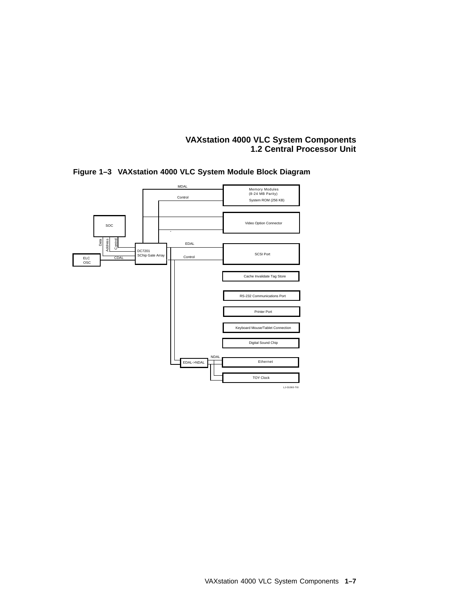

#### **Figure 1–3 VAXstation 4000 VLC System Module Block Diagram**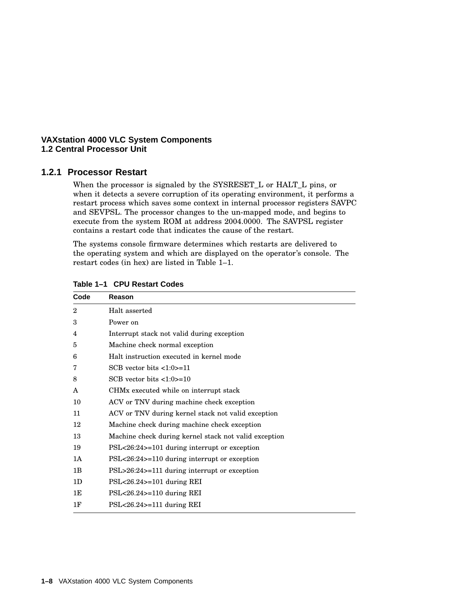#### **1.2.1 Processor Restart**

When the processor is signaled by the SYSRESET\_L or HALT\_L pins, or when it detects a severe corruption of its operating environment, it performs a restart process which saves some context in internal processor registers SAVPC and SEVPSL. The processor changes to the un-mapped mode, and begins to execute from the system ROM at address 2004.0000. The SAVPSL register contains a restart code that indicates the cause of the restart.

The systems console firmware determines which restarts are delivered to the operating system and which are displayed on the operator's console. The restart codes (in hex) are listed in Table 1–1.

| Code           | Reason                                                |
|----------------|-------------------------------------------------------|
| $\overline{2}$ | Halt asserted                                         |
| 3              | Power on                                              |
| 4              | Interrupt stack not valid during exception            |
| 5              | Machine check normal exception                        |
| 6              | Halt instruction executed in kernel mode              |
| 7              | SCB vector bits $\langle 1:0 \rangle = 11$            |
| 8              | SCB vector bits $\langle 1:0 \rangle = 10$            |
| A              | CHM <sub>x</sub> executed while on interrupt stack    |
| 10             | ACV or TNV during machine check exception             |
| 11             | ACV or TNV during kernel stack not valid exception    |
| 12             | Machine check during machine check exception          |
| 13             | Machine check during kernel stack not valid exception |
| 19             | $PSL < 26:24 > 101$ during interrupt or exception     |
| 1A             | $PSL < 26:24 > 110$ during interrupt or exception     |
| 1B             | $PSL > 26:24 > 111$ during interrupt or exception     |
| 1 <sub>D</sub> | $PSL < 26.24$ > = 101 during REI                      |
| 1E             | $PSL < 26.24$ > = 110 during REI                      |
| 1F             | $PSL < 26.24$ >=111 during REI                        |

**Table 1–1 CPU Restart Codes**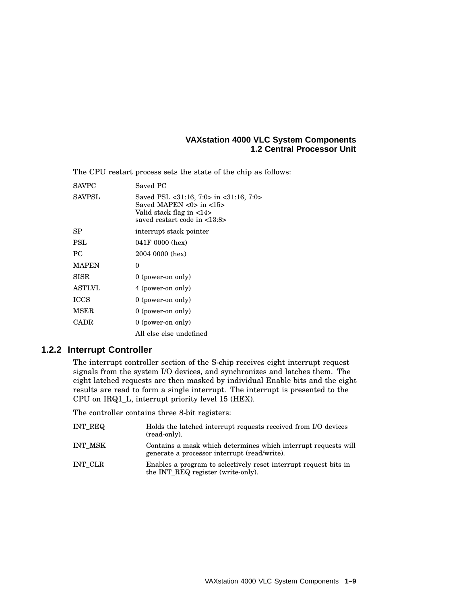The CPU restart process sets the state of the chip as follows:

| <b>SAVPC</b>  | Saved PC                                                                                                                                                                                                      |
|---------------|---------------------------------------------------------------------------------------------------------------------------------------------------------------------------------------------------------------|
| <b>SAVPSL</b> | Saved PSL $\langle 31:16, 7:0 \rangle$ in $\langle 31:16, 7:0 \rangle$<br>Saved MAPEN $\langle 0 \rangle$ in $\langle 15 \rangle$<br>Valid stack flag in <14><br>saved restart code in $\langle 13:8 \rangle$ |
| SP            | interrupt stack pointer                                                                                                                                                                                       |
| <b>PSL</b>    | 041F 0000 (hex)                                                                                                                                                                                               |
| PC.           | 2004 0000 (hex)                                                                                                                                                                                               |
| <b>MAPEN</b>  | 0                                                                                                                                                                                                             |
| SISR          | 0 (power-on only)                                                                                                                                                                                             |
| <b>ASTLVL</b> | 4 (power-on only)                                                                                                                                                                                             |
| ICCS          | 0 (power-on only)                                                                                                                                                                                             |
| MSER          | $0$ (power-on only)                                                                                                                                                                                           |
| <b>CADR</b>   | $0$ (power-on only)                                                                                                                                                                                           |
|               | All else else undefined                                                                                                                                                                                       |

#### **1.2.2 Interrupt Controller**

The interrupt controller section of the S-chip receives eight interrupt request signals from the system I/O devices, and synchronizes and latches them. The eight latched requests are then masked by individual Enable bits and the eight results are read to form a single interrupt. The interrupt is presented to the CPU on IRQ1\_L, interrupt priority level 15 (HEX).

The controller contains three 8-bit registers:

| INT REQ | Holds the latched interrupt requests received from I/O devices<br>(read-only).                                 |
|---------|----------------------------------------------------------------------------------------------------------------|
| INT MSK | Contains a mask which determines which interrupt requests will<br>generate a processor interrupt (read/write). |
| INT CLR | Enables a program to selectively reset interrupt request bits in<br>the INT REQ register (write-only).         |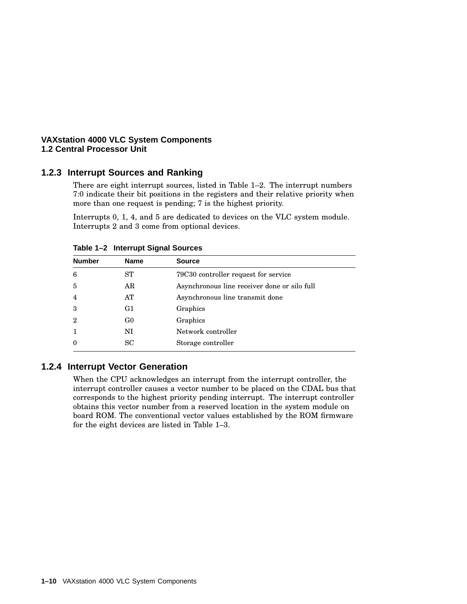#### **1.2.3 Interrupt Sources and Ranking**

There are eight interrupt sources, listed in Table 1–2. The interrupt numbers 7:0 indicate their bit positions in the registers and their relative priority when more than one request is pending; 7 is the highest priority.

Interrupts 0, 1, 4, and 5 are dedicated to devices on the VLC system module. Interrupts 2 and 3 come from optional devices.

| $1.4019 + 2.1119 + 1.00119 + 1.00119 + 1.00019 + 1.00019 + 1.00019 + 1.00019 + 1.00019 + 1.00019 + 1.00019 + 1.00019 + 1.00019 + 1.00019 + 1.00019 + 1.00019 + 1.00019 + 1.00019 + 1.00019 + 1.00019 + 1.00019 + 1.00019 + 1.00019 + 1.00019 + 1.0001$ |                |                                              |  |
|--------------------------------------------------------------------------------------------------------------------------------------------------------------------------------------------------------------------------------------------------------|----------------|----------------------------------------------|--|
| <b>Number</b>                                                                                                                                                                                                                                          | <b>Name</b>    | <b>Source</b>                                |  |
| 6                                                                                                                                                                                                                                                      | ST             | 79C30 controller request for service         |  |
| $\overline{5}$                                                                                                                                                                                                                                         | AR             | Asynchronous line receiver done or silo full |  |
| $\overline{4}$                                                                                                                                                                                                                                         | AT             | Asynchronous line transmit done              |  |
| 3                                                                                                                                                                                                                                                      | G1             | Graphics                                     |  |
| $\overline{2}$                                                                                                                                                                                                                                         | G <sub>0</sub> | Graphics                                     |  |
| 1                                                                                                                                                                                                                                                      | NI             | Network controller                           |  |
| $\theta$                                                                                                                                                                                                                                               | <b>SC</b>      | Storage controller                           |  |
|                                                                                                                                                                                                                                                        |                |                                              |  |

**Table 1–2 Interrupt Signal Sources**

#### **1.2.4 Interrupt Vector Generation**

When the CPU acknowledges an interrupt from the interrupt controller, the interrupt controller causes a vector number to be placed on the CDAL bus that corresponds to the highest priority pending interrupt. The interrupt controller obtains this vector number from a reserved location in the system module on board ROM. The conventional vector values established by the ROM firmware for the eight devices are listed in Table 1–3.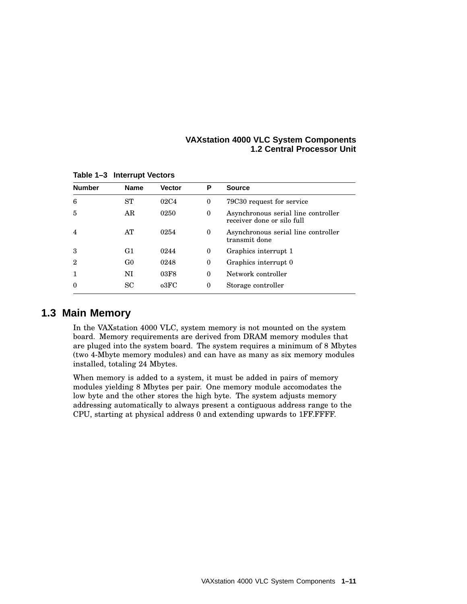| <b>Number</b> | <b>Name</b>    | <b>Vector</b>    | Р            | <b>Source</b>                                                     |
|---------------|----------------|------------------|--------------|-------------------------------------------------------------------|
| 6             | ST             | 02C <sub>4</sub> | $\bf{0}$     | 79C30 request for service                                         |
| 5             | AR             | 0250             | $\mathbf{0}$ | Asynchronous serial line controller<br>receiver done or silo full |
| 4             | AT             | 0254             | $\theta$     | Asynchronous serial line controller<br>transmit done              |
| 3             | G1             | 0244             | $\theta$     | Graphics interrupt 1                                              |
| 2             | G <sub>0</sub> | 0248             | $\bf{0}$     | Graphics interrupt 0                                              |
|               | NI             | 03F8             | $\theta$     | Network controller                                                |
|               | <b>SC</b>      | $_{03}$ FC       | $\theta$     | Storage controller                                                |

**Table 1–3 Interrupt Vectors**

## **1.3 Main Memory**

In the VAXstation 4000 VLC, system memory is not mounted on the system board. Memory requirements are derived from DRAM memory modules that are pluged into the system board. The system requires a minimum of 8 Mbytes (two 4-Mbyte memory modules) and can have as many as six memory modules installed, totaling 24 Mbytes.

When memory is added to a system, it must be added in pairs of memory modules yielding 8 Mbytes per pair. One memory module accomodates the low byte and the other stores the high byte. The system adjusts memory addressing automatically to always present a contiguous address range to the CPU, starting at physical address 0 and extending upwards to 1FF.FFFF.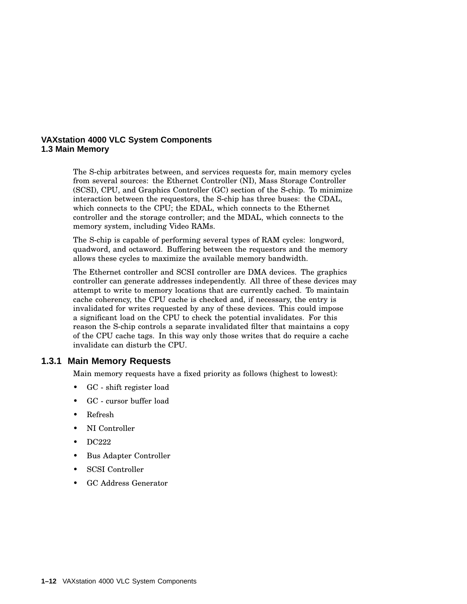#### **VAXstation 4000 VLC System Components 1.3 Main Memory**

The S-chip arbitrates between, and services requests for, main memory cycles from several sources: the Ethernet Controller (NI), Mass Storage Controller (SCSI), CPU, and Graphics Controller (GC) section of the S-chip. To minimize interaction between the requestors, the S-chip has three buses: the CDAL, which connects to the CPU; the EDAL, which connects to the Ethernet controller and the storage controller; and the MDAL, which connects to the memory system, including Video RAMs.

The S-chip is capable of performing several types of RAM cycles: longword, quadword, and octaword. Buffering between the requestors and the memory allows these cycles to maximize the available memory bandwidth.

The Ethernet controller and SCSI controller are DMA devices. The graphics controller can generate addresses independently. All three of these devices may attempt to write to memory locations that are currently cached. To maintain cache coherency, the CPU cache is checked and, if necessary, the entry is invalidated for writes requested by any of these devices. This could impose a significant load on the CPU to check the potential invalidates. For this reason the S-chip controls a separate invalidated filter that maintains a copy of the CPU cache tags. In this way only those writes that do require a cache invalidate can disturb the CPU.

#### **1.3.1 Main Memory Requests**

Main memory requests have a fixed priority as follows (highest to lowest):

- GC shift register load
- GC cursor buffer load
- Refresh
- NI Controller
- DC222
- Bus Adapter Controller
- SCSI Controller
- GC Address Generator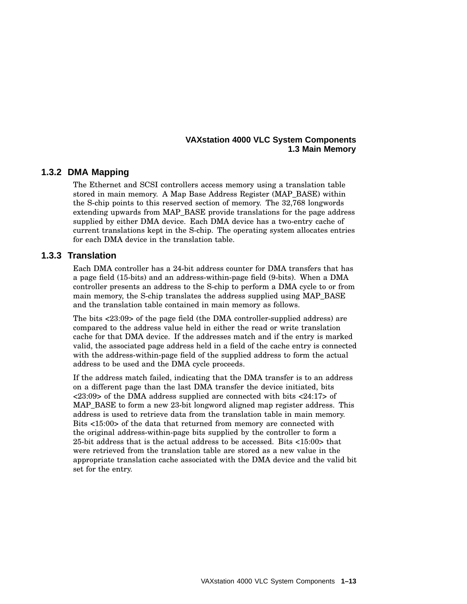#### **VAXstation 4000 VLC System Components 1.3 Main Memory**

#### **1.3.2 DMA Mapping**

The Ethernet and SCSI controllers access memory using a translation table stored in main memory. A Map Base Address Register (MAP\_BASE) within the S-chip points to this reserved section of memory. The 32,768 longwords extending upwards from MAP\_BASE provide translations for the page address supplied by either DMA device. Each DMA device has a two-entry cache of current translations kept in the S-chip. The operating system allocates entries for each DMA device in the translation table.

#### **1.3.3 Translation**

Each DMA controller has a 24-bit address counter for DMA transfers that has a page field (15-bits) and an address-within-page field (9-bits). When a DMA controller presents an address to the S-chip to perform a DMA cycle to or from main memory, the S-chip translates the address supplied using MAP\_BASE and the translation table contained in main memory as follows.

The bits <23:09> of the page field (the DMA controller-supplied address) are compared to the address value held in either the read or write translation cache for that DMA device. If the addresses match and if the entry is marked valid, the associated page address held in a field of the cache entry is connected with the address-within-page field of the supplied address to form the actual address to be used and the DMA cycle proceeds.

If the address match failed, indicating that the DMA transfer is to an address on a different page than the last DMA transfer the device initiated, bits <23:09> of the DMA address supplied are connected with bits <24:17> of MAP\_BASE to form a new 23-bit longword aligned map register address. This address is used to retrieve data from the translation table in main memory. Bits <15:00> of the data that returned from memory are connected with the original address-within-page bits supplied by the controller to form a 25-bit address that is the actual address to be accessed. Bits <15:00> that were retrieved from the translation table are stored as a new value in the appropriate translation cache associated with the DMA device and the valid bit set for the entry.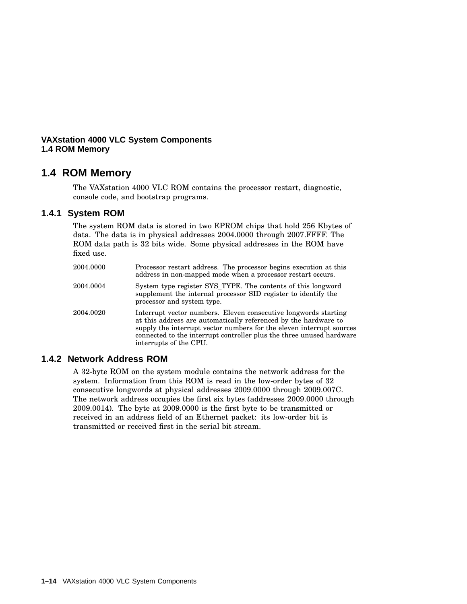#### **VAXstation 4000 VLC System Components 1.4 ROM Memory**

## **1.4 ROM Memory**

The VAXstation 4000 VLC ROM contains the processor restart, diagnostic, console code, and bootstrap programs.

#### **1.4.1 System ROM**

The system ROM data is stored in two EPROM chips that hold 256 Kbytes of data. The data is in physical addresses 2004.0000 through 2007.FFFF. The ROM data path is 32 bits wide. Some physical addresses in the ROM have fixed use.

| 2004.0000 | Processor restart address. The processor begins execution at this<br>address in non-mapped mode when a processor restart occurs.                                                                                                                                                                             |
|-----------|--------------------------------------------------------------------------------------------------------------------------------------------------------------------------------------------------------------------------------------------------------------------------------------------------------------|
| 2004.0004 | System type register SYS TYPE. The contents of this longword<br>supplement the internal processor SID register to identify the<br>processor and system type.                                                                                                                                                 |
| 2004.0020 | Interrupt vector numbers. Eleven consecutive longwords starting<br>at this address are automatically referenced by the hardware to<br>supply the interrupt vector numbers for the eleven interrupt sources<br>connected to the interrupt controller plus the three unused hardware<br>interrupts of the CPU. |

#### **1.4.2 Network Address ROM**

A 32-byte ROM on the system module contains the network address for the system. Information from this ROM is read in the low-order bytes of 32 consecutive longwords at physical addresses 2009.0000 through 2009.007C. The network address occupies the first six bytes (addresses 2009.0000 through 2009.0014). The byte at 2009.0000 is the first byte to be transmitted or received in an address field of an Ethernet packet: its low-order bit is transmitted or received first in the serial bit stream.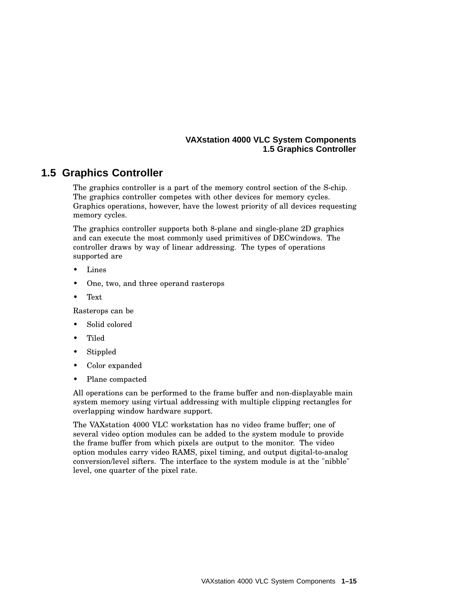#### **VAXstation 4000 VLC System Components 1.5 Graphics Controller**

## **1.5 Graphics Controller**

The graphics controller is a part of the memory control section of the S-chip. The graphics controller competes with other devices for memory cycles. Graphics operations, however, have the lowest priority of all devices requesting memory cycles.

The graphics controller supports both 8-plane and single-plane 2D graphics and can execute the most commonly used primitives of DECwindows. The controller draws by way of linear addressing. The types of operations supported are

- **Lines**
- One, two, and three operand rasterops
- Text

Rasterops can be

- Solid colored
- Tiled
- Stippled
- Color expanded
- Plane compacted

All operations can be performed to the frame buffer and non-displayable main system memory using virtual addressing with multiple clipping rectangles for overlapping window hardware support.

The VAXstation 4000 VLC workstation has no video frame buffer; one of several video option modules can be added to the system module to provide the frame buffer from which pixels are output to the monitor. The video option modules carry video RAMS, pixel timing, and output digital-to-analog conversion/level sifters. The interface to the system module is at the "nibble" level, one quarter of the pixel rate.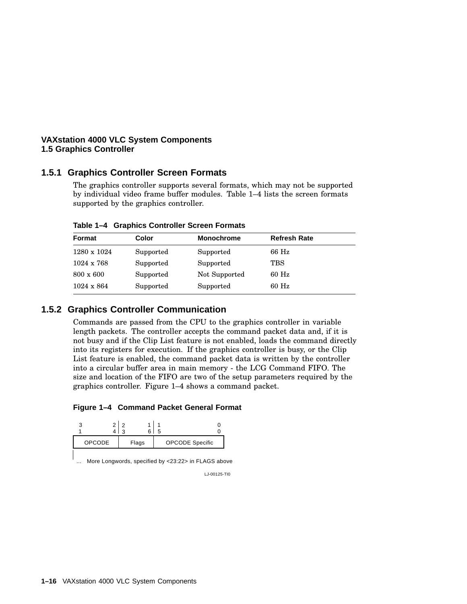#### **VAXstation 4000 VLC System Components 1.5 Graphics Controller**

#### **1.5.1 Graphics Controller Screen Formats**

The graphics controller supports several formats, which may not be supported by individual video frame buffer modules. Table 1–4 lists the screen formats supported by the graphics controller.

| Format            | Color     | <b>Monochrome</b> | <b>Refresh Rate</b> |
|-------------------|-----------|-------------------|---------------------|
| 1280 x 1024       | Supported | Supported         | 66 Hz               |
| $1024 \times 768$ | Supported | Supported         | TBS                 |
| $800 \times 600$  | Supported | Not Supported     | 60 Hz               |
| $1024 \times 864$ | Supported | Supported         | 60 Hz               |

**Table 1–4 Graphics Controller Screen Formats**

#### **1.5.2 Graphics Controller Communication**

Commands are passed from the CPU to the graphics controller in variable length packets. The controller accepts the command packet data and, if it is not busy and if the Clip List feature is not enabled, loads the command directly into its registers for execution. If the graphics controller is busy, or the Clip List feature is enabled, the command packet data is written by the controller into a circular buffer area in main memory - the LCG Command FIFO. The size and location of the FIFO are two of the setup parameters required by the graphics controller. Figure 1–4 shows a command packet.

**Figure 1–4 Command Packet General Format**

|  | <b>OPCODE</b> Specific |  | Flags | <b>OPCODE</b> |  |
|--|------------------------|--|-------|---------------|--|

More Longwords, specified by <23:22> in FLAGS above ...

LJ-00125-TI0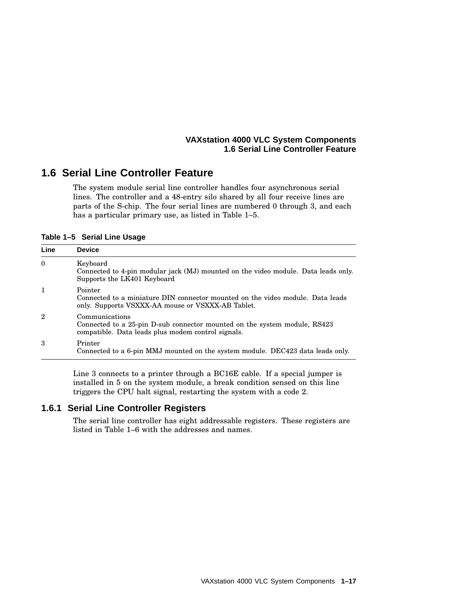#### **VAXstation 4000 VLC System Components 1.6 Serial Line Controller Feature**

## **1.6 Serial Line Controller Feature**

The system module serial line controller handles four asynchronous serial lines. The controller and a 48-entry silo shared by all four receive lines are parts of the S-chip. The four serial lines are numbered 0 through 3, and each has a particular primary use, as listed in Table 1–5.

**Table 1–5 Serial Line Usage**

| Line           | <b>Device</b>                                                                                                                                     |
|----------------|---------------------------------------------------------------------------------------------------------------------------------------------------|
| $\theta$       | Keyboard<br>Connected to 4-pin modular jack (MJ) mounted on the video module. Data leads only.<br>Supports the LK401 Keyboard                     |
| $\mathbf{1}$   | Pointer<br>Connected to a miniature DIN connector mounted on the video module. Data leads<br>only. Supports VSXXX-AA mouse or VSXXX-AB Tablet.    |
| $\overline{2}$ | Communications<br>Connected to a 25-pin D-sub connector mounted on the system module, RS423<br>compatible. Data leads plus modem control signals. |
| 3              | Printer<br>Connected to a 6-pin MMJ mounted on the system module. DEC423 data leads only.                                                         |

Line 3 connects to a printer through a BC16E cable. If a special jumper is installed in 5 on the system module, a break condition sensed on this line triggers the CPU halt signal, restarting the system with a code 2.

#### **1.6.1 Serial Line Controller Registers**

The serial line controller has eight addressable registers. These registers are listed in Table 1–6 with the addresses and names.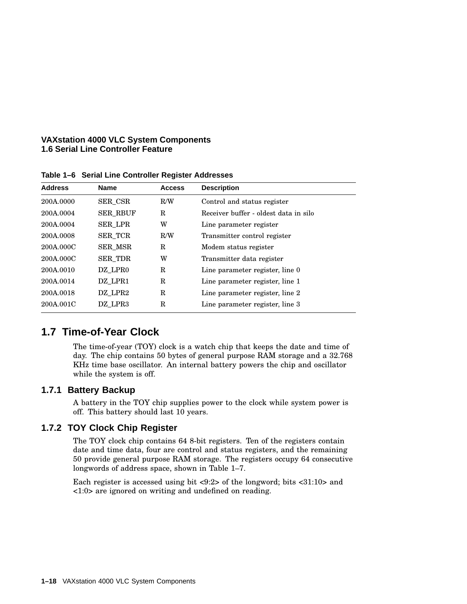#### **VAXstation 4000 VLC System Components 1.6 Serial Line Controller Feature**

| <b>Address</b> | <b>Name</b>     | <b>Access</b> | <b>Description</b>                    |  |
|----------------|-----------------|---------------|---------------------------------------|--|
| 200A.0000      | SER CSR         | R/W           | Control and status register           |  |
| 200A.0004      | <b>SER RBUF</b> | R             | Receiver buffer - oldest data in silo |  |
| 200A.0004      | <b>SER_LPR</b>  | W             | Line parameter register               |  |
| 200A.0008      | SER TCR         | R/W           | Transmitter control register          |  |
| 200A.000C      | <b>SER MSR</b>  | $_{\rm R}$    | Modem status register                 |  |
| 200A.000C      | <b>SER TDR</b>  | W             | Transmitter data register             |  |
| 200A.0010      | DZ LPR0         | R             | Line parameter register, line 0       |  |
| 200A.0014      | DZ LPR1         | $_{\rm R}$    | Line parameter register, line 1       |  |
| 200A.0018      | DZ LPR2         | $_{\rm R}$    | Line parameter register, line 2       |  |
| 200A.001C      | DZ LPR3         | $_{\rm R}$    | Line parameter register, line 3       |  |
|                |                 |               |                                       |  |

**Table 1–6 Serial Line Controller Register Addresses**

## **1.7 Time-of-Year Clock**

The time-of-year (TOY) clock is a watch chip that keeps the date and time of day. The chip contains 50 bytes of general purpose RAM storage and a 32.768 KHz time base oscillator. An internal battery powers the chip and oscillator while the system is off.

#### **1.7.1 Battery Backup**

A battery in the TOY chip supplies power to the clock while system power is off. This battery should last 10 years.

#### **1.7.2 TOY Clock Chip Register**

The TOY clock chip contains 64 8-bit registers. Ten of the registers contain date and time data, four are control and status registers, and the remaining 50 provide general purpose RAM storage. The registers occupy 64 consecutive longwords of address space, shown in Table 1–7.

Each register is accessed using bit <9:2> of the longword; bits <31:10> and <1:0> are ignored on writing and undefined on reading.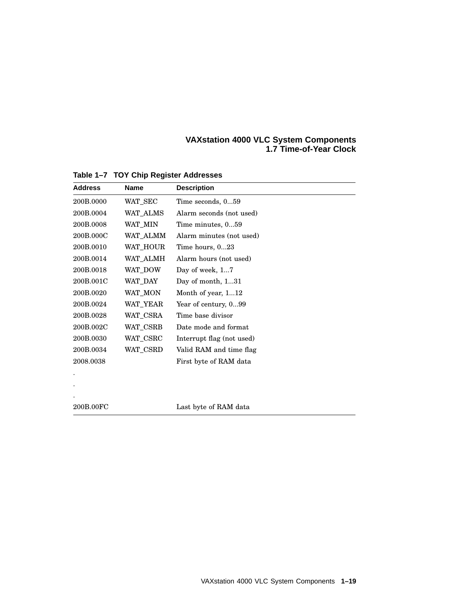#### **VAXstation 4000 VLC System Components 1.7 Time-of-Year Clock**

| <b>Address</b> | <b>Name</b> | <b>Description</b>        |
|----------------|-------------|---------------------------|
| 200B.0000      | WAT_SEC     | Time seconds, 059         |
| 200B.0004      | WAT ALMS    | Alarm seconds (not used)  |
| 200B.0008      | WAT_MIN     | Time minutes, 059         |
| 200B.000C      | WAT_ALMM    | Alarm minutes (not used)  |
| 200B.0010      | WAT_HOUR    | Time hours, 023           |
| 200B.0014      | WAT_ALMH    | Alarm hours (not used)    |
| 200B.0018      | WAT_DOW     | Day of week, 17           |
| 200B.001C      | WAT DAY     | Day of month, 131         |
| 200B.0020      | WAT_MON     | Month of year, 112        |
| 200B.0024      | WAT_YEAR    | Year of century, 099      |
| 200B.0028      | WAT_CSRA    | Time base divisor         |
| 200B.002C      | WAT_CSRB    | Date mode and format      |
| 200B.0030      | WAT_CSRC    | Interrupt flag (not used) |
| 200B.0034      | WAT_CSRD    | Valid RAM and time flag   |
| 2008.0038      |             | First byte of RAM data    |
|                |             |                           |
|                |             |                           |
|                |             |                           |
| 200B.00FC      |             | Last byte of RAM data     |

**Table 1–7 TOY Chip Register Addresses**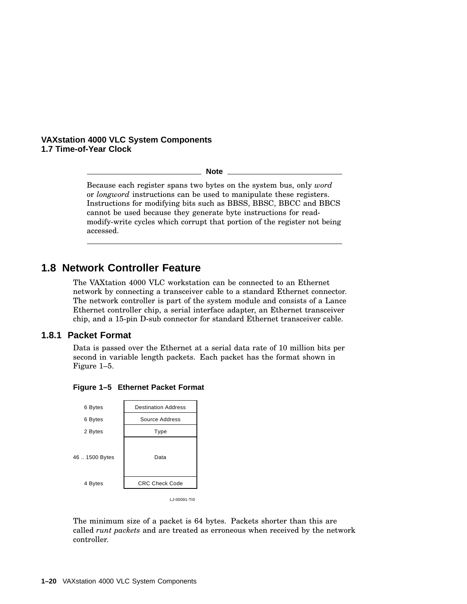#### **VAXstation 4000 VLC System Components 1.7 Time-of-Year Clock**

**Note**

Because each register spans two bytes on the system bus, only *word* or *longword* instructions can be used to manipulate these registers. Instructions for modifying bits such as BBSS, BBSC, BBCC and BBCS cannot be used because they generate byte instructions for readmodify-write cycles which corrupt that portion of the register not being accessed.

## **1.8 Network Controller Feature**

The VAXtation 4000 VLC workstation can be connected to an Ethernet network by connecting a transceiver cable to a standard Ethernet connector. The network controller is part of the system module and consists of a Lance Ethernet controller chip, a serial interface adapter, an Ethernet transceiver chip, and a 15-pin D-sub connector for standard Ethernet transceiver cable.

#### **1.8.1 Packet Format**

Data is passed over the Ethernet at a serial data rate of 10 million bits per second in variable length packets. Each packet has the format shown in Figure 1–5.



**Figure 1–5 Ethernet Packet Format**

The minimum size of a packet is 64 bytes. Packets shorter than this are called *runt packets* and are treated as erroneous when received by the network controller.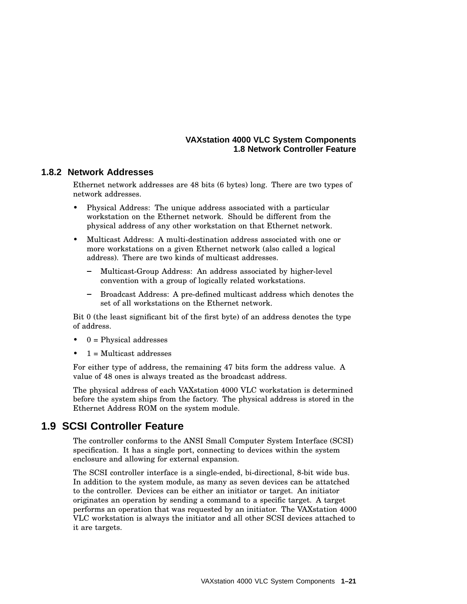#### **VAXstation 4000 VLC System Components 1.8 Network Controller Feature**

#### **1.8.2 Network Addresses**

Ethernet network addresses are 48 bits (6 bytes) long. There are two types of network addresses.

- Physical Address: The unique address associated with a particular workstation on the Ethernet network. Should be different from the physical address of any other workstation on that Ethernet network.
- Multicast Address: A multi-destination address associated with one or more workstations on a given Ethernet network (also called a logical address). There are two kinds of multicast addresses.
	- Multicast-Group Address: An address associated by higher-level convention with a group of logically related workstations.
	- Broadcast Address: A pre-defined multicast address which denotes the set of all workstations on the Ethernet network.

Bit 0 (the least significant bit of the first byte) of an address denotes the type of address.

- $0$  = Physical addresses
- $1 = Multicast address$

For either type of address, the remaining 47 bits form the address value. A value of 48 ones is always treated as the broadcast address.

The physical address of each VAXstation 4000 VLC workstation is determined before the system ships from the factory. The physical address is stored in the Ethernet Address ROM on the system module.

### **1.9 SCSI Controller Feature**

The controller conforms to the ANSI Small Computer System Interface (SCSI) specification. It has a single port, connecting to devices within the system enclosure and allowing for external expansion.

The SCSI controller interface is a single-ended, bi-directional, 8-bit wide bus. In addition to the system module, as many as seven devices can be attatched to the controller. Devices can be either an initiator or target. An initiator originates an operation by sending a command to a specific target. A target performs an operation that was requested by an initiator. The VAXstation 4000 VLC workstation is always the initiator and all other SCSI devices attached to it are targets.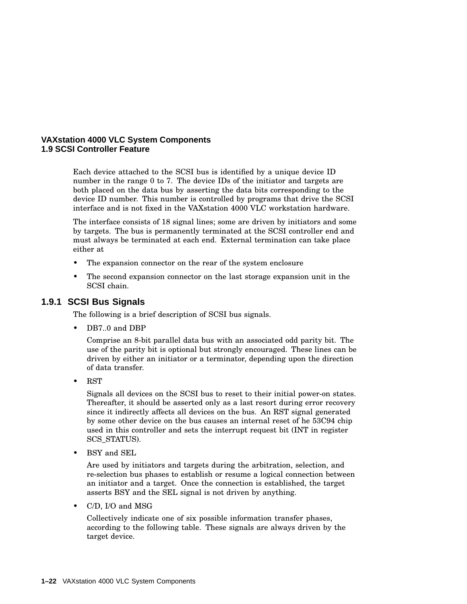#### **VAXstation 4000 VLC System Components 1.9 SCSI Controller Feature**

Each device attached to the SCSI bus is identified by a unique device ID number in the range 0 to 7. The device IDs of the initiator and targets are both placed on the data bus by asserting the data bits corresponding to the device ID number. This number is controlled by programs that drive the SCSI interface and is not fixed in the VAXstation 4000 VLC workstation hardware.

The interface consists of 18 signal lines; some are driven by initiators and some by targets. The bus is permanently terminated at the SCSI controller end and must always be terminated at each end. External termination can take place either at

- The expansion connector on the rear of the system enclosure
- The second expansion connector on the last storage expansion unit in the SCSI chain.

#### **1.9.1 SCSI Bus Signals**

The following is a brief description of SCSI bus signals.

DB7..0 and DBP

Comprise an 8-bit parallel data bus with an associated odd parity bit. The use of the parity bit is optional but strongly encouraged. These lines can be driven by either an initiator or a terminator, depending upon the direction of data transfer.

• RST

Signals all devices on the SCSI bus to reset to their initial power-on states. Thereafter, it should be asserted only as a last resort during error recovery since it indirectly affects all devices on the bus. An RST signal generated by some other device on the bus causes an internal reset of he 53C94 chip used in this controller and sets the interrupt request bit (INT in register SCS\_STATUS).

• BSY and SEL

Are used by initiators and targets during the arbitration, selection, and re-selection bus phases to establish or resume a logical connection between an initiator and a target. Once the connection is established, the target asserts BSY and the SEL signal is not driven by anything.

• C/D, I/O and MSG

Collectively indicate one of six possible information transfer phases, according to the following table. These signals are always driven by the target device.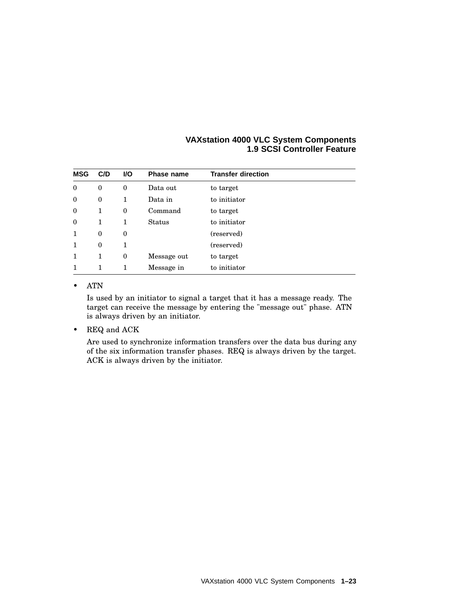| <b>VAXstation 4000 VLC System Components</b> |
|----------------------------------------------|
| <b>1.9 SCSI Controller Feature</b>           |

| <b>MSG</b>       | C/D          | VO.          | <b>Phase name</b> | <b>Transfer direction</b> |
|------------------|--------------|--------------|-------------------|---------------------------|
| $\boldsymbol{0}$ | $\mathbf{0}$ | $\bf{0}$     | Data out          | to target                 |
| $\boldsymbol{0}$ | $\mathbf{0}$ | $\mathbf{1}$ | Data in           | to initiator              |
| $\mathbf{0}$     | 1            | $\bf{0}$     | Command           | to target                 |
| $\theta$         | 1            | $\mathbf{1}$ | Status            | to initiator              |
| 1                | $\mathbf{0}$ | $\mathbf{0}$ |                   | (reserved)                |
| 1                | $\Omega$     | 1            |                   | (reserved)                |
| 1                | 1            | $\bf{0}$     | Message out       | to target                 |
|                  | 1            | 1            | Message in        | to initiator              |

#### • ATN

Is used by an initiator to signal a target that it has a message ready. The target can receive the message by entering the "message out" phase. ATN is always driven by an initiator.

• REQ and ACK

Are used to synchronize information transfers over the data bus during any of the six information transfer phases. REQ is always driven by the target. ACK is always driven by the initiator.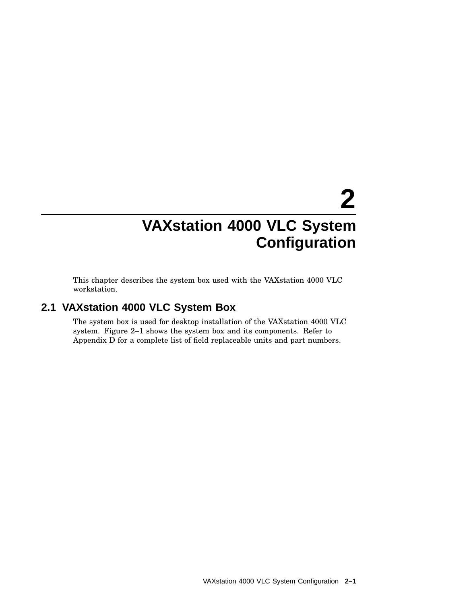# **2 VAXstation 4000 VLC System Configuration**

This chapter describes the system box used with the VAXstation 4000 VLC workstation.

# **2.1 VAXstation 4000 VLC System Box**

The system box is used for desktop installation of the VAXstation 4000 VLC system. Figure 2–1 shows the system box and its components. Refer to Appendix D for a complete list of field replaceable units and part numbers.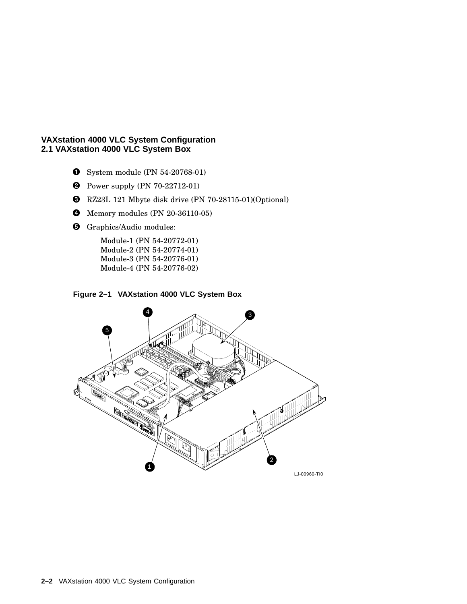- **O** System module (PN 54-20768-01)
- **2** Power supply (PN 70-22712-01)
- RZ23L 121 Mbyte disk drive (PN 70-28115-01)(Optional)
- **4** Memory modules (PN 20-36110-05)
- **G** Graphics/Audio modules:

Module-1 (PN 54-20772-01) Module-2 (PN 54-20774-01) Module-3 (PN 54-20776-01) Module-4 (PN 54-20776-02)



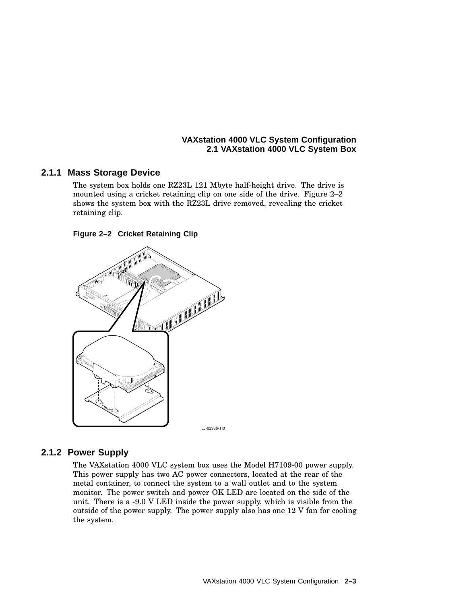#### **2.1.1 Mass Storage Device**

The system box holds one RZ23L 121 Mbyte half-height drive. The drive is mounted using a cricket retaining clip on one side of the drive. Figure 2–2 shows the system box with the RZ23L drive removed, revealing the cricket retaining clip.

#### **Figure 2–2 Cricket Retaining Clip**



LJ-01386-TI0

## **2.1.2 Power Supply**

The VAXstation 4000 VLC system box uses the Model H7109-00 power supply. This power supply has two AC power connectors, located at the rear of the metal container, to connect the system to a wall outlet and to the system monitor. The power switch and power OK LED are located on the side of the unit. There is a -9.0 V LED inside the power supply, which is visible from the outside of the power supply. The power supply also has one 12 V fan for cooling the system.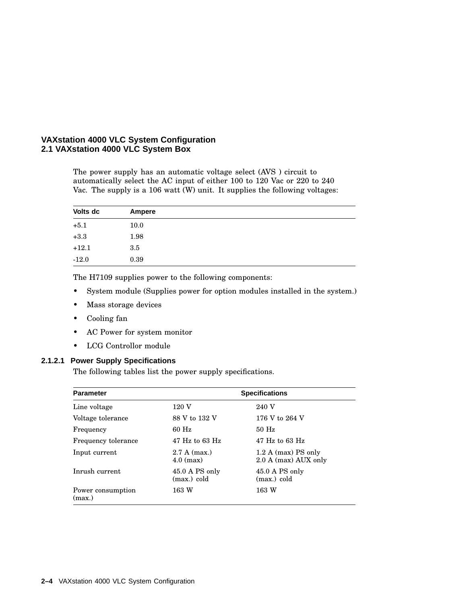The power supply has an automatic voltage select (AVS ) circuit to automatically select the AC input of either 100 to 120 Vac or 220 to 240 Vac. The supply is a 106 watt  $(W)$  unit. It supplies the following voltages:

| Volts dc | Ampere |  |
|----------|--------|--|
| $+5.1$   | 10.0   |  |
| $+3.3$   | 1.98   |  |
| $+12.1$  | 3.5    |  |
| $-12.0$  | 0.39   |  |

The H7109 supplies power to the following components:

- System module (Supplies power for option modules installed in the system.)
- Mass storage devices
- Cooling fan
- AC Power for system monitor
- LCG Controllor module

#### **2.1.2.1 Power Supply Specifications**

The following tables list the power supply specifications.

| <b>Parameter</b>            |                               | <b>Specifications</b>                         |  |  |  |
|-----------------------------|-------------------------------|-----------------------------------------------|--|--|--|
| Line voltage                | 120 V                         | 240 V                                         |  |  |  |
| Voltage tolerance           | 88 V to 132 V                 | 176 V to 264 V                                |  |  |  |
| Frequency                   | $60$ Hz                       | $50$ Hz                                       |  |  |  |
| Frequency tolerance         | $47$ Hz to 63 Hz              | $47$ Hz to 63 Hz                              |  |  |  |
| Input current               | $2.7 A$ (max.)<br>$4.0$ (max) | $1.2$ A (max) PS only<br>2.0 A (max) AUX only |  |  |  |
| Inrush current              | 45.0 A PS only<br>(max.) cold | 45.0 A PS only<br>(max.) cold                 |  |  |  |
| Power consumption<br>(max.) | 163 W                         | 163 W                                         |  |  |  |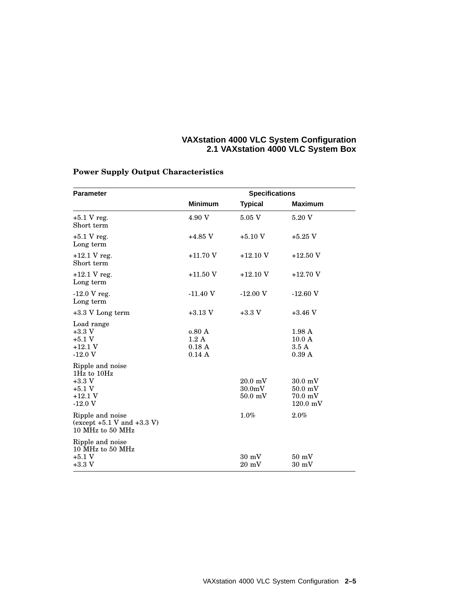| <b>Parameter</b>                                                                 | <b>Specifications</b>           |                                                       |                                                                           |  |  |  |
|----------------------------------------------------------------------------------|---------------------------------|-------------------------------------------------------|---------------------------------------------------------------------------|--|--|--|
|                                                                                  | <b>Minimum</b>                  | <b>Typical</b>                                        | <b>Maximum</b>                                                            |  |  |  |
| $+5.1$ V reg.<br>Short term                                                      | 4.90 V                          | 5.05 V                                                | 5.20 V                                                                    |  |  |  |
| $+5.1$ V reg.<br>Long term                                                       | $+4.85$ V                       | $+5.10~\mathrm{V}$                                    | $+5.25$ V                                                                 |  |  |  |
| $+12.1$ V reg.<br>Short term                                                     | $+11.70V$                       | $+12.10$ V                                            | $+12.50$ V                                                                |  |  |  |
| $+12.1$ V reg.<br>Long term                                                      | $+11.50$ V                      | $+12.10$ V                                            | $+12.70$ V                                                                |  |  |  |
| $-12.0 V$ reg.<br>Long term                                                      | $-11.40V$                       | $-12.00V$                                             | $-12.60$ V                                                                |  |  |  |
| $+3.3$ V Long term                                                               | $+3.13$ V                       | $+3.3 V$                                              | $+3.46$ V                                                                 |  |  |  |
| Load range<br>$+3.3$ V<br>$+5.1$ V<br>$+12.1V$<br>$-12.0V$                       | 0.80A<br>1.2A<br>0.18A<br>0.14A |                                                       | 1.98A<br>10.0 A<br>3.5A<br>0.39A                                          |  |  |  |
| Ripple and noise<br>1Hz to 10Hz<br>$+3.3$ V<br>$+5.1 V$<br>$+12.1 V$<br>$-12.0V$ |                                 | $20.0 \text{ mV}$<br>30.0 <sub>m</sub> V<br>$50.0$ mV | $30.0 \text{ mV}$<br>$50.0$ mV<br>$70.0 \text{ mV}$<br>$120.0 \text{ mV}$ |  |  |  |
| Ripple and noise<br>(except $+5.1$ V and $+3.3$ V)<br>10 MHz to 50 MHz           |                                 | $1.0\%$                                               | 2.0%                                                                      |  |  |  |
| Ripple and noise<br>10 MHz to 50 MHz<br>$+5.1$ V<br>$+3.3$ V                     |                                 | $30 \text{ mV}$<br>$20 \text{ mV}$                    | $50 \text{ mV}$<br>$30 \text{ mV}$                                        |  |  |  |

## **Power Supply Output Characteristics**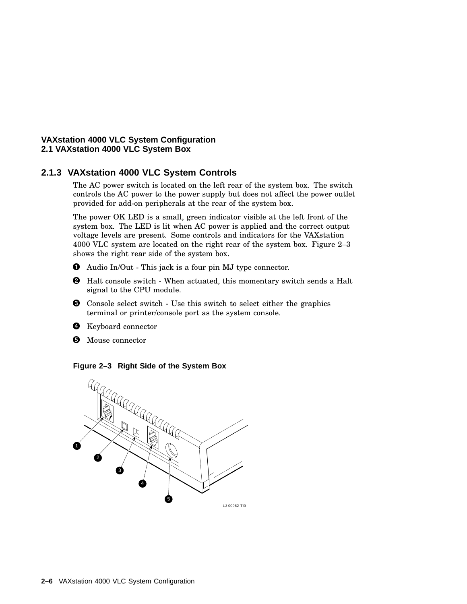## **2.1.3 VAXstation 4000 VLC System Controls**

The AC power switch is located on the left rear of the system box. The switch controls the AC power to the power supply but does not affect the power outlet provided for add-on peripherals at the rear of the system box.

The power OK LED is a small, green indicator visible at the left front of the system box. The LED is lit when AC power is applied and the correct output voltage levels are present. Some controls and indicators for the VAXstation 4000 VLC system are located on the right rear of the system box. Figure 2–3 shows the right rear side of the system box.

- Audio In/Out This jack is a four pin MJ type connector.
- Halt console switch When actuated, this momentary switch sends a Halt signal to the CPU module.
- Console select switch Use this switch to select either the graphics terminal or printer/console port as the system console.
- **O** Keyboard connector
- **6** Mouse connector

#### **Figure 2–3 Right Side of the System Box**

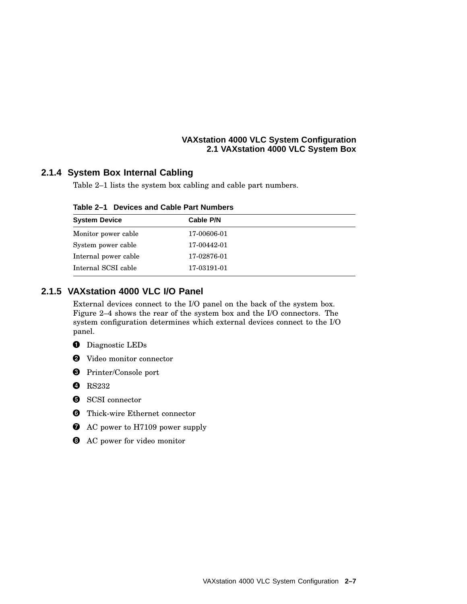## **2.1.4 System Box Internal Cabling**

Table 2–1 lists the system box cabling and cable part numbers.

| Table 2–1 Devices and Cable Part Numbers |  |  |  |
|------------------------------------------|--|--|--|
|                                          |  |  |  |

| <b>System Device</b> | Cable P/N   |  |
|----------------------|-------------|--|
| Monitor power cable  | 17-00606-01 |  |
| System power cable   | 17-00442-01 |  |
| Internal power cable | 17-02876-01 |  |
| Internal SCSI cable  | 17-03191-01 |  |

## **2.1.5 VAXstation 4000 VLC I/O Panel**

External devices connect to the I/O panel on the back of the system box. Figure 2–4 shows the rear of the system box and the I/O connectors. The system configuration determines which external devices connect to the I/O panel.

- **O** Diagnostic LEDs
- Video monitor connector
- Printer/Console port
- **O** RS232
- **6** SCSI connector
- **O** Thick-wire Ethernet connector
- AC power to H7109 power supply
- **3** AC power for video monitor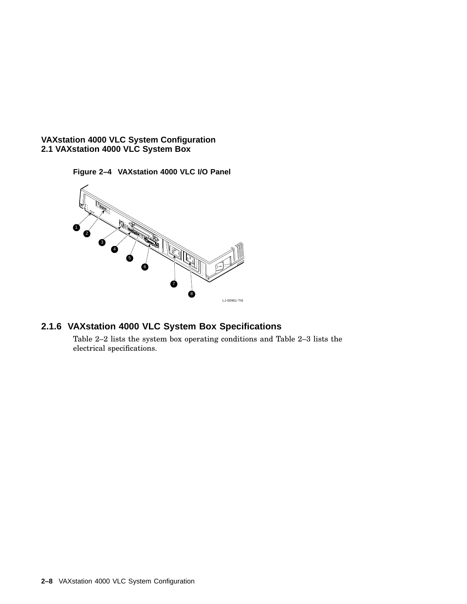**Figure 2–4 VAXstation 4000 VLC I/O Panel**



## **2.1.6 VAXstation 4000 VLC System Box Specifications**

Table 2–2 lists the system box operating conditions and Table 2–3 lists the electrical specifications.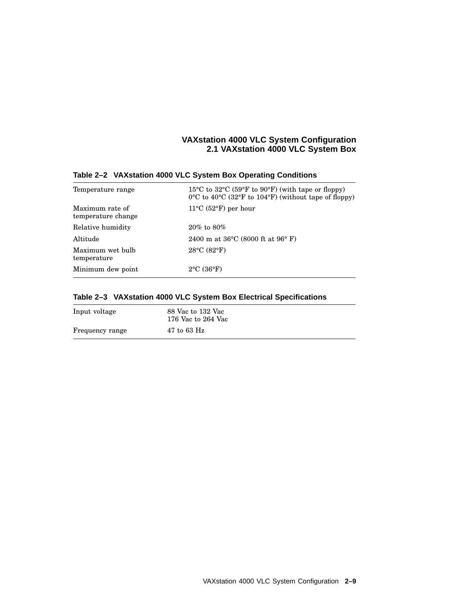| Temperature range                     | $15^{\circ}$ C to $32^{\circ}$ C (59 $^{\circ}$ F to 90 $^{\circ}$ F) (with tape or floppy)<br>$0^{\circ}$ C to $40^{\circ}$ C (32 $^{\circ}$ F to 104 $^{\circ}$ F) (without tape of floppy) |
|---------------------------------------|-----------------------------------------------------------------------------------------------------------------------------------------------------------------------------------------------|
| Maximum rate of<br>temperature change | $11^{\circ}$ C (52 $^{\circ}$ F) per hour                                                                                                                                                     |
| Relative humidity                     | $20\%$ to $80\%$                                                                                                                                                                              |
| Altitude                              | 2400 m at $36^{\circ}$ C (8000 ft at $96^{\circ}$ F)                                                                                                                                          |
| Maximum wet bulb<br>temperature       | $28^{\circ}$ C (82 $^{\circ}$ F)                                                                                                                                                              |
| Minimum dew point                     | $2^{\circ}$ C (36 $^{\circ}$ F)                                                                                                                                                               |

#### **Table 2–2 VAXstation 4000 VLC System Box Operating Conditions**

## **Table 2–3 VAXstation 4000 VLC System Box Electrical Specifications**

| Input voltage   | 88 Vac to 132 Vac<br>176 Vac to 264 Vac |
|-----------------|-----------------------------------------|
| Frequency range | $47$ to $63$ Hz                         |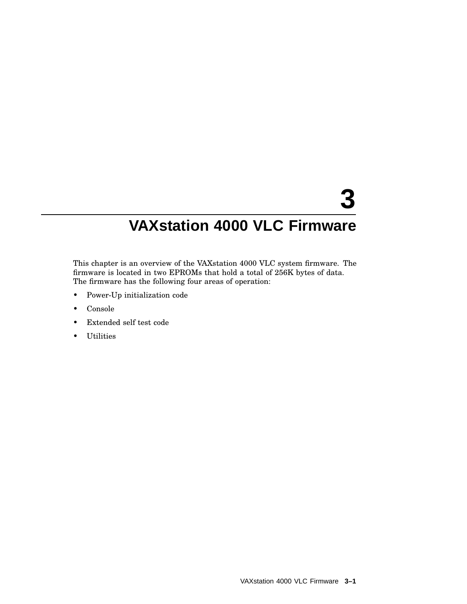# **3 VAXstation 4000 VLC Firmware**

This chapter is an overview of the VAXstation 4000 VLC system firmware. The firmware is located in two EPROMs that hold a total of 256K bytes of data. The firmware has the following four areas of operation:

- Power-Up initialization code
- Console
- Extended self test code
- Utilities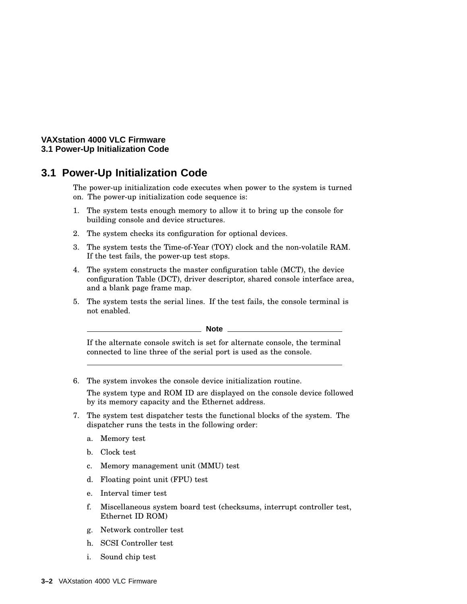#### **VAXstation 4000 VLC Firmware 3.1 Power-Up Initialization Code**

# **3.1 Power-Up Initialization Code**

The power-up initialization code executes when power to the system is turned on. The power-up initialization code sequence is:

- 1. The system tests enough memory to allow it to bring up the console for building console and device structures.
- 2. The system checks its configuration for optional devices.
- 3. The system tests the Time-of-Year (TOY) clock and the non-volatile RAM. If the test fails, the power-up test stops.
- 4. The system constructs the master configuration table (MCT), the device configuration Table (DCT), driver descriptor, shared console interface area, and a blank page frame map.
- 5. The system tests the serial lines. If the test fails, the console terminal is not enabled.

#### **Note**

If the alternate console switch is set for alternate console, the terminal connected to line three of the serial port is used as the console.

6. The system invokes the console device initialization routine.

The system type and ROM ID are displayed on the console device followed by its memory capacity and the Ethernet address.

- 7. The system test dispatcher tests the functional blocks of the system. The dispatcher runs the tests in the following order:
	- a. Memory test
	- b. Clock test
	- c. Memory management unit (MMU) test
	- d. Floating point unit (FPU) test
	- e. Interval timer test
	- f. Miscellaneous system board test (checksums, interrupt controller test, Ethernet ID ROM)
	- g. Network controller test
	- h. SCSI Controller test
	- i. Sound chip test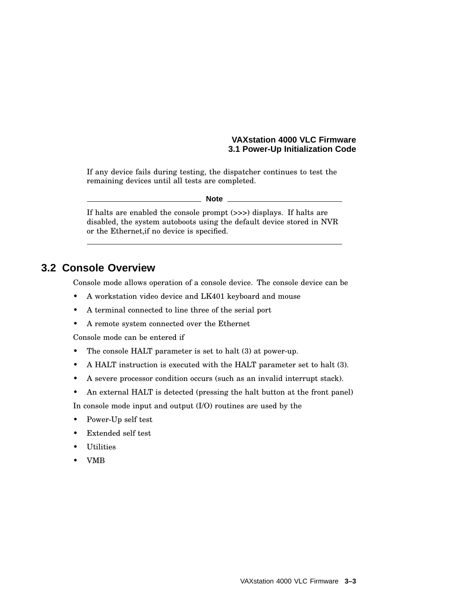#### **VAXstation 4000 VLC Firmware 3.1 Power-Up Initialization Code**

If any device fails during testing, the dispatcher continues to test the remaining devices until all tests are completed.

#### **Note**

If halts are enabled the console prompt (>>>) displays. If halts are disabled, the system autoboots using the default device stored in NVR or the Ethernet,if no device is specified.

## **3.2 Console Overview**

Console mode allows operation of a console device. The console device can be

- A workstation video device and LK401 keyboard and mouse
- A terminal connected to line three of the serial port
- A remote system connected over the Ethernet

Console mode can be entered if

- The console HALT parameter is set to halt (3) at power-up.
- A HALT instruction is executed with the HALT parameter set to halt (3).
- A severe processor condition occurs (such as an invalid interrupt stack).
- An external HALT is detected (pressing the halt button at the front panel)

In console mode input and output (I/O) routines are used by the

- Power-Up self test
- Extended self test
- **Utilities**
- VMB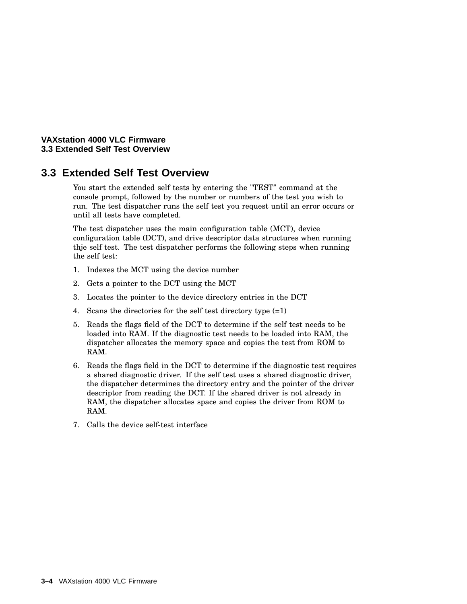#### **VAXstation 4000 VLC Firmware 3.3 Extended Self Test Overview**

# **3.3 Extended Self Test Overview**

You start the extended self tests by entering the "TEST" command at the console prompt, followed by the number or numbers of the test you wish to run. The test dispatcher runs the self test you request until an error occurs or until all tests have completed.

The test dispatcher uses the main configuration table (MCT), device configuration table (DCT), and drive descriptor data structures when running thje self test. The test dispatcher performs the following steps when running the self test:

- 1. Indexes the MCT using the device number
- 2. Gets a pointer to the DCT using the MCT
- 3. Locates the pointer to the device directory entries in the DCT
- 4. Scans the directories for the self test directory type (=1)
- 5. Reads the flags field of the DCT to determine if the self test needs to be loaded into RAM. If the diagnostic test needs to be loaded into RAM, the dispatcher allocates the memory space and copies the test from ROM to RAM.
- 6. Reads the flags field in the DCT to determine if the diagnostic test requires a shared diagnostic driver. If the self test uses a shared diagnostic driver, the dispatcher determines the directory entry and the pointer of the driver descriptor from reading the DCT. If the shared driver is not already in RAM, the dispatcher allocates space and copies the driver from ROM to RAM.
- 7. Calls the device self-test interface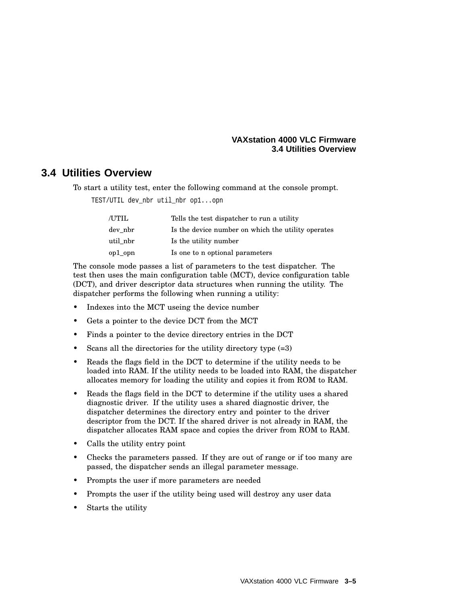#### **VAXstation 4000 VLC Firmware 3.4 Utilities Overview**

# **3.4 Utilities Overview**

To start a utility test, enter the following command at the console prompt.

TEST/UTIL dev\_nbr util\_nbr op1...opn

| /UTIL    | Tells the test dispatcher to run a utility         |
|----------|----------------------------------------------------|
| dev nbr  | Is the device number on which the utility operates |
| util nbr | Is the utility number                              |
| op1_opn  | Is one to n optional parameters                    |

The console mode passes a list of parameters to the test dispatcher. The test then uses the main configuration table (MCT), device configuration table (DCT), and driver descriptor data structures when running the utility. The dispatcher performs the following when running a utility:

- Indexes into the MCT useing the device number
- Gets a pointer to the device DCT from the MCT
- Finds a pointer to the device directory entries in the DCT
- Scans all the directories for the utility directory type (=3)
- Reads the flags field in the DCT to determine if the utility needs to be loaded into RAM. If the utility needs to be loaded into RAM, the dispatcher allocates memory for loading the utility and copies it from ROM to RAM.
- Reads the flags field in the DCT to determine if the utility uses a shared diagnostic driver. If the utility uses a shared diagnostic driver, the dispatcher determines the directory entry and pointer to the driver descriptor from the DCT. If the shared driver is not already in RAM, the dispatcher allocates RAM space and copies the driver from ROM to RAM.
- Calls the utility entry point
- Checks the parameters passed. If they are out of range or if too many are passed, the dispatcher sends an illegal parameter message.
- Prompts the user if more parameters are needed
- Prompts the user if the utility being used will destroy any user data
- Starts the utility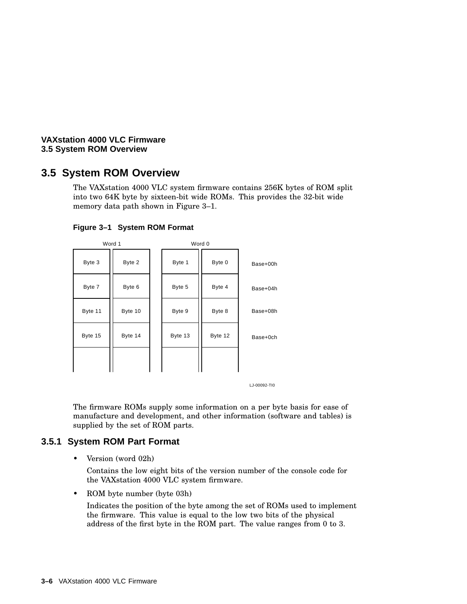#### **VAXstation 4000 VLC Firmware 3.5 System ROM Overview**

# **3.5 System ROM Overview**

The VAXstation 4000 VLC system firmware contains 256K bytes of ROM split into two 64K byte by sixteen-bit wide ROMs. This provides the 32-bit wide memory data path shown in Figure 3–1.

| Word 1  |         | Word 0 |         |         |          |
|---------|---------|--------|---------|---------|----------|
| Byte 3  | Byte 2  |        | Byte 1  | Byte 0  | Base+00h |
| Byte 7  | Byte 6  |        | Byte 5  | Byte 4  | Base+04h |
| Byte 11 | Byte 10 |        | Byte 9  | Byte 8  | Base+08h |
| Byte 15 | Byte 14 |        | Byte 13 | Byte 12 | Base+0ch |
|         |         |        |         |         |          |

#### **Figure 3–1 System ROM Format**

LJ-00092-TI0

The firmware ROMs supply some information on a per byte basis for ease of manufacture and development, and other information (software and tables) is supplied by the set of ROM parts.

## **3.5.1 System ROM Part Format**

• Version (word 02h)

Contains the low eight bits of the version number of the console code for the VAXstation 4000 VLC system firmware.

• ROM byte number (byte 03h)

Indicates the position of the byte among the set of ROMs used to implement the firmware. This value is equal to the low two bits of the physical address of the first byte in the ROM part. The value ranges from 0 to 3.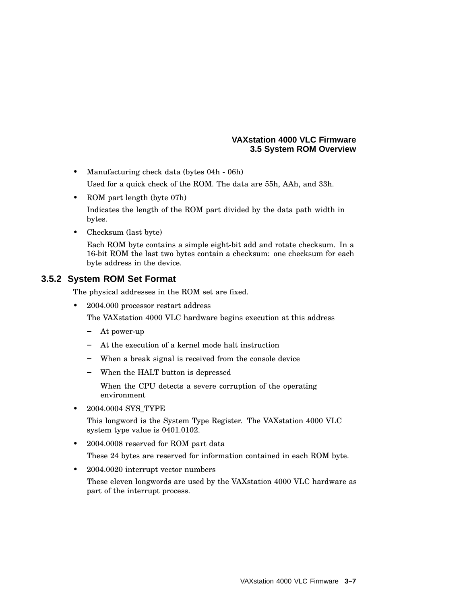#### **VAXstation 4000 VLC Firmware 3.5 System ROM Overview**

• Manufacturing check data (bytes 04h - 06h)

Used for a quick check of the ROM. The data are 55h, AAh, and 33h.

• ROM part length (byte 07h)

Indicates the length of the ROM part divided by the data path width in bytes.

• Checksum (last byte)

Each ROM byte contains a simple eight-bit add and rotate checksum. In a 16-bit ROM the last two bytes contain a checksum: one checksum for each byte address in the device.

## **3.5.2 System ROM Set Format**

The physical addresses in the ROM set are fixed.

• 2004.000 processor restart address

The VAXstation 4000 VLC hardware begins execution at this address

- At power-up
- At the execution of a kernel mode halt instruction
- When a break signal is received from the console device
- When the HALT button is depressed
- When the CPU detects a severe corruption of the operating environment
- 2004.0004 SYS TYPE

This longword is the System Type Register. The VAXstation 4000 VLC system type value is 0401.0102.

• 2004.0008 reserved for ROM part data

These 24 bytes are reserved for information contained in each ROM byte.

• 2004.0020 interrupt vector numbers

These eleven longwords are used by the VAXstation 4000 VLC hardware as part of the interrupt process.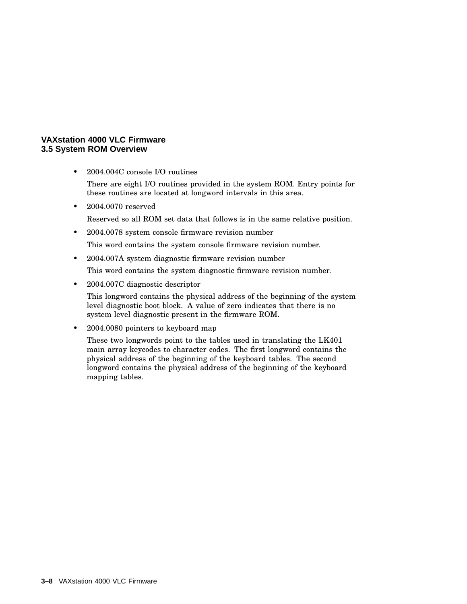#### **VAXstation 4000 VLC Firmware 3.5 System ROM Overview**

- 2004.004C console I/O routines There are eight I/O routines provided in the system ROM. Entry points for these routines are located at longword intervals in this area.
- 2004.0070 reserved
	- Reserved so all ROM set data that follows is in the same relative position.
- 2004.0078 system console firmware revision number

This word contains the system console firmware revision number.

• 2004.007A system diagnostic firmware revision number

This word contains the system diagnostic firmware revision number.

• 2004.007C diagnostic descriptor

This longword contains the physical address of the beginning of the system level diagnostic boot block. A value of zero indicates that there is no system level diagnostic present in the firmware ROM.

• 2004.0080 pointers to keyboard map

These two longwords point to the tables used in translating the LK401 main array keycodes to character codes. The first longword contains the physical address of the beginning of the keyboard tables. The second longword contains the physical address of the beginning of the keyboard mapping tables.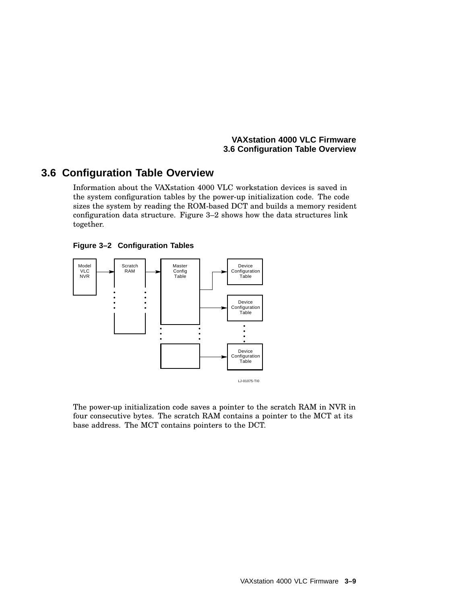# **3.6 Configuration Table Overview**

Information about the VAXstation 4000 VLC workstation devices is saved in the system configuration tables by the power-up initialization code. The code sizes the system by reading the ROM-based DCT and builds a memory resident configuration data structure. Figure 3–2 shows how the data structures link together.





The power-up initialization code saves a pointer to the scratch RAM in NVR in four consecutive bytes. The scratch RAM contains a pointer to the MCT at its base address. The MCT contains pointers to the DCT.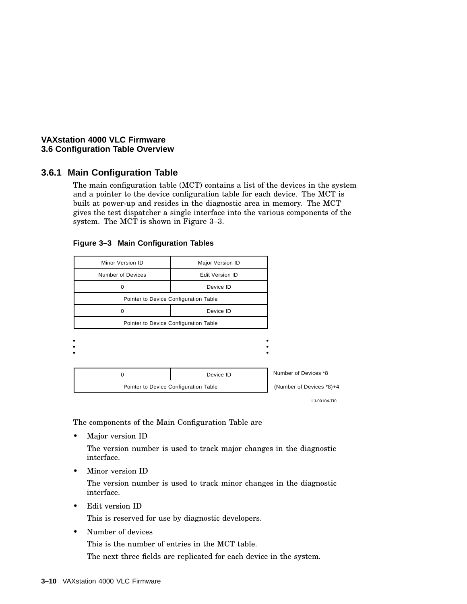## **3.6.1 Main Configuration Table**

The main configuration table (MCT) contains a list of the devices in the system and a pointer to the device configuration table for each device. The MCT is built at power-up and resides in the diagnostic area in memory. The MCT gives the test dispatcher a single interface into the various components of the system. The MCT is shown in Figure 3–3.

| Minor Version ID                      | Major Version ID                      |                          |  |  |
|---------------------------------------|---------------------------------------|--------------------------|--|--|
| Number of Devices                     | <b>Edit Version ID</b>                |                          |  |  |
| 0                                     | Device ID                             |                          |  |  |
|                                       | Pointer to Device Configuration Table |                          |  |  |
| 0                                     | Device ID                             |                          |  |  |
|                                       | Pointer to Device Configuration Table |                          |  |  |
|                                       |                                       |                          |  |  |
|                                       |                                       |                          |  |  |
|                                       |                                       |                          |  |  |
| 0                                     | Device ID                             | Number of Devices *8     |  |  |
| Pointer to Device Configuration Table |                                       | (Number of Devices *8)+4 |  |  |
|                                       |                                       | LJ-00104-TI0             |  |  |

#### **Figure 3–3 Main Configuration Tables**

The components of the Main Configuration Table are

Major version ID

The version number is used to track major changes in the diagnostic interface.

• Minor version ID

The version number is used to track minor changes in the diagnostic interface.

• Edit version ID

This is reserved for use by diagnostic developers.

• Number of devices

This is the number of entries in the MCT table.

The next three fields are replicated for each device in the system.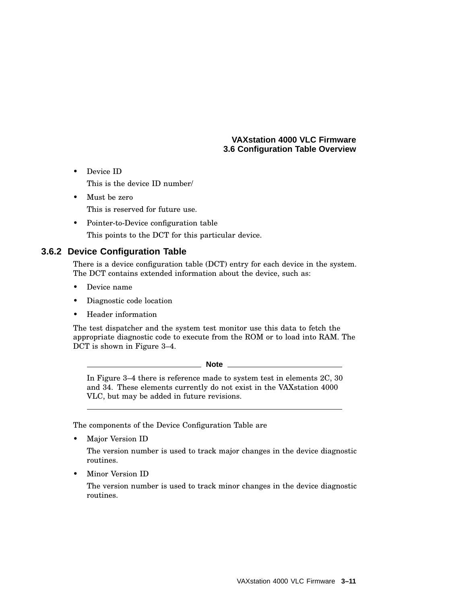• Device ID

This is the device ID number/

- Must be zero This is reserved for future use.
- Pointer-to-Device configuration table This points to the DCT for this particular device.

## **3.6.2 Device Configuration Table**

There is a device configuration table (DCT) entry for each device in the system. The DCT contains extended information about the device, such as:

- Device name
- Diagnostic code location
- Header information

The test dispatcher and the system test monitor use this data to fetch the appropriate diagnostic code to execute from the ROM or to load into RAM. The DCT is shown in Figure 3–4.

**Note** \_

In Figure 3–4 there is reference made to system test in elements 2C, 30 and 34. These elements currently do not exist in the VAXstation 4000 VLC, but may be added in future revisions.

The components of the Device Configuration Table are

• Major Version ID

The version number is used to track major changes in the device diagnostic routines.

• Minor Version ID

The version number is used to track minor changes in the device diagnostic routines.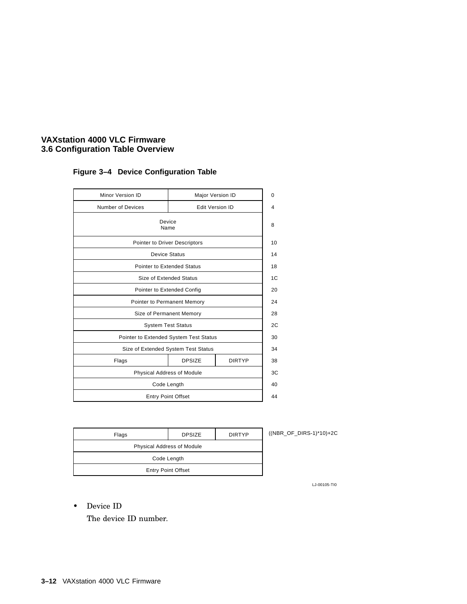| Minor Version ID            |                                        | Major Version ID       |
|-----------------------------|----------------------------------------|------------------------|
| Number of Devices           |                                        | <b>Edit Version ID</b> |
|                             | Device<br>Name                         |                        |
|                             | Pointer to Driver Descriptors          |                        |
|                             | Device Status                          |                        |
|                             | <b>Pointer to Extended Status</b>      |                        |
|                             | Size of Extended Status                |                        |
| Pointer to Extended Config  |                                        |                        |
| Pointer to Permanent Memory |                                        |                        |
| Size of Permanent Memory    |                                        |                        |
| <b>System Test Status</b>   |                                        |                        |
|                             | Pointer to Extended System Test Status |                        |
|                             | Size of Extended System Test Status    |                        |
| Flags                       | <b>DPSIZE</b>                          | <b>DIRTYP</b>          |
| Physical Address of Module  |                                        |                        |
|                             | Code Length                            |                        |
|                             | <b>Entry Point Offset</b>              |                        |

## **Figure 3–4 Device Configuration Table**

| Flags                      | <b>DPSIZE</b> | <b>DIRTYP</b> | (NBR |  |
|----------------------------|---------------|---------------|------|--|
| Physical Address of Module |               |               |      |  |
| Code Length                |               |               |      |  |
| <b>Entry Point Offset</b>  |               |               |      |  |
|                            |               |               |      |  |

 $D = DIRS-1$ <sup>\*</sup>10)+2C

LJ-00105-TI0

• Device ID

The device ID number.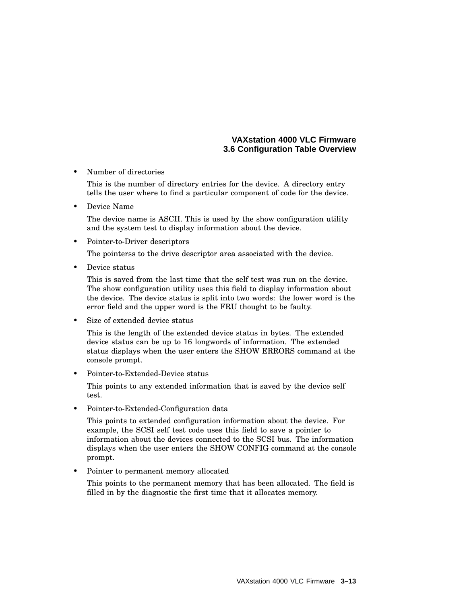• Number of directories

This is the number of directory entries for the device. A directory entry tells the user where to find a particular component of code for the device.

• Device Name

The device name is ASCII. This is used by the show configuration utility and the system test to display information about the device.

• Pointer-to-Driver descriptors

The pointerss to the drive descriptor area associated with the device.

• Device status

This is saved from the last time that the self test was run on the device. The show configuration utility uses this field to display information about the device. The device status is split into two words: the lower word is the error field and the upper word is the FRU thought to be faulty.

Size of extended device status

This is the length of the extended device status in bytes. The extended device status can be up to 16 longwords of information. The extended status displays when the user enters the SHOW ERRORS command at the console prompt.

• Pointer-to-Extended-Device status

This points to any extended information that is saved by the device self test.

• Pointer-to-Extended-Configuration data

This points to extended configuration information about the device. For example, the SCSI self test code uses this field to save a pointer to information about the devices connected to the SCSI bus. The information displays when the user enters the SHOW CONFIG command at the console prompt.

• Pointer to permanent memory allocated

This points to the permanent memory that has been allocated. The field is filled in by the diagnostic the first time that it allocates memory.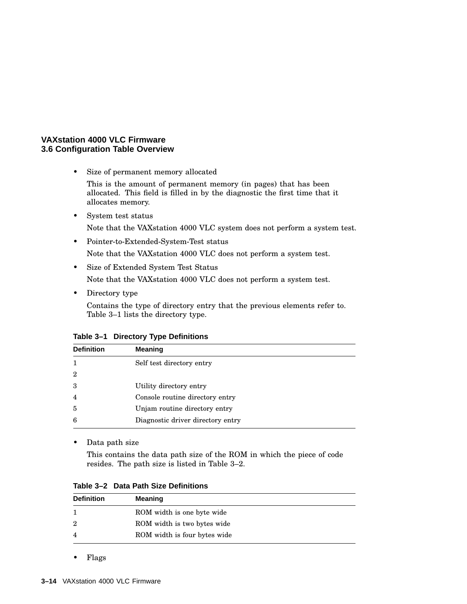• Size of permanent memory allocated

This is the amount of permanent memory (in pages) that has been allocated. This field is filled in by the diagnostic the first time that it allocates memory.

- System test status Note that the VAXstation 4000 VLC system does not perform a system test.
- Pointer-to-Extended-System-Test status Note that the VAXstation 4000 VLC does not perform a system test.
- Size of Extended System Test Status Note that the VAXstation 4000 VLC does not perform a system test.
- Directory type

Contains the type of directory entry that the previous elements refer to. Table 3–1 lists the directory type.

| Table 3-1 Directory Type Definitions |  |  |  |
|--------------------------------------|--|--|--|
|--------------------------------------|--|--|--|

| <b>Definition</b> | <b>Meaning</b>                    |
|-------------------|-----------------------------------|
|                   | Self test directory entry         |
| $\overline{2}$    |                                   |
| 3                 | Utility directory entry           |
| $\overline{4}$    | Console routine directory entry   |
| 5                 | Unjam routine directory entry     |
| 6                 | Diagnostic driver directory entry |

• Data path size

This contains the data path size of the ROM in which the piece of code resides. The path size is listed in Table 3–2.

**Table 3–2 Data Path Size Definitions**

| <b>Definition</b> | Meaning                      |
|-------------------|------------------------------|
|                   | ROM width is one byte wide   |
| 2                 | ROM width is two bytes wide  |
|                   | ROM width is four bytes wide |

• Flags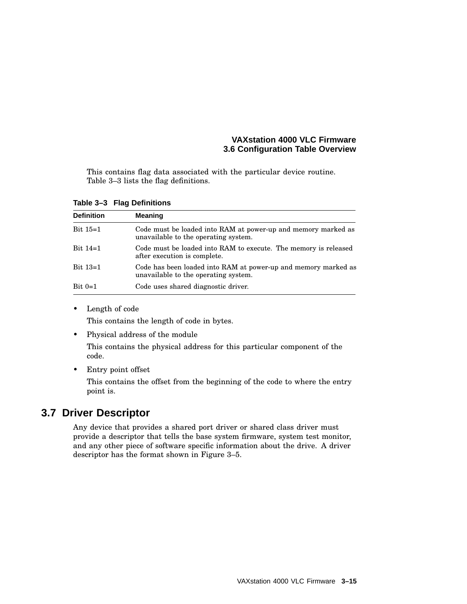This contains flag data associated with the particular device routine. Table 3–3 lists the flag definitions.

**Table 3–3 Flag Definitions**

| <b>Definition</b> | <b>Meaning</b>                                                                                         |
|-------------------|--------------------------------------------------------------------------------------------------------|
| Bit $15=1$        | Code must be loaded into RAM at power-up and memory marked as<br>unavailable to the operating system.  |
| Bit $14=1$        | Code must be loaded into RAM to execute. The memory is released<br>after execution is complete.        |
| Bit $13=1$        | Code has been loaded into RAM at power-up and memory marked as<br>unavailable to the operating system. |
| $Bit 0=1$         | Code uses shared diagnostic driver.                                                                    |

• Length of code

This contains the length of code in bytes.

• Physical address of the module

This contains the physical address for this particular component of the code.

• Entry point offset

This contains the offset from the beginning of the code to where the entry point is.

# **3.7 Driver Descriptor**

Any device that provides a shared port driver or shared class driver must provide a descriptor that tells the base system firmware, system test monitor, and any other piece of software specific information about the drive. A driver descriptor has the format shown in Figure 3–5.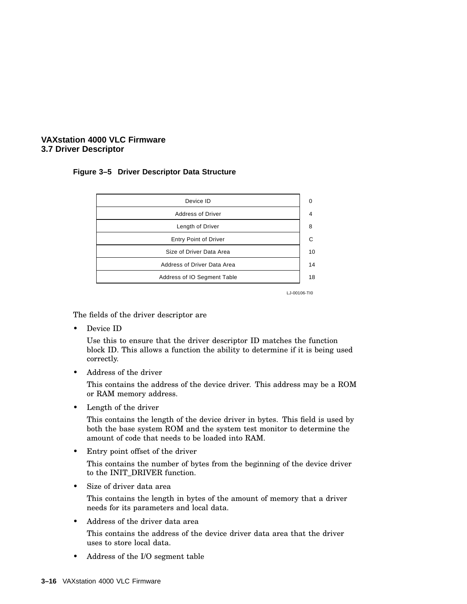#### **VAXstation 4000 VLC Firmware 3.7 Driver Descriptor**

#### **Figure 3–5 Driver Descriptor Data Structure**



LJ-00106-TI0

The fields of the driver descriptor are

Device ID

Use this to ensure that the driver descriptor ID matches the function block ID. This allows a function the ability to determine if it is being used correctly.

• Address of the driver

This contains the address of the device driver. This address may be a ROM or RAM memory address.

• Length of the driver

This contains the length of the device driver in bytes. This field is used by both the base system ROM and the system test monitor to determine the amount of code that needs to be loaded into RAM.

• Entry point offset of the driver

This contains the number of bytes from the beginning of the device driver to the INIT\_DRIVER function.

Size of driver data area

This contains the length in bytes of the amount of memory that a driver needs for its parameters and local data.

• Address of the driver data area

This contains the address of the device driver data area that the driver uses to store local data.

• Address of the I/O segment table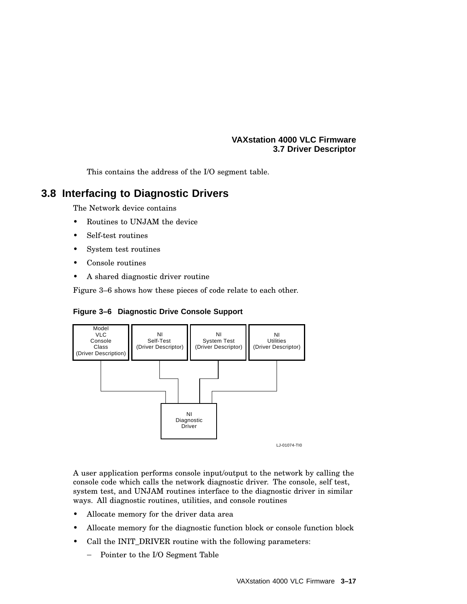#### **VAXstation 4000 VLC Firmware 3.7 Driver Descriptor**

This contains the address of the I/O segment table.

# **3.8 Interfacing to Diagnostic Drivers**

The Network device contains

- Routines to UNJAM the device
- Self-test routines
- System test routines
- Console routines
- A shared diagnostic driver routine

Figure 3–6 shows how these pieces of code relate to each other.





A user application performs console input/output to the network by calling the console code which calls the network diagnostic driver. The console, self test, system test, and UNJAM routines interface to the diagnostic driver in similar ways. All diagnostic routines, utilities, and console routines

- Allocate memory for the driver data area
- Allocate memory for the diagnostic function block or console function block
- Call the INIT\_DRIVER routine with the following parameters:
	- Pointer to the I/O Segment Table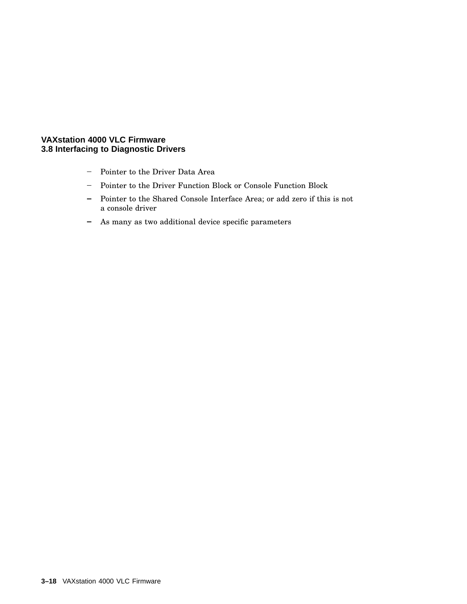#### **VAXstation 4000 VLC Firmware 3.8 Interfacing to Diagnostic Drivers**

- Pointer to the Driver Data Area
- Pointer to the Driver Function Block or Console Function Block
- Pointer to the Shared Console Interface Area; or add zero if this is not a console driver
- As many as two additional device specific parameters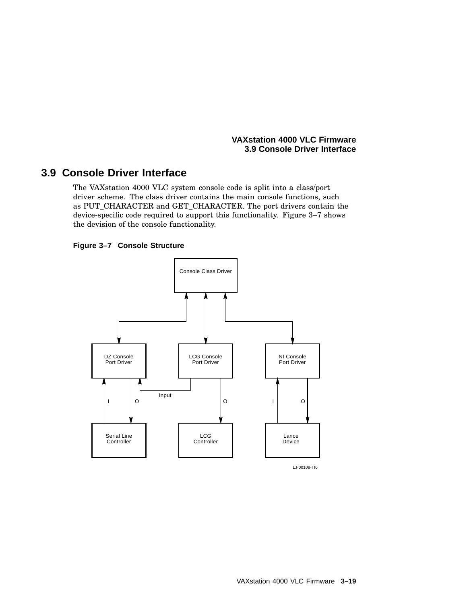#### **VAXstation 4000 VLC Firmware 3.9 Console Driver Interface**

# **3.9 Console Driver Interface**

The VAXstation 4000 VLC system console code is split into a class/port driver scheme. The class driver contains the main console functions, such as PUT\_CHARACTER and GET\_CHARACTER. The port drivers contain the device-specific code required to support this functionality. Figure 3–7 shows the devision of the console functionality.

#### **Figure 3–7 Console Structure**

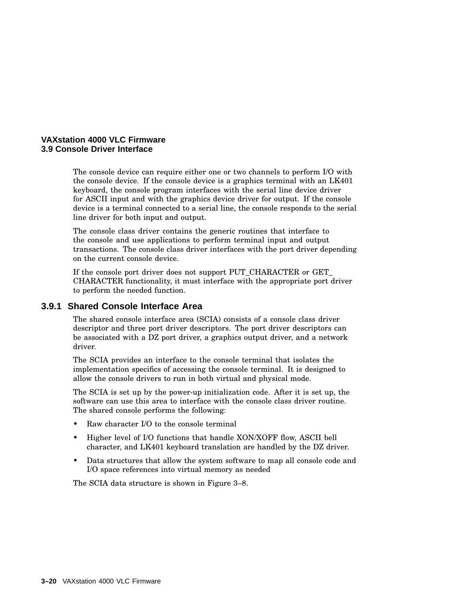

The console device can require either one or two channels to perform I/O with the console device. If the console device is a graphics terminal with an LK401 keyboard, the console program interfaces with the serial line device driver for ASCII input and with the graphics device driver for output. If the console device is a terminal connected to a serial line, the console responds to the serial line driver for both input and output.

The console class driver contains the generic routines that interface to the console and use applications to perform terminal input and output transactions. The console class driver interfaces with the port driver depending on the current console device.

If the console port driver does not support PUT\_CHARACTER or GET\_ CHARACTER functionality, it must interface with the appropriate port driver to perform the needed function.

#### **3.9.1 Shared Console Interface Area**

The shared console interface area (SCIA) consists of a console class driver descriptor and three port driver descriptors. The port driver descriptors can be associated with a DZ port driver, a graphics output driver, and a network driver.

The SCIA provides an interface to the console terminal that isolates the implementation specifics of accessing the console terminal. It is designed to allow the console drivers to run in both virtual and physical mode.

The SCIA is set up by the power-up initialization code. After it is set up, the software can use this area to interface with the console class driver routine. The shared console performs the following:

- Raw character I/O to the console terminal
- Higher level of I/O functions that handle XON/XOFF flow, ASCII bell character, and LK401 keyboard translation are handled by the DZ driver.
- Data structures that allow the system software to map all console code and I/O space references into virtual memory as needed

The SCIA data structure is shown in Figure 3–8.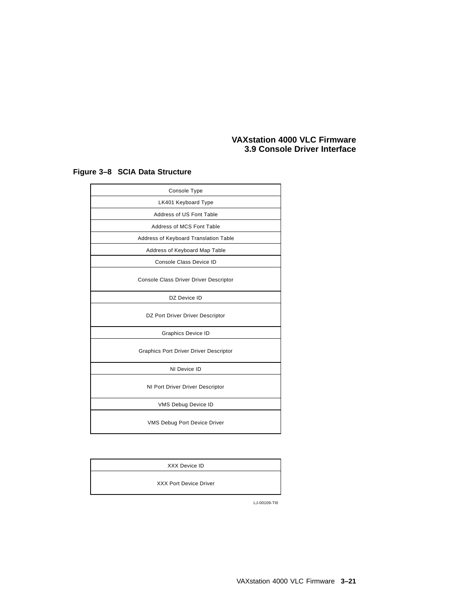## **VAXstation 4000 VLC Firmware 3.9 Console Driver Interface**

| Console Type                                  |
|-----------------------------------------------|
| LK401 Keyboard Type                           |
| Address of US Font Table                      |
| Address of MCS Font Table                     |
| Address of Keyboard Translation Table         |
| Address of Keyboard Map Table                 |
| Console Class Device ID                       |
| Console Class Driver Driver Descriptor        |
| DZ Device ID                                  |
| DZ Port Driver Driver Descriptor              |
| <b>Graphics Device ID</b>                     |
| <b>Graphics Port Driver Driver Descriptor</b> |
| NI Device ID                                  |
| NI Port Driver Driver Descriptor              |
| VMS Debug Device ID                           |
| VMS Debug Port Device Driver                  |

# **Figure 3–8 SCIA Data Structure**

| XXX Device ID                 |
|-------------------------------|
| <b>XXX Port Device Driver</b> |

LJ-00109-TI0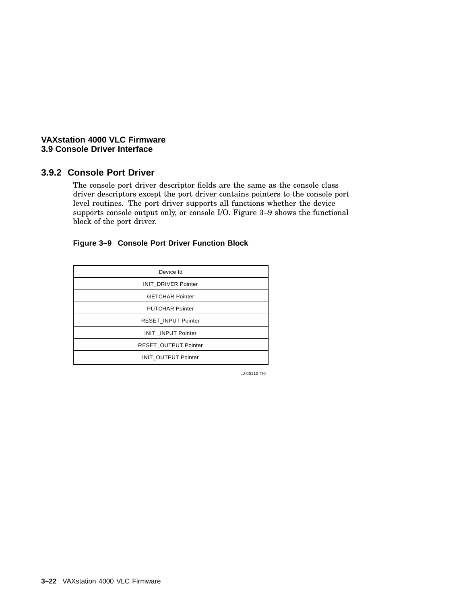#### **VAXstation 4000 VLC Firmware 3.9 Console Driver Interface**

## **3.9.2 Console Port Driver**

The console port driver descriptor fields are the same as the console class driver descriptors except the port driver contains pointers to the console port level routines. The port driver supports all functions whether the device supports console output only, or console I/O. Figure 3–9 shows the functional block of the port driver.

## **Figure 3–9 Console Port Driver Function Block**

| Device Id                  |
|----------------------------|
| <b>INIT DRIVER Pointer</b> |
| <b>GETCHAR Pointer</b>     |
| <b>PUTCHAR Pointer</b>     |
| RESET_INPUT Pointer        |
| INIT INPUT Pointer         |
| RESET OUTPUT Pointer       |
| INIT_OUTPUT Pointer        |

LJ-00110-TI0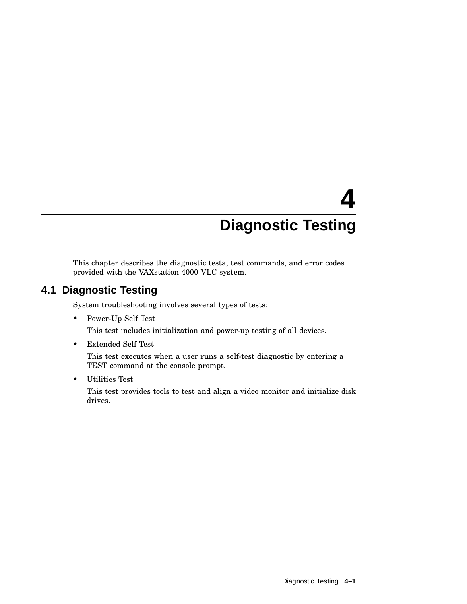# **4 Diagnostic Testing**

This chapter describes the diagnostic testa, test commands, and error codes provided with the VAXstation 4000 VLC system.

# **4.1 Diagnostic Testing**

System troubleshooting involves several types of tests:

• Power-Up Self Test

This test includes initialization and power-up testing of all devices.

• Extended Self Test

This test executes when a user runs a self-test diagnostic by entering a TEST command at the console prompt.

• Utilities Test

This test provides tools to test and align a video monitor and initialize disk drives.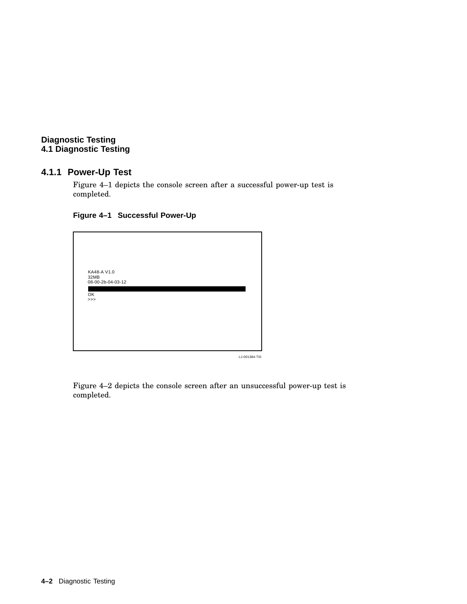## **4.1.1 Power-Up Test**

Figure 4–1 depicts the console screen after a successful power-up test is completed.

#### **Figure 4–1 Successful Power-Up**

| KA48-A V1.0<br>32MB<br>08-00-2b-04-03-12 |               |
|------------------------------------------|---------------|
| OK<br>>>                                 |               |
|                                          |               |
|                                          |               |
|                                          | LJ-001384-TIC |

Figure 4–2 depicts the console screen after an unsuccessful power-up test is completed.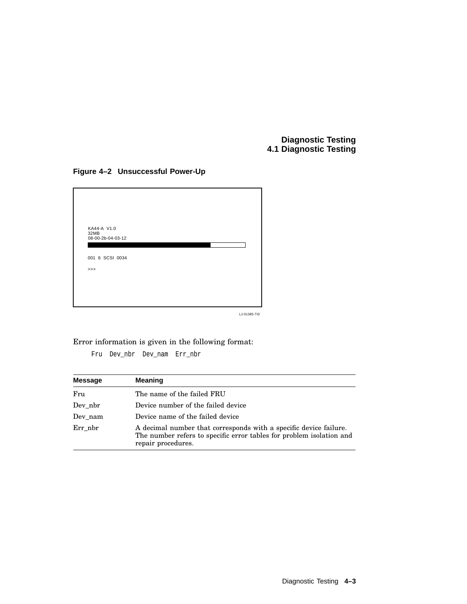## **Figure 4–2 Unsuccessful Power-Up**



LJ-01385-TI0

Error information is given in the following format:

Fru Dev\_nbr Dev\_nam Err\_nbr

| <b>Message</b> | <b>Meaning</b>                                                                                                                                                  |
|----------------|-----------------------------------------------------------------------------------------------------------------------------------------------------------------|
| Fru            | The name of the failed FRU                                                                                                                                      |
| Dev nbr        | Device number of the failed device                                                                                                                              |
| Dev nam        | Device name of the failed device                                                                                                                                |
| Err nbr        | A decimal number that corresponds with a specific device failure.<br>The number refers to specific error tables for problem isolation and<br>repair procedures. |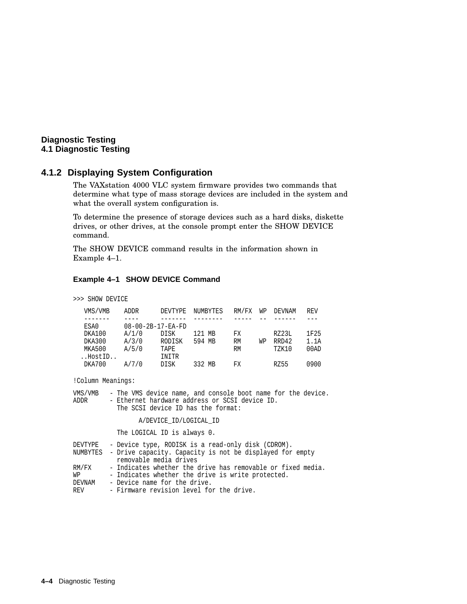### **4.1.2 Displaying System Configuration**

The VAXstation 4000 VLC system firmware provides two commands that determine what type of mass storage devices are included in the system and what the overall system configuration is.

To determine the presence of storage devices such as a hard disks, diskette drives, or other drives, at the console prompt enter the SHOW DEVICE command.

The SHOW DEVICE command results in the information shown in Example 4–1.

#### **Example 4–1 SHOW DEVICE Command**

>>> SHOW DEVICE

| VMS/VMB | ADDR  | DEVTYPE                       | NUMBYTES | RM/FX     | WP | DEVNAM       | REV  |
|---------|-------|-------------------------------|----------|-----------|----|--------------|------|
|         |       |                               |          |           |    |              |      |
| ESA0    |       | $08 - 00 - 2B - 17 - EA - FD$ |          |           |    |              |      |
| DKA100  | A/1/0 | DISK                          | 121 MB   | FX        |    | RZ23L        | 1F25 |
| DKA300  | A/3/0 | RODISK                        | 594 MB   | <b>RM</b> | WР | RRD42        | 1.1A |
| MKA500  | A/5/0 | TAPE                          |          | <b>RM</b> |    | <b>TZK10</b> | 00AD |
| HostID  |       | INITR                         |          |           |    |              |      |
| DKA700  | A/7/0 | DISK                          | 332 MB   | FX        |    | RZ55         | 0900 |

!Column Meanings:

| VMS/VMB |  |                                                |  |  |  |  | - The VMS device name, and console boot name for the device. |  |
|---------|--|------------------------------------------------|--|--|--|--|--------------------------------------------------------------|--|
| ADDR    |  | - Ethernet hardware address or SCSI device ID. |  |  |  |  |                                                              |  |
|         |  | The SCSI device ID has the format:             |  |  |  |  |                                                              |  |

A/DEVICE\_ID/LOGICAL\_ID

The LOGICAL ID is always 0.

| DEVTYPE | - Device type, RODISK is a read-only disk (CDROM).                |
|---------|-------------------------------------------------------------------|
|         | NUMBYTES - Drive capacity. Capacity is not be displayed for empty |
|         | removable media drives                                            |
| RM/FX   | - Indicates whether the drive has removable or fixed media.       |
| WP      | - Indicates whether the drive is write protected.                 |
| DEVNAM  | - Device name for the drive.                                      |
| REV     | - Firmware revision level for the drive.                          |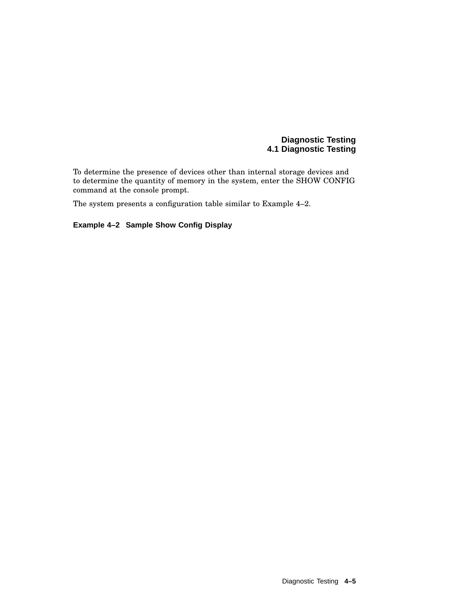To determine the presence of devices other than internal storage devices and to determine the quantity of memory in the system, enter the SHOW CONFIG command at the console prompt.

The system presents a configuration table similar to Example 4–2.

## **Example 4–2 Sample Show Config Display**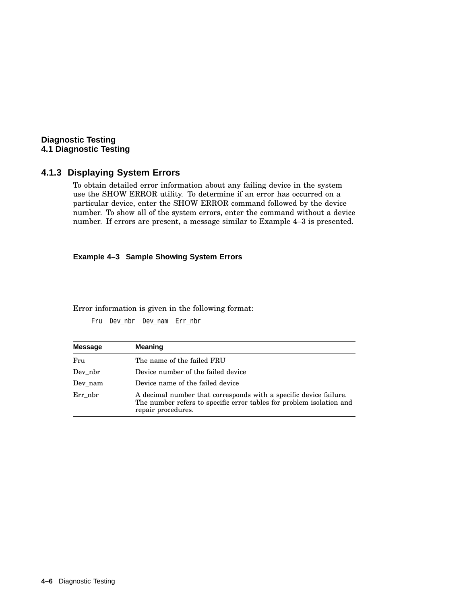# **Diagnostic Testing 4.1 Diagnostic Testing**

# **4.1.3 Displaying System Errors**

To obtain detailed error information about any failing device in the system use the SHOW ERROR utility. To determine if an error has occurred on a particular device, enter the SHOW ERROR command followed by the device number. To show all of the system errors, enter the command without a device number. If errors are present, a message similar to Example 4–3 is presented.

#### **Example 4–3 Sample Showing System Errors**

Error information is given in the following format:

Fru Dev\_nbr Dev\_nam Err\_nbr

| <b>Message</b> | <b>Meaning</b>                                                                                                                                                  |
|----------------|-----------------------------------------------------------------------------------------------------------------------------------------------------------------|
| Fru            | The name of the failed FRU                                                                                                                                      |
| Dev nbr        | Device number of the failed device                                                                                                                              |
| Dev nam        | Device name of the failed device                                                                                                                                |
| Err nbr        | A decimal number that corresponds with a specific device failure.<br>The number refers to specific error tables for problem isolation and<br>repair procedures. |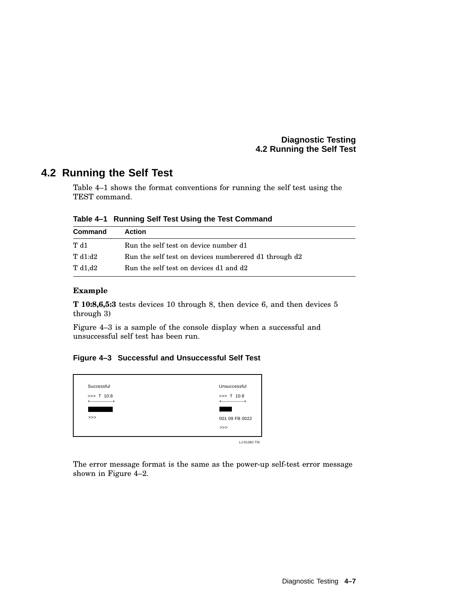# **4.2 Running the Self Test**

Table 4–1 shows the format conventions for running the self test using the TEST command.

| Table 4-1 Running Self Test Using the Test Command |  |  |
|----------------------------------------------------|--|--|
|                                                    |  |  |

| Command    | <b>Action</b>                                         |
|------------|-------------------------------------------------------|
| T d1       | Run the self test on device number d1                 |
| T d1:d2    | Run the self test on devices numberered d1 through d2 |
| T d $1,d2$ | Run the self test on devices d1 and d2                |

#### **Example**

**T 10:8,6,5:3** tests devices 10 through 8, then device 6, and then devices 5 through 3)

Figure 4–3 is a sample of the console display when a successful and unsuccessful self test has been run.

# **Figure 4–3 Successful and Unsuccessful Self Test**



The error message format is the same as the power-up self-test error message shown in Figure 4–2.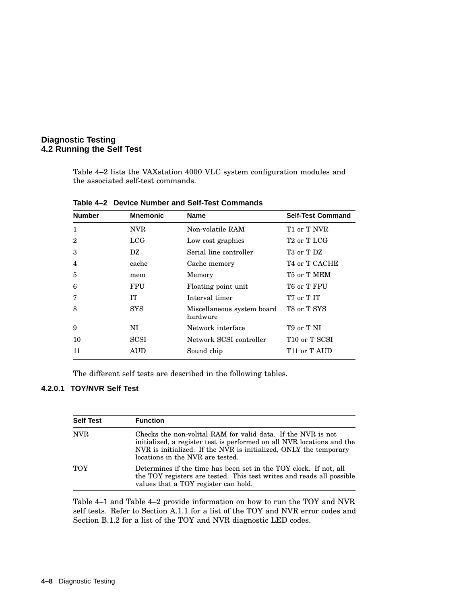Table 4–2 lists the VAXstation 4000 VLC system configuration modules and the associated self-test commands.

| <b>Number</b>  | <b>Mnemonic</b> | <b>Name</b>                            | <b>Self-Test Command</b>             |
|----------------|-----------------|----------------------------------------|--------------------------------------|
| 1              | NVR.            | Non-volatile RAM                       | T1 or T NVR                          |
| $\overline{2}$ | LCG             | Low cost graphics                      | T <sub>2</sub> or T <sub>LCG</sub>   |
| 3              | DZ              | Serial line controller                 | T <sub>3</sub> or T <sub>DZ</sub>    |
| 4              | cache           | Cache memory                           | T <sub>4</sub> or T CACHE            |
| 5              | mem             | Memory                                 | T5 or T MEM                          |
| 6              | <b>FPU</b>      | Floating point unit                    | T6 or T FPU                          |
| 7              | TТ              | Interval timer                         | T <sub>7</sub> or T <sub>IT</sub>    |
| 8              | <b>SYS</b>      | Miscellaneous system board<br>hardware | T8 or T SYS                          |
| 9              | NI              | Network interface                      | T <sub>9</sub> or T NI               |
| 10             | SCSI            | Network SCSI controller                | T <sub>10</sub> or T <sub>SCSI</sub> |
| 11             | AUD             | Sound chip                             | T <sub>11</sub> or T AUD             |

**Table 4–2 Device Number and Self-Test Commands**

The different self tests are described in the following tables.

#### **4.2.0.1 TOY/NVR Self Test**

| <b>Self Test</b> | <b>Function</b>                                                                                                                                                                                                                                 |
|------------------|-------------------------------------------------------------------------------------------------------------------------------------------------------------------------------------------------------------------------------------------------|
| <b>NVR</b>       | Checks the non-volital RAM for valid data. If the NVR is not<br>initialized, a register test is performed on all NVR locations and the<br>NVR is initialized. If the NVR is initialized, ONLY the temporary<br>locations in the NVR are tested. |
| <b>TOY</b>       | Determines if the time has been set in the TOY clock. If not, all<br>the TOY registers are tested. This test writes and reads all possible<br>values that a TOY register can hold.                                                              |

Table 4–1 and Table 4–2 provide information on how to run the TOY and NVR self tests. Refer to Section A.1.1 for a list of the TOY and NVR error codes and Section B.1.2 for a list of the TOY and NVR diagnostic LED codes.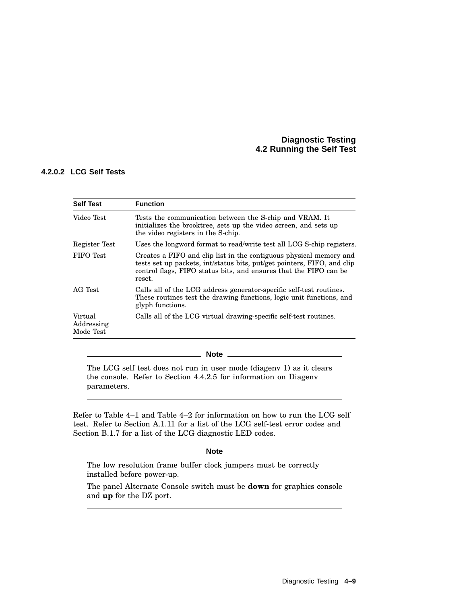#### **4.2.0.2 LCG Self Tests**

| <b>Self Test</b>                   | <b>Function</b>                                                                                                                                                                                                              |
|------------------------------------|------------------------------------------------------------------------------------------------------------------------------------------------------------------------------------------------------------------------------|
| Video Test                         | Tests the communication between the S-chip and VRAM. It<br>initializes the brooktree, sets up the video screen, and sets up<br>the video registers in the S-chip.                                                            |
| Register Test                      | Uses the longword format to read/write test all LCG S-chip registers.                                                                                                                                                        |
| FIFO Test                          | Creates a FIFO and clip list in the contiguous physical memory and<br>tests set up packets, int/status bits, put/get pointers, FIFO, and clip<br>control flags, FIFO status bits, and ensures that the FIFO can be<br>reset. |
| AG Test                            | Calls all of the LCG address generator-specific self-test routines.<br>These routines test the drawing functions, logic unit functions, and<br>glyph functions.                                                              |
| Virtual<br>Addressing<br>Mode Test | Calls all of the LCG virtual drawing-specific self-test routines.                                                                                                                                                            |

**Note**

The LCG self test does not run in user mode (diagenv 1) as it clears the console. Refer to Section 4.4.2.5 for information on Diagenv parameters.

Refer to Table 4–1 and Table 4–2 for information on how to run the LCG self test. Refer to Section A.1.11 for a list of the LCG self-test error codes and Section B.1.7 for a list of the LCG diagnostic LED codes.

#### **Note**

The low resolution frame buffer clock jumpers must be correctly installed before power-up.

The panel Alternate Console switch must be **down** for graphics console and **up** for the DZ port.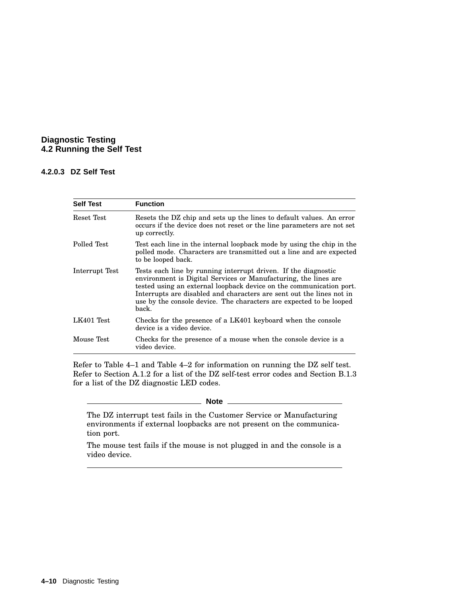#### **4.2.0.3 DZ Self Test**

| <b>Self Test</b> | <b>Function</b>                                                                                                                                                                                                                                                                                                                                                  |
|------------------|------------------------------------------------------------------------------------------------------------------------------------------------------------------------------------------------------------------------------------------------------------------------------------------------------------------------------------------------------------------|
| Reset Test       | Resets the DZ chip and sets up the lines to default values. An error<br>occurs if the device does not reset or the line parameters are not set<br>up correctly.                                                                                                                                                                                                  |
| Polled Test      | Test each line in the internal loopback mode by using the chip in the<br>polled mode. Characters are transmitted out a line and are expected<br>to be looped back.                                                                                                                                                                                               |
| Interrupt Test   | Tests each line by running interrupt driven. If the diagnostic<br>environment is Digital Services or Manufacturing, the lines are<br>tested using an external loopback device on the communication port.<br>Interrupts are disabled and characters are sent out the lines not in<br>use by the console device. The characters are expected to be looped<br>back. |
| LK401 Test       | Checks for the presence of a LK401 keyboard when the console<br>device is a video device.                                                                                                                                                                                                                                                                        |
| Mouse Test       | Checks for the presence of a mouse when the console device is a<br>video device.                                                                                                                                                                                                                                                                                 |

Refer to Table 4–1 and Table 4–2 for information on running the DZ self test. Refer to Section A.1.2 for a list of the DZ self-test error codes and Section B.1.3 for a list of the DZ diagnostic LED codes.

#### **Note**

The DZ interrupt test fails in the Customer Service or Manufacturing environments if external loopbacks are not present on the communication port.

The mouse test fails if the mouse is not plugged in and the console is a video device.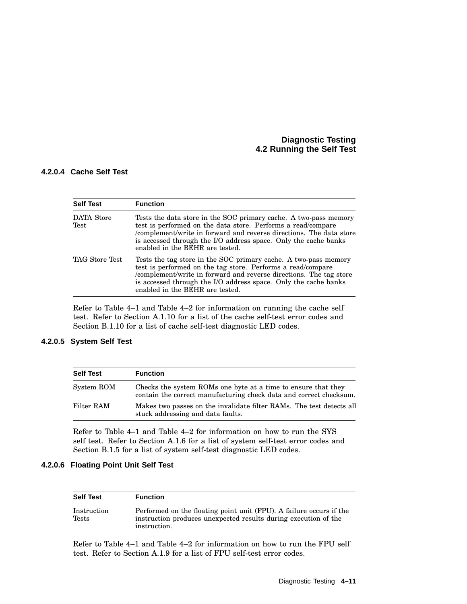#### **4.2.0.4 Cache Self Test**

| <b>Self Test</b>          | <b>Function</b>                                                                                                                                                                                                                                                                                               |  |
|---------------------------|---------------------------------------------------------------------------------------------------------------------------------------------------------------------------------------------------------------------------------------------------------------------------------------------------------------|--|
| <b>DATA</b> Store<br>Test | Tests the data store in the SOC primary cache. A two-pass memory<br>test is performed on the data store. Performs a read/compare<br>/complement/write in forward and reverse directions. The data store<br>is accessed through the I/O address space. Only the cache banks<br>enabled in the BEHR are tested. |  |
| TAG Store Test            | Tests the tag store in the SOC primary cache. A two-pass memory<br>test is performed on the tag store. Performs a read/compare<br>/complement/write in forward and reverse directions. The tag store<br>is accessed through the I/O address space. Only the cache banks<br>enabled in the BEHR are tested.    |  |

Refer to Table 4–1 and Table 4–2 for information on running the cache self test. Refer to Section A.1.10 for a list of the cache self-test error codes and Section B.1.10 for a list of cache self-test diagnostic LED codes.

# **4.2.0.5 System Self Test**

| <b>Self Test</b> | <b>Function</b>                                                                                                                     |
|------------------|-------------------------------------------------------------------------------------------------------------------------------------|
| System ROM       | Checks the system ROMs one byte at a time to ensure that they<br>contain the correct manufacturing check data and correct checksum. |
| Filter RAM       | Makes two passes on the invalidate filter RAMs. The test detects all<br>stuck addressing and data faults.                           |

Refer to Table 4–1 and Table 4–2 for information on how to run the SYS self test. Refer to Section A.1.6 for a list of system self-test error codes and Section B.1.5 for a list of system self-test diagnostic LED codes.

#### **4.2.0.6 Floating Point Unit Self Test**

| <b>Self Test</b>     | <b>Function</b>                                                                                                                                        |
|----------------------|--------------------------------------------------------------------------------------------------------------------------------------------------------|
| Instruction<br>Tests | Performed on the floating point unit (FPU). A failure occurs if the<br>instruction produces unexpected results during execution of the<br>instruction. |

Refer to Table 4–1 and Table 4–2 for information on how to run the FPU self test. Refer to Section A.1.9 for a list of FPU self-test error codes.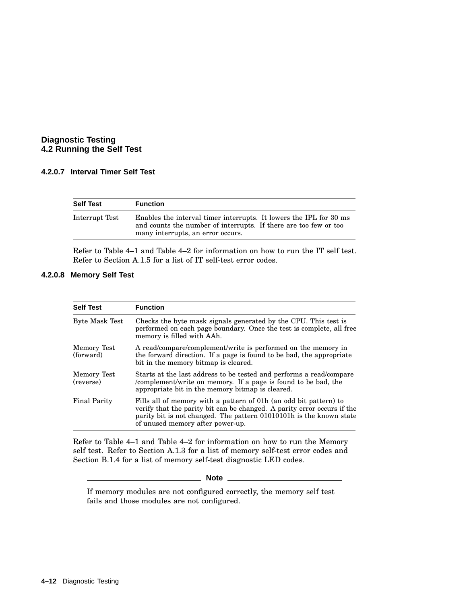#### **4.2.0.7 Interval Timer Self Test**

| <b>Self Test</b> | <b>Function</b>                                                                                                                                                             |
|------------------|-----------------------------------------------------------------------------------------------------------------------------------------------------------------------------|
| Interrupt Test   | Enables the interval timer interrupts. It lowers the IPL for 30 ms<br>and counts the number of interrupts. If there are too few or too<br>many interrupts, an error occurs. |

Refer to Table 4–1 and Table 4–2 for information on how to run the IT self test. Refer to Section A.1.5 for a list of IT self-test error codes.

# **4.2.0.8 Memory Self Test**

| <b>Self Test</b>         | <b>Function</b>                                                                                                                                                                                                                                         |
|--------------------------|---------------------------------------------------------------------------------------------------------------------------------------------------------------------------------------------------------------------------------------------------------|
| <b>Byte Mask Test</b>    | Checks the byte mask signals generated by the CPU. This test is<br>performed on each page boundary. Once the test is complete, all free<br>memory is filled with AAh.                                                                                   |
| Memory Test<br>(forward) | A read/compare/complement/write is performed on the memory in<br>the forward direction. If a page is found to be bad, the appropriate<br>bit in the memory bitmap is cleared.                                                                           |
| Memory Test<br>(reverse) | Starts at the last address to be tested and performs a read/compare<br>/complement/write on memory. If a page is found to be bad, the<br>appropriate bit in the memory bitmap is cleared.                                                               |
| <b>Final Parity</b>      | Fills all of memory with a pattern of 01h (an odd bit pattern) to<br>verify that the parity bit can be changed. A parity error occurs if the<br>parity bit is not changed. The pattern 01010101h is the known state<br>of unused memory after power-up. |

Refer to Table 4–1 and Table 4–2 for information on how to run the Memory self test. Refer to Section A.1.3 for a list of memory self-test error codes and Section B.1.4 for a list of memory self-test diagnostic LED codes.

**Note**

If memory modules are not configured correctly, the memory self test fails and those modules are not configured.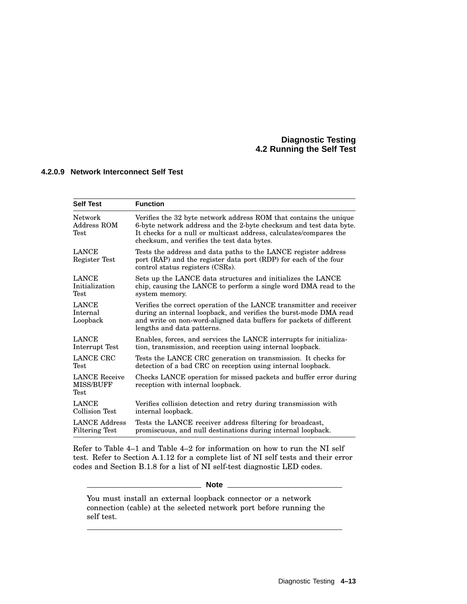#### **4.2.0.9 Network Interconnect Self Test**

| <b>Self Test</b>                                 | <b>Function</b>                                                                                                                                                                                                                                              |
|--------------------------------------------------|--------------------------------------------------------------------------------------------------------------------------------------------------------------------------------------------------------------------------------------------------------------|
| Network<br>Address ROM<br>${\rm Test}$           | Verifies the 32 byte network address ROM that contains the unique<br>6-byte network address and the 2-byte checksum and test data byte.<br>It checks for a null or multicast address, calculates/compares the<br>checksum, and verifies the test data bytes. |
| <b>LANCE</b><br>Register Test                    | Tests the address and data paths to the LANCE register address<br>port (RAP) and the register data port (RDP) for each of the four<br>control status registers (CSRs).                                                                                       |
| <b>LANCE</b>                                     | Sets up the LANCE data structures and initializes the LANCE                                                                                                                                                                                                  |
| Initialization                                   | chip, causing the LANCE to perform a single word DMA read to the                                                                                                                                                                                             |
| Test                                             | system memory.                                                                                                                                                                                                                                               |
| <b>LANCE</b><br>Internal<br>Loopback             | Verifies the correct operation of the LANCE transmitter and receiver<br>during an internal loopback, and verifies the burst-mode DMA read<br>and write on non-word-aligned data buffers for packets of different<br>lengths and data patterns.               |
| <b>LANCE</b>                                     | Enables, forces, and services the LANCE interrupts for initializa-                                                                                                                                                                                           |
| Interrupt Test                                   | tion, transmission, and reception using internal loopback.                                                                                                                                                                                                   |
| LANCE CRC                                        | Tests the LANCE CRC generation on transmission. It checks for                                                                                                                                                                                                |
| Test                                             | detection of a bad CRC on reception using internal loopback.                                                                                                                                                                                                 |
| <b>LANCE</b> Receive<br><b>MISS/BUFF</b><br>Test | Checks LANCE operation for missed packets and buffer error during<br>reception with internal loopback.                                                                                                                                                       |
| <b>LANCE</b>                                     | Verifies collision detection and retry during transmission with                                                                                                                                                                                              |
| <b>Collision Test</b>                            | internal loopback.                                                                                                                                                                                                                                           |
| <b>LANCE Address</b>                             | Tests the LANCE receiver address filtering for broadcast,                                                                                                                                                                                                    |
| <b>Filtering Test</b>                            | promiscuous, and null destinations during internal loopback.                                                                                                                                                                                                 |

Refer to Table 4–1 and Table 4–2 for information on how to run the NI self test. Refer to Section A.1.12 for a complete list of NI self tests and their error codes and Section B.1.8 for a list of NI self-test diagnostic LED codes.

**Note**

You must install an external loopback connector or a network connection (cable) at the selected network port before running the self test.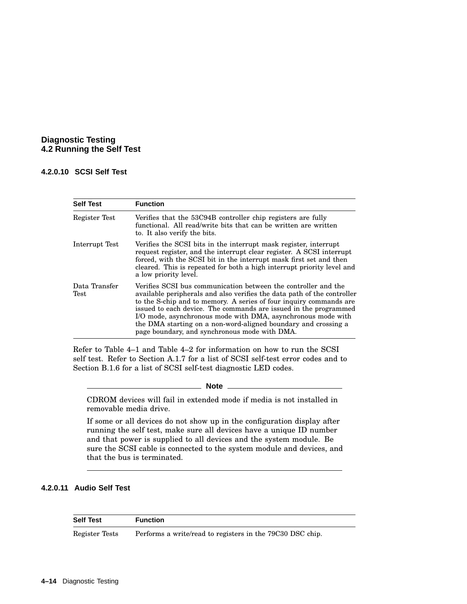#### **4.2.0.10 SCSI Self Test**

| <b>Self Test</b>      | <b>Function</b>                                                                                                                                                                                                                                                                                                                                                                                                                                                        |
|-----------------------|------------------------------------------------------------------------------------------------------------------------------------------------------------------------------------------------------------------------------------------------------------------------------------------------------------------------------------------------------------------------------------------------------------------------------------------------------------------------|
| Register Test         | Verifies that the 53C94B controller chip registers are fully<br>functional. All read/write bits that can be written are written<br>to. It also verify the bits.                                                                                                                                                                                                                                                                                                        |
| Interrupt Test        | Verifies the SCSI bits in the interrupt mask register, interrupt<br>request register, and the interrupt clear register. A SCSI interrupt<br>forced, with the SCSI bit in the interrupt mask first set and then<br>cleared. This is repeated for both a high interrupt priority level and<br>a low priority level.                                                                                                                                                      |
| Data Transfer<br>Test | Verifies SCSI bus communication between the controller and the<br>available peripherals and also verifies the data path of the controller<br>to the S-chip and to memory. A series of four inquiry commands are<br>issued to each device. The commands are issued in the programmed<br>I/O mode, asynchronous mode with DMA, asynchronous mode with<br>the DMA starting on a non-word-aligned boundary and crossing a<br>page boundary, and synchronous mode with DMA. |

Refer to Table 4–1 and Table 4–2 for information on how to run the SCSI self test. Refer to Section A.1.7 for a list of SCSI self-test error codes and to Section B.1.6 for a list of SCSI self-test diagnostic LED codes.

**Note**

CDROM devices will fail in extended mode if media is not installed in removable media drive.

If some or all devices do not show up in the configuration display after running the self test, make sure all devices have a unique ID number and that power is supplied to all devices and the system module. Be sure the SCSI cable is connected to the system module and devices, and that the bus is terminated.

# **4.2.0.11 Audio Self Test**

| <b>Self Test</b> | <b>Function</b>                                           |
|------------------|-----------------------------------------------------------|
| Register Tests   | Performs a write/read to registers in the 79C30 DSC chip. |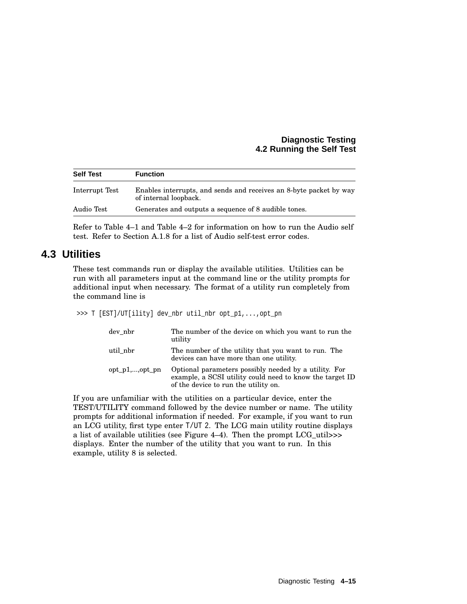| <b>Self Test</b> | <b>Function</b>                                                                             |
|------------------|---------------------------------------------------------------------------------------------|
| Interrupt Test   | Enables interrupts, and sends and receives an 8-byte packet by way<br>of internal loopback. |
| Audio Test       | Generates and outputs a sequence of 8 audible tones.                                        |

Refer to Table 4–1 and Table 4–2 for information on how to run the Audio self test. Refer to Section A.1.8 for a list of Audio self-test error codes.

# **4.3 Utilities**

These test commands run or display the available utilities. Utilities can be run with all parameters input at the command line or the utility prompts for additional input when necessary. The format of a utility run completely from the command line is

>>> T [EST]/UT[ility] dev\_nbr util\_nbr opt\_p1,...,opt\_pn

| dev nbr            | The number of the device on which you want to run the<br>utility                                                                                          |
|--------------------|-----------------------------------------------------------------------------------------------------------------------------------------------------------|
| util_nbr           | The number of the utility that you want to run. The<br>devices can have more than one utility.                                                            |
| $opt\_p1$ ,,opt pn | Optional parameters possibly needed by a utility. For<br>example, a SCSI utility could need to know the target ID<br>of the device to run the utility on. |

If you are unfamiliar with the utilities on a particular device, enter the TEST/UTILITY command followed by the device number or name. The utility prompts for additional information if needed. For example, if you want to run an LCG utility, first type enter T/UT 2. The LCG main utility routine displays a list of available utilities (see Figure 4–4). Then the prompt LCG\_util>>> displays. Enter the number of the utility that you want to run. In this example, utility 8 is selected.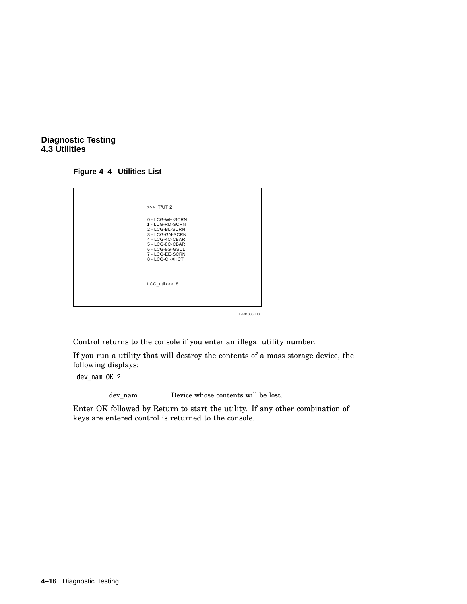#### **Diagnostic Testing 4.3 Utilities**

#### **Figure 4–4 Utilities List**

| $\Rightarrow$ T/UT 2                                                                                                                                                    |
|-------------------------------------------------------------------------------------------------------------------------------------------------------------------------|
| 0 - LCG-WH-SCRN<br>1 - LCG-RD-SCRN<br>2 - LCG-BL-SCRN<br>3 - LCG-GN-SCRN<br>4 - LCG-4C-CBAR<br>5 - LCG-8C-CBAR<br>6 - LCG-8G-GSCL<br>7 - LCG-EE-SCRN<br>8 - LCG-CI-XHCT |
| LCG_util>>> 8                                                                                                                                                           |

LJ-01383-TI0

Control returns to the console if you enter an illegal utility number.

If you run a utility that will destroy the contents of a mass storage device, the following displays:

dev\_nam OK ?

dev\_nam Device whose contents will be lost.

Enter OK followed by Return to start the utility. If any other combination of keys are entered control is returned to the console.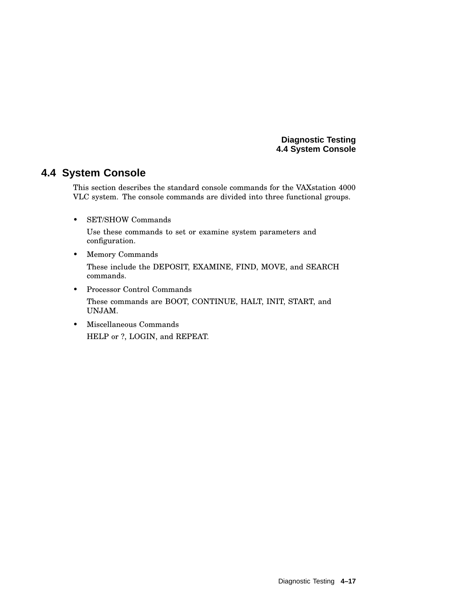# **4.4 System Console**

This section describes the standard console commands for the VAXstation 4000 VLC system. The console commands are divided into three functional groups.

• SET/SHOW Commands

Use these commands to set or examine system parameters and configuration.

- Memory Commands These include the DEPOSIT, EXAMINE, FIND, MOVE, and SEARCH commands.
- Processor Control Commands These commands are BOOT, CONTINUE, HALT, INIT, START, and UNJAM.
- Miscellaneous Commands HELP or ?, LOGIN, and REPEAT.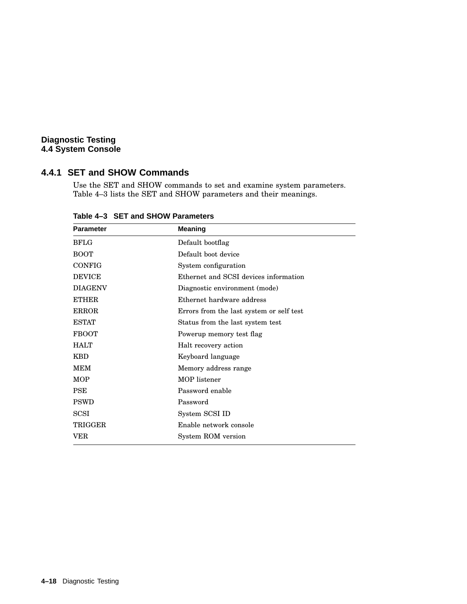# **4.4.1 SET and SHOW Commands**

Use the SET and SHOW commands to set and examine system parameters. Table 4–3 lists the SET and SHOW parameters and their meanings.

| <b>Parameter</b> | <b>Meaning</b>                           |  |  |  |  |  |
|------------------|------------------------------------------|--|--|--|--|--|
| <b>BFLG</b>      | Default bootflag                         |  |  |  |  |  |
| <b>BOOT</b>      | Default boot device                      |  |  |  |  |  |
| <b>CONFIG</b>    | System configuration                     |  |  |  |  |  |
| <b>DEVICE</b>    | Ethernet and SCSI devices information    |  |  |  |  |  |
| <b>DIAGENV</b>   | Diagnostic environment (mode)            |  |  |  |  |  |
| <b>ETHER</b>     | Ethernet hardware address                |  |  |  |  |  |
| <b>ERROR</b>     | Errors from the last system or self test |  |  |  |  |  |
| <b>ESTAT</b>     | Status from the last system test         |  |  |  |  |  |
| <b>FBOOT</b>     | Powerup memory test flag                 |  |  |  |  |  |
| <b>HALT</b>      | Halt recovery action                     |  |  |  |  |  |
| <b>KBD</b>       | Keyboard language                        |  |  |  |  |  |
| <b>MEM</b>       | Memory address range                     |  |  |  |  |  |
| <b>MOP</b>       | MOP listener                             |  |  |  |  |  |
| <b>PSE</b>       | Password enable                          |  |  |  |  |  |
| <b>PSWD</b>      | Password                                 |  |  |  |  |  |
| <b>SCSI</b>      | System SCSI ID                           |  |  |  |  |  |
| TRIGGER          | Enable network console                   |  |  |  |  |  |
| VER              | System ROM version                       |  |  |  |  |  |

**Table 4–3 SET and SHOW Parameters**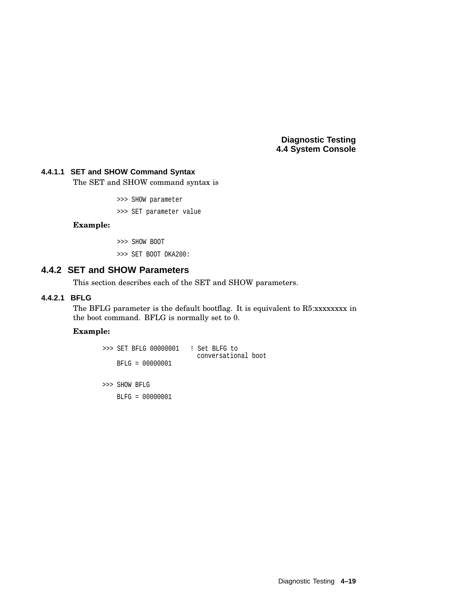#### **4.4.1.1 SET and SHOW Command Syntax**

The SET and SHOW command syntax is

>>> SHOW parameter

>>> SET parameter value

#### **Example:**

>>> SHOW BOOT >>> SET BOOT DKA200:

# **4.4.2 SET and SHOW Parameters**

This section describes each of the SET and SHOW parameters.

#### **4.4.2.1 BFLG**

The BFLG parameter is the default bootflag. It is equivalent to R5:xxxxxxxx in the boot command. BFLG is normally set to 0.

#### **Example:**

```
>>> SET BFLG 00000001 ! Set BLFG to
                         conversational boot
   BFLG = 00000001
>>> SHOW BFLG
    BLFG = 00000001
```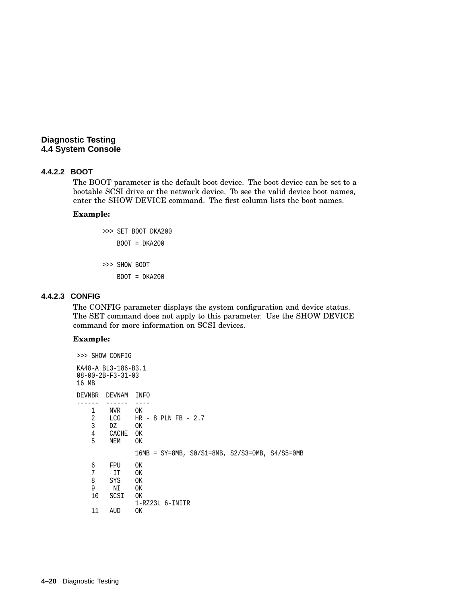#### **4.4.2.2 BOOT**

The BOOT parameter is the default boot device. The boot device can be set to a bootable SCSI drive or the network device. To see the valid device boot names, enter the SHOW DEVICE command. The first column lists the boot names.

#### **Example:**

>>> SET BOOT DKA200 BOOT = DKA200 >>> SHOW BOOT BOOT = DKA200

#### **4.4.2.3 CONFIG**

The CONFIG parameter displays the system configuration and device status. The SET command does not apply to this parameter. Use the SHOW DEVICE command for more information on SCSI devices.

#### **Example:**

```
>>> SHOW CONFIG
KA48-A BL3-186-B3.1
08-00-2B-F3-31-03
16 MB
DEVNBR DEVNAM INFO
------ ------ ----<br>1 NVR OK
      NVR<br>LCG
   2 LCG HR - 8 PLN FB - 2.7
   3 DZ OK
   4 CACHE OK<br>5 MEM OK
      MEM16MB = SY=8MB, S0/S1=8MB, S2/S3=0MB, S4/S5=0MB
   6 FPU OK
   7 IT<br>8 SYS
        SYS OK
   9 NI OK
   10 SCSI OK
               1-RZ23L 6-INITR
   11 AUD OK
```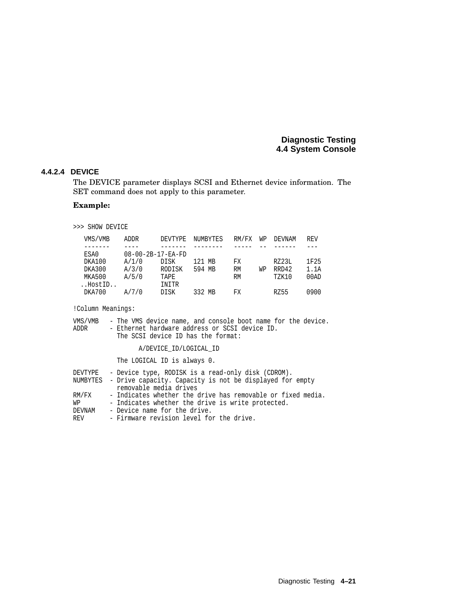#### **4.4.2.4 DEVICE**

The DEVICE parameter displays SCSI and Ethernet device information. The SET command does not apply to this parameter.

# **Example:**

>>> SHOW DEVICE

| ADDR  | DEVTYPE     | NUMBYTES                      | RM/FX | WΡ | DEVNAM       | <b>REV</b> |
|-------|-------------|-------------------------------|-------|----|--------------|------------|
|       |             |                               |       |    |              |            |
|       |             |                               |       |    |              |            |
| A/1/0 | DISK        | 121 MB                        | FX    |    | RZ23L        | 1F25       |
| A/3/0 | RODISK      | 594 MB                        | RM    | WΡ | RRD42        | 1.1A       |
| A/5/0 | <b>TAPE</b> |                               | RM    |    | <b>TZK10</b> | 00AD       |
|       | INITR       |                               |       |    |              |            |
| A/7/0 | DISK        | 332 MB                        | FX    |    | RZ55         | 0900       |
|       |             | $08 - 00 - 2B - 17 - EA - FD$ |       |    |              |            |

!Column Meanings:

| VMS/VMB<br>ADDR | - The VMS device name, and console boot name for the device.<br>- Ethernet hardware address or SCSI device ID.<br>The SCSI device ID has the format: |
|-----------------|------------------------------------------------------------------------------------------------------------------------------------------------------|
|                 | A/DEVICE ID/LOGICAL ID                                                                                                                               |
|                 | The LOGICAL ID is always 0.                                                                                                                          |
| DEVTYPE         | - Device type, RODISK is a read-only disk (CDROM).                                                                                                   |

| NUMBYTES - Drive capacity. Capacity is not be displayed for empty |  |                                                             |  |  |  |  |  |
|-------------------------------------------------------------------|--|-------------------------------------------------------------|--|--|--|--|--|
|                                                                   |  | removable media drives                                      |  |  |  |  |  |
| RM/FX                                                             |  | - Indicates whether the drive has removable or fixed media. |  |  |  |  |  |

| . <i>. .</i> | www.composition.com/www.com/www.com/www.com/www.com/www.com/www.com/www.com/www. |  |  |  |  |  |
|--------------|----------------------------------------------------------------------------------|--|--|--|--|--|
| WP           | - Indicates whether the drive is write protected.                                |  |  |  |  |  |

- DEVNAM Device name for the drive.
- REV Firmware revision level for the drive.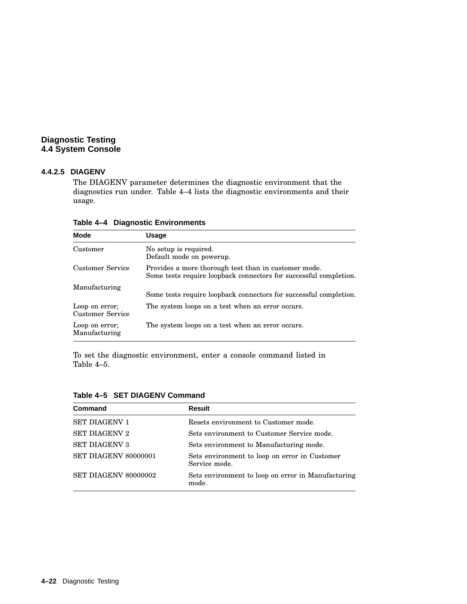# **4.4.2.5 DIAGENV**

The DIAGENV parameter determines the diagnostic environment that the diagnostics run under. Table 4–4 lists the diagnostic environments and their usage.

| <b>Mode</b>                        | Usage                                                                                                                     |
|------------------------------------|---------------------------------------------------------------------------------------------------------------------------|
| Customer                           | No setup is required.<br>Default mode on powerup.                                                                         |
| Customer Service                   | Provides a more thorough test than in customer mode.<br>Some tests require loopback connectors for successful completion. |
| Manufacturing                      | Some tests require loopback connectors for successful completion.                                                         |
| Loop on error;<br>Customer Service | The system loops on a test when an error occurs.                                                                          |
| Loop on error;<br>Manufacturing    | The system loops on a test when an error occurs.                                                                          |

**Table 4–4 Diagnostic Environments**

To set the diagnostic environment, enter a console command listed in Table 4–5.

| Command                     | Result                                                         |
|-----------------------------|----------------------------------------------------------------|
| <b>SET DIAGENV 1</b>        | Resets environment to Customer mode.                           |
| <b>SET DIAGENV 2</b>        | Sets environment to Customer Service mode.                     |
| <b>SET DIAGENV 3</b>        | Sets environment to Manufacturing mode.                        |
| <b>SET DIAGENV 80000001</b> | Sets environment to loop on error in Customer<br>Service mode. |
| SET DIAGENV 80000002        | Sets environment to loop on error in Manufacturing<br>mode.    |

**Table 4–5 SET DIAGENV Command**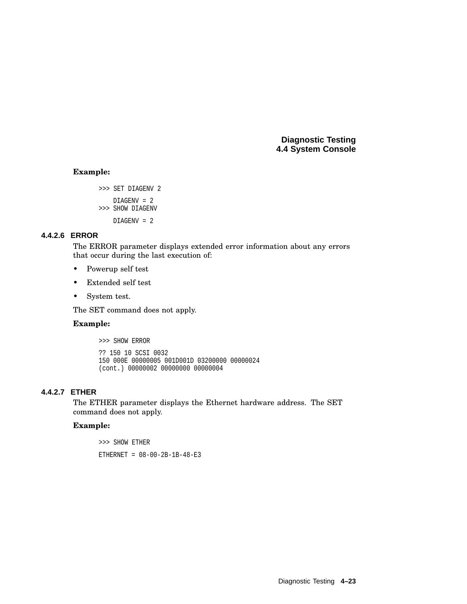#### **Example:**

```
>>> SET DIAGENV 2
   DIAGENV = 2
>>> SHOW DIAGENV
   DIAGENV = 2
```
# **4.4.2.6 ERROR**

The ERROR parameter displays extended error information about any errors that occur during the last execution of:

- Powerup self test
- Extended self test
- System test.

The SET command does not apply.

#### **Example:**

>>> SHOW ERROR ?? 150 10 SCSI 0032 150 000E 00000005 001D001D 03200000 00000024 (cont.) 00000002 00000000 00000004

# **4.4.2.7 ETHER**

The ETHER parameter displays the Ethernet hardware address. The SET command does not apply.

#### **Example:**

>>> SHOW ETHER ETHERNET = 08-00-2B-1B-48-E3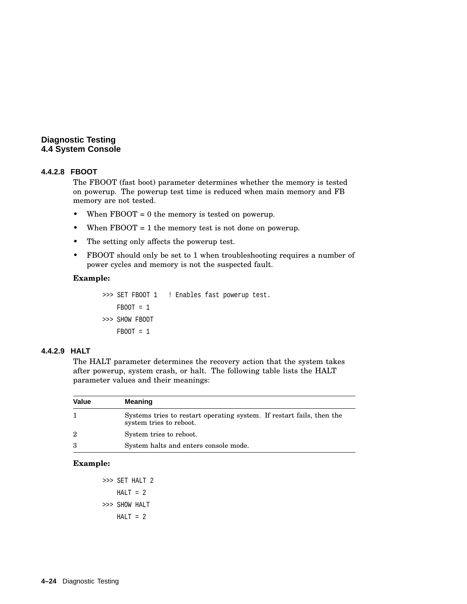# **4.4.2.8 FBOOT**

The FBOOT (fast boot) parameter determines whether the memory is tested on powerup. The powerup test time is reduced when main memory and FB memory are not tested.

- When FBOOT = 0 the memory is tested on powerup.
- When FBOOT = 1 the memory test is not done on powerup.
- The setting only affects the powerup test.
- FBOOT should only be set to 1 when troubleshooting requires a number of power cycles and memory is not the suspected fault.

#### **Example:**

```
>>> SET FBOOT 1 ! Enables fast powerup test.
   FBOOT = 1>>> SHOW FBOOT
   FBOOT = 1
```
#### **4.4.2.9 HALT**

The HALT parameter determines the recovery action that the system takes after powerup, system crash, or halt. The following table lists the HALT parameter values and their meanings:

| <b>Value</b> | <b>Meaning</b>                                                                                   |
|--------------|--------------------------------------------------------------------------------------------------|
|              | Systems tries to restart operating system. If restart fails, then the<br>system tries to reboot. |
| 2            | System tries to reboot.                                                                          |
| 3            | System halts and enters console mode.                                                            |

#### **Example:**

>>> SET HALT 2  $HALT = 2$ >>> SHOW HALT  $HALT = 2$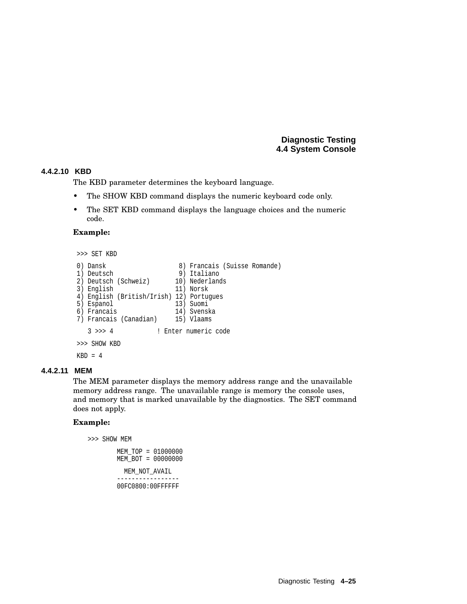#### **4.4.2.10 KBD**

The KBD parameter determines the keyboard language.

- The SHOW KBD command displays the numeric keyboard code only.
- The SET KBD command displays the language choices and the numeric code.

#### **Example:**

```
>>> SET KBD
0) Dansk 8) Francais (Suisse Romande)
1) Deutsch 9) Italiano
2) Deutsch (Schweiz) 10) Nederlands
3) English 11) Norsk
4) English (British/Irish) 12) Portugues
5) Espanol 13) Suomi
6) Francais 14) Svenska
7) Francais (Canadian) 15) Vlaams
  3 >>> 4 ! Enter numeric code
>>> SHOW KBD
KBD = 4
```
#### **4.4.2.11 MEM**

The MEM parameter displays the memory address range and the unavailable memory address range. The unavailable range is memory the console uses, and memory that is marked unavailable by the diagnostics. The SET command does not apply.

#### **Example:**

```
>>> SHOW MEM
       MEM_TOP = 01000000
       MEM BOT = 00000000
         MEM_NOT_AVAIL
```
----------------- 00FC0800:00FFFFFF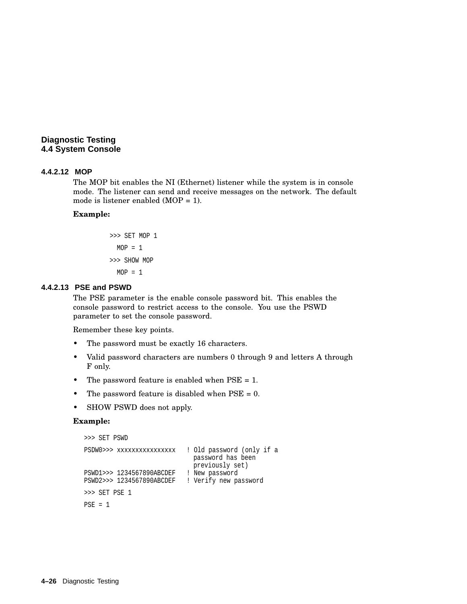#### **4.4.2.12 MOP**

The MOP bit enables the NI (Ethernet) listener while the system is in console mode. The listener can send and receive messages on the network. The default mode is listener enabled (MOP = 1).

#### **Example:**

>>> SET MOP 1 MOP = 1 >>> SHOW MOP MOP = 1

#### **4.4.2.13 PSE and PSWD**

The PSE parameter is the enable console password bit. This enables the console password to restrict access to the console. You use the PSWD parameter to set the console password.

Remember these key points.

- The password must be exactly 16 characters.
- Valid password characters are numbers 0 through 9 and letters A through F only.
- The password feature is enabled when PSE = 1.
- The password feature is disabled when  $PSE = 0$ .
- SHOW PSWD does not apply.

#### **Example:**

```
>>> SET PSWD
PSDW0>>> xxxxxxxxxxxxxxxx ! Old password (only if a
                           password has been
                            previously set)
PSWD1>>> 1234567890ABCDEF ! New password
PSWD2>>> 1234567890ABCDEF ! Verify new password
>>> SET PSE 1
PSE = 1
```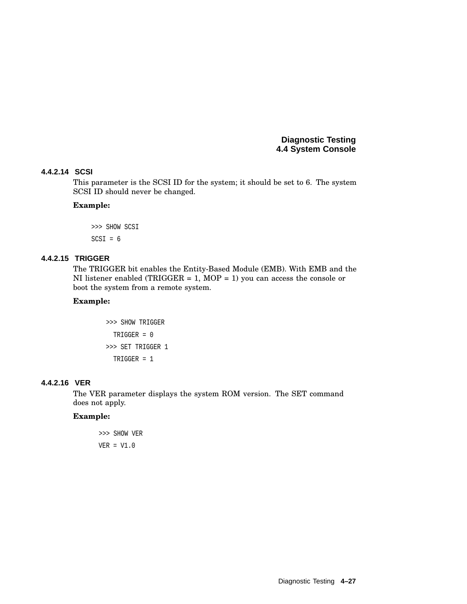#### **4.4.2.14 SCSI**

This parameter is the SCSI ID for the system; it should be set to 6. The system SCSI ID should never be changed.

#### **Example:**

>>> SHOW SCSI  $SCSI = 6$ 

# **4.4.2.15 TRIGGER**

The TRIGGER bit enables the Entity-Based Module (EMB). With EMB and the NI listener enabled (TRIGGER = 1, MOP = 1) you can access the console or boot the system from a remote system.

#### **Example:**

```
>>> SHOW TRIGGER
  TRIGGER = 0
>>> SET TRIGGER 1
  TRIGGER = 1
```
#### **4.4.2.16 VER**

The VER parameter displays the system ROM version. The SET command does not apply.

#### **Example:**

>>> SHOW VER VER = V1.0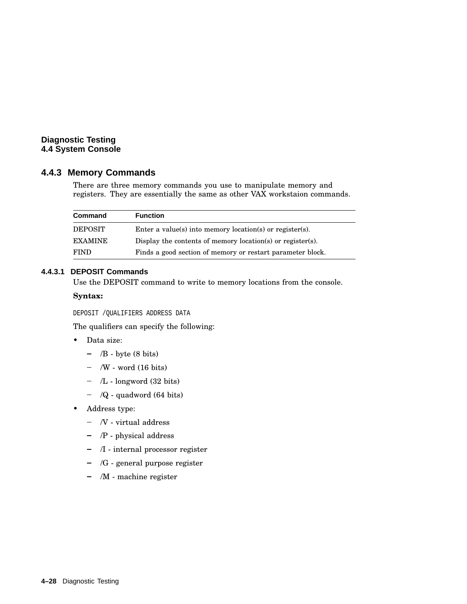# **4.4.3 Memory Commands**

There are three memory commands you use to manipulate memory and registers. They are essentially the same as other VAX workstaion commands.

| Command        | <b>Function</b>                                            |
|----------------|------------------------------------------------------------|
| <b>DEPOSIT</b> | Enter a value(s) into memory location(s) or register(s).   |
| <b>EXAMINE</b> | Display the contents of memory location(s) or register(s). |
| <b>FIND</b>    | Finds a good section of memory or restart parameter block. |

#### **4.4.3.1 DEPOSIT Commands**

Use the DEPOSIT command to write to memory locations from the console.

## **Syntax:**

DEPOSIT /QUALIFIERS ADDRESS DATA

The qualifiers can specify the following:

- Data size:
	- $-$  /B byte (8 bits)
	- $-$  /W word (16 bits)
	- /L longword (32 bits)
	- $-$  /Q quadword (64 bits)
- Address type:
	- $-$  /V virtual address
	- /P physical address
	- /I internal processor register
	- $-$  /G general purpose register
	- /M machine register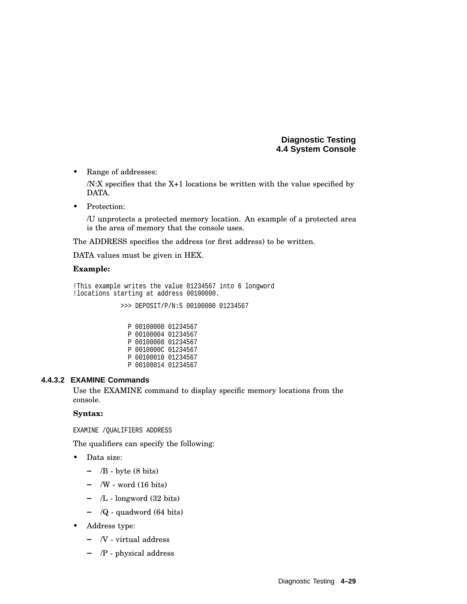• Range of addresses:

/N:X specifies that the X+1 locations be written with the value specified by DATA.

• Protection:

/U unprotects a protected memory location. An example of a protected area is the area of memory that the console uses.

The ADDRESS specifies the address (or first address) to be written.

DATA values must be given in HEX.

#### **Example:**

```
!This example writes the value 01234567 into 6 longword
!locations starting at address 00100000.
```
>>> DEPOSIT/P/N:5 00100000 01234567

| P 00100000 01234567 |  |
|---------------------|--|
| P 00100004 01234567 |  |
| P 00100008 01234567 |  |
| P 0010000C 01234567 |  |
| P 00100010 01234567 |  |
| P 00100014 01234567 |  |

#### **4.4.3.2 EXAMINE Commands**

Use the EXAMINE command to display specific memory locations from the console.

### **Syntax:**

EXAMINE /QUALIFIERS ADDRESS

The qualifiers can specify the following:

- Data size:
	- $-$  /B byte (8 bits)
	- $-$  /W word (16 bits)
	- $-$  /L longword (32 bits)
	- $-$  /Q quadword (64 bits)
- Address type:
	- $-$  /V virtual address
	- /P physical address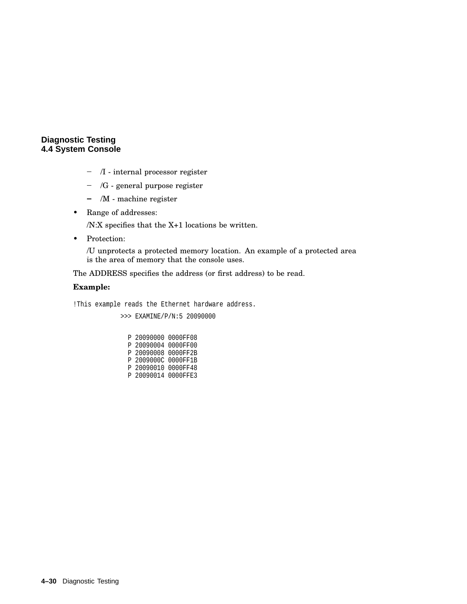- /I internal processor register
- /G general purpose register
- /M machine register
- Range of addresses:

/N:X specifies that the X+1 locations be written.

• Protection:

/U unprotects a protected memory location. An example of a protected area is the area of memory that the console uses.

The ADDRESS specifies the address (or first address) to be read.

# **Example:**

!This example reads the Ethernet hardware address.

>>> EXAMINE/P/N:5 20090000

P 20090000 0000FF08 P 20090004 0000FF00 P 20090008 0000FF2B P 2009000C 0000FF1B P 20090010 0000FF48 P 20090014 0000FFE3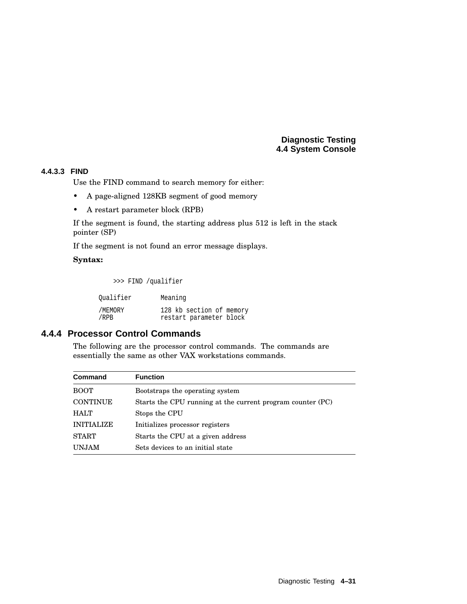# **4.4.3.3 FIND**

Use the FIND command to search memory for either:

- A page-aligned 128KB segment of good memory
- A restart parameter block (RPB)

If the segment is found, the starting address plus 512 is left in the stack pointer (SP)

If the segment is not found an error message displays.

# **Syntax:**

>>> FIND /qualifier

| Oualifier | Meaning                  |
|-----------|--------------------------|
| /MEMORY   | 128 kb section of memory |
| /RPB      | restart parameter block  |

# **4.4.4 Processor Control Commands**

The following are the processor control commands. The commands are essentially the same as other VAX workstations commands.

| <b>Command</b>    | <b>Function</b>                                            |
|-------------------|------------------------------------------------------------|
| <b>BOOT</b>       | Bootstraps the operating system                            |
| <b>CONTINUE</b>   | Starts the CPU running at the current program counter (PC) |
| HALT              | Stops the CPU                                              |
| <b>INITIALIZE</b> | Initializes processor registers                            |
| <b>START</b>      | Starts the CPU at a given address                          |
| <b>UNJAM</b>      | Sets devices to an initial state                           |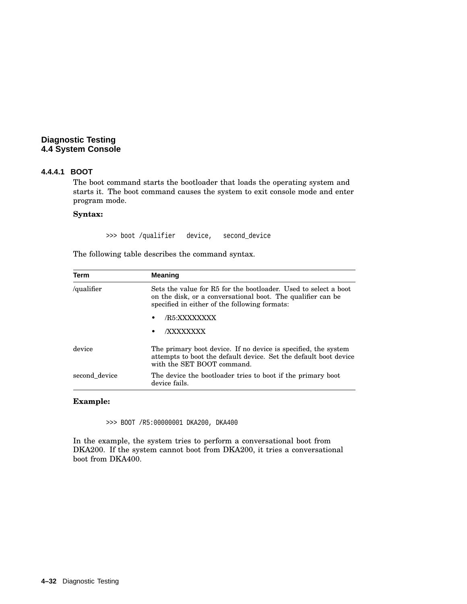#### **4.4.4.1 BOOT**

The boot command starts the bootloader that loads the operating system and starts it. The boot command causes the system to exit console mode and enter program mode.

#### **Syntax:**

>>> boot /qualifier device, second\_device

The following table describes the command syntax.

| Term          | <b>Meaning</b>                                                                                                                                                                  |
|---------------|---------------------------------------------------------------------------------------------------------------------------------------------------------------------------------|
| /qualifier    | Sets the value for R5 for the bootloader. Used to select a boot<br>on the disk, or a conversational boot. The qualifier can be<br>specified in either of the following formats: |
|               | /R5:XXXXXXXX<br>$\bullet$                                                                                                                                                       |
|               | <b>/XXXXXXXX</b><br>٠                                                                                                                                                           |
| device        | The primary boot device. If no device is specified, the system<br>attempts to boot the default device. Set the default boot device<br>with the SET BOOT command.                |
| second device | The device the bootloader tries to boot if the primary boot<br>device fails.                                                                                                    |

#### **Example:**

>>> BOOT /R5:00000001 DKA200, DKA400

In the example, the system tries to perform a conversational boot from DKA200. If the system cannot boot from DKA200, it tries a conversational boot from DKA400.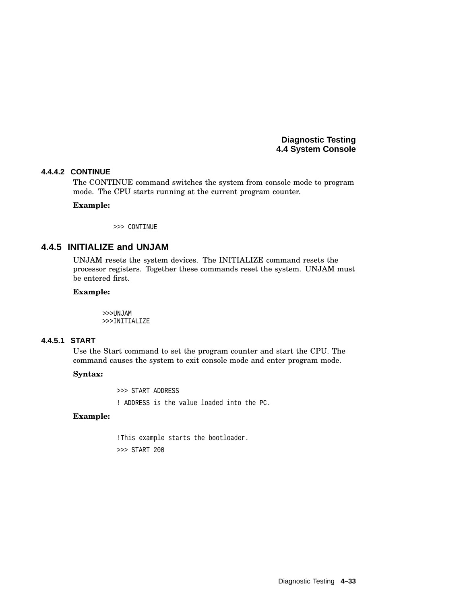#### **4.4.4.2 CONTINUE**

The CONTINUE command switches the system from console mode to program mode. The CPU starts running at the current program counter.

#### **Example:**

>>> CONTINUE

# **4.4.5 INITIALIZE and UNJAM**

UNJAM resets the system devices. The INITIALIZE command resets the processor registers. Together these commands reset the system. UNJAM must be entered first.

#### **Example:**

>>>UNJAM >>>INITIALIZE

# **4.4.5.1 START**

Use the Start command to set the program counter and start the CPU. The command causes the system to exit console mode and enter program mode.

#### **Syntax:**

>>> START ADDRESS

! ADDRESS is the value loaded into the PC.

#### **Example:**

!This example starts the bootloader. >>> START 200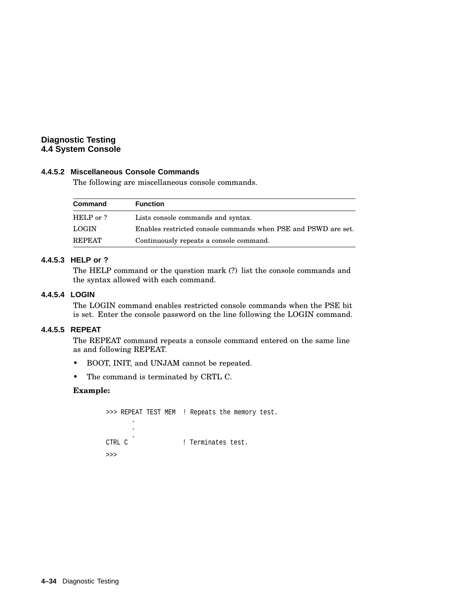# **4.4.5.2 Miscellaneous Console Commands**

The following are miscellaneous console commands.

| Command       | <b>Function</b>                                                |
|---------------|----------------------------------------------------------------|
| HELP or ?     | Lists console commands and syntax.                             |
| LOGIN         | Enables restricted console commands when PSE and PSWD are set. |
| <b>REPEAT</b> | Continuously repeats a console command.                        |

# **4.4.5.3 HELP or ?**

The HELP command or the question mark (?) list the console commands and the syntax allowed with each command.

#### **4.4.5.4 LOGIN**

The LOGIN command enables restricted console commands when the PSE bit is set. Enter the console password on the line following the LOGIN command.

# **4.4.5.5 REPEAT**

The REPEAT command repeats a console command entered on the same line as and following REPEAT.

- BOOT, INIT, and UNJAM cannot be repeated.
- The command is terminated by CRTL C.

#### **Example:**

```
>>> REPEAT TEST MEM ! Repeats the memory test.
               .
               .
\begin{tabular}{ll} \multicolumn{2}{l} {\bf CTRL} & C \\ \multicolumn{2}{l}{\bf CTRL} & C \\ \end{tabular}! Terminates test.
>>>
```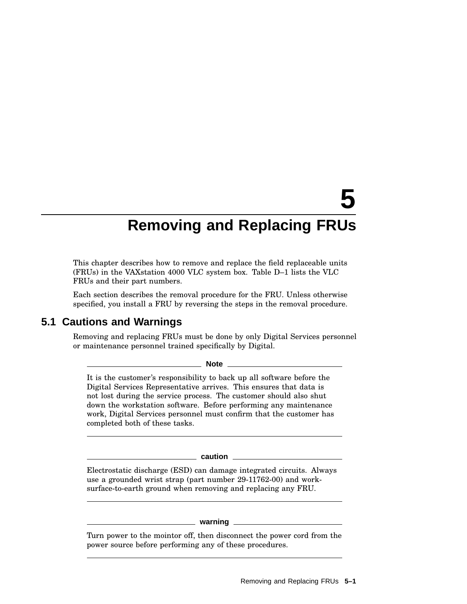# **5 Removing and Replacing FRUs**

This chapter describes how to remove and replace the field replaceable units (FRUs) in the VAXstation 4000 VLC system box. Table D–1 lists the VLC FRUs and their part numbers.

Each section describes the removal procedure for the FRU. Unless otherwise specified, you install a FRU by reversing the steps in the removal procedure.

# **5.1 Cautions and Warnings**

Removing and replacing FRUs must be done by only Digital Services personnel or maintenance personnel trained specifically by Digital.

**Note** \_

It is the customer's responsibility to back up all software before the Digital Services Representative arrives. This ensures that data is not lost during the service process. The customer should also shut down the workstation software. Before performing any maintenance work, Digital Services personnel must confirm that the customer has completed both of these tasks.

**caution**

Electrostatic discharge (ESD) can damage integrated circuits. Always use a grounded wrist strap (part number 29-11762-00) and worksurface-to-earth ground when removing and replacing any FRU.

**warning**

Turn power to the mointor off, then disconnect the power cord from the power source before performing any of these procedures.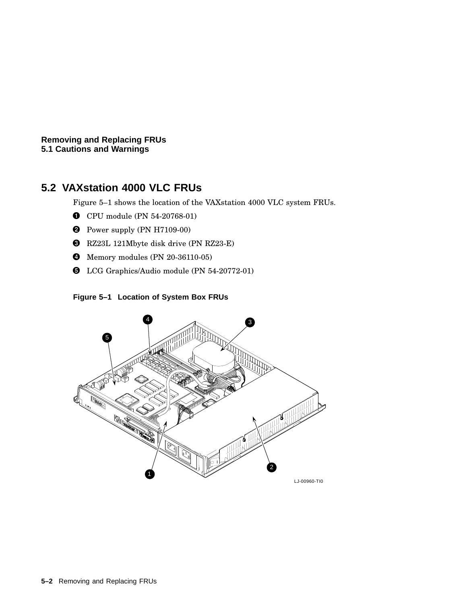**Removing and Replacing FRUs 5.1 Cautions and Warnings**

# **5.2 VAXstation 4000 VLC FRUs**

Figure 5–1 shows the location of the VAXstation 4000 VLC system FRUs.

- CPU module (PN 54-20768-01)
- **2** Power supply (PN H7109-00)
- RZ23L 121Mbyte disk drive (PN RZ23-E)
- Memory modules (PN 20-36110-05)
- **O** LCG Graphics/Audio module (PN 54-20772-01)

# **Figure 5–1 Location of System Box FRUs**

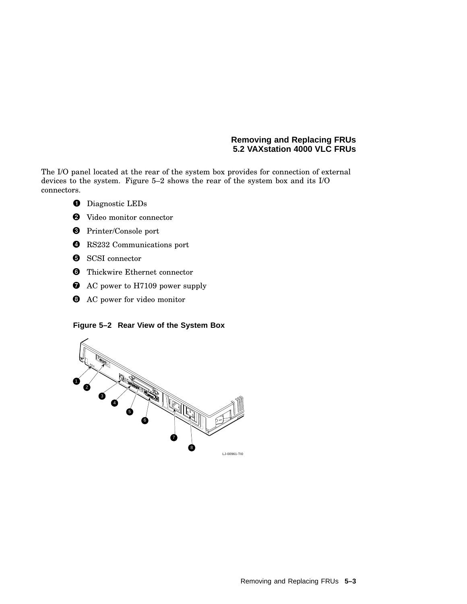# **Removing and Replacing FRUs 5.2 VAXstation 4000 VLC FRUs**

The I/O panel located at the rear of the system box provides for connection of external devices to the system. Figure 5–2 shows the rear of the system box and its I/O connectors.

- **O** Diagnostic LEDs
- Video monitor connector
- Printer/Console port
- **O** RS232 Communications port
- **O** SCSI connector
- **O** Thickwire Ethernet connector
- AC power to H7109 power supply
- **3** AC power for video monitor

**Figure 5–2 Rear View of the System Box**

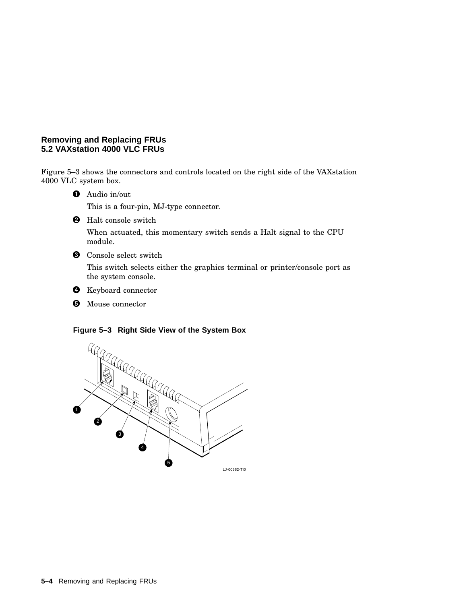# **Removing and Replacing FRUs 5.2 VAXstation 4000 VLC FRUs**

Figure 5–3 shows the connectors and controls located on the right side of the VAXstation 4000 VLC system box.

**O** Audio in/out

This is a four-pin, MJ-type connector.

**2** Halt console switch

When actuated, this momentary switch sends a Halt signal to the CPU module.

**O** Console select switch

This switch selects either the graphics terminal or printer/console port as the system console.



**6** Mouse connector

#### **Figure 5–3 Right Side View of the System Box**

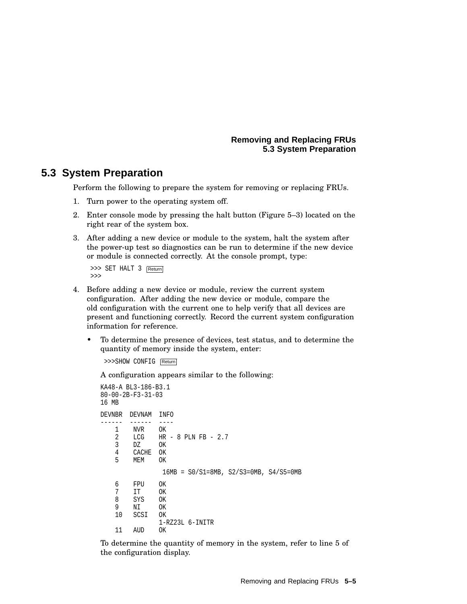#### **Removing and Replacing FRUs 5.3 System Preparation**

# **5.3 System Preparation**

Perform the following to prepare the system for removing or replacing FRUs.

- 1. Turn power to the operating system off.
- 2. Enter console mode by pressing the halt button (Figure 5–3) located on the right rear of the system box.
- 3. After adding a new device or module to the system, halt the system after the power-up test so diagnostics can be run to determine if the new device or module is connected correctly. At the console prompt, type:

>>> SET HALT 3 Return >>>

- 4. Before adding a new device or module, review the current system configuration. After adding the new device or module, compare the old configuration with the current one to help verify that all devices are present and functioning correctly. Record the current system configuration information for reference.
	- To determine the presence of devices, test status, and to determine the quantity of memory inside the system, enter:

```
>>>SHOW CONFIG Return
```
A configuration appears similar to the following:

```
KA48-A BL3-186-B3.1
80-00-2B-F3-31-03
16 MB
DEVNBR DEVNAM INFO
------ ------ ----<br>1 NVR OK
   1 NVR
   2 LCG HR - 8 PLN FB - 2.7<br>3 DZ OK
       3 DZ OK
    4 CACHE OK
        MEM OK
                16MB = S0/S1=8MB, S2/S3=0MB, S4/S5=0MB
    6 FPU OK
         IT8 SYS OK<br>9 NI OK
    9 NI<br>10 SC:
        SCSI OK
                1-RZ23L 6-INITR
    11 AUD OK
```
To determine the quantity of memory in the system, refer to line 5 of the configuration display.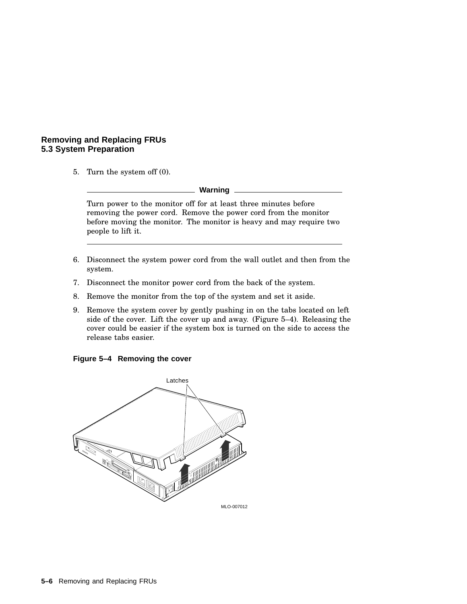# **Removing and Replacing FRUs 5.3 System Preparation**

5. Turn the system off (0).

**Warning**

Turn power to the monitor off for at least three minutes before removing the power cord. Remove the power cord from the monitor before moving the monitor. The monitor is heavy and may require two people to lift it.

- 6. Disconnect the system power cord from the wall outlet and then from the system.
- 7. Disconnect the monitor power cord from the back of the system.
- 8. Remove the monitor from the top of the system and set it aside.
- 9. Remove the system cover by gently pushing in on the tabs located on left side of the cover. Lift the cover up and away. (Figure 5–4). Releasing the cover could be easier if the system box is turned on the side to access the release tabs easier.

#### **Figure 5–4 Removing the cover**

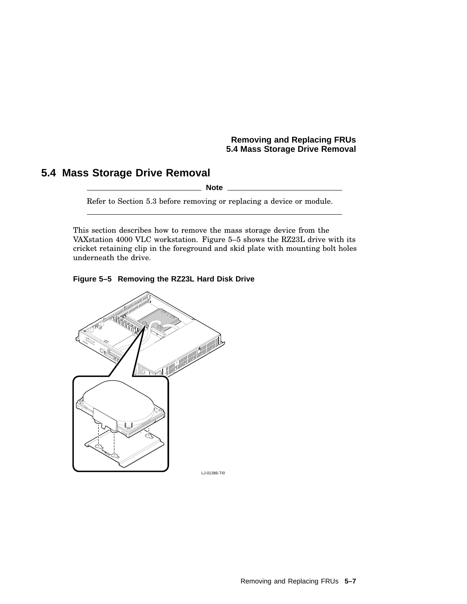# **Removing and Replacing FRUs 5.4 Mass Storage Drive Removal**

# **5.4 Mass Storage Drive Removal**

**Note**

Refer to Section 5.3 before removing or replacing a device or module.

This section describes how to remove the mass storage device from the VAXstation 4000 VLC workstation. Figure 5–5 shows the RZ23L drive with its cricket retaining clip in the foreground and skid plate with mounting bolt holes underneath the drive.



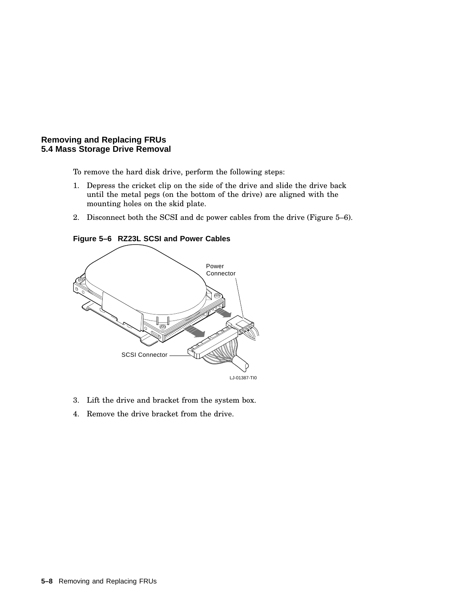#### **Removing and Replacing FRUs 5.4 Mass Storage Drive Removal**

To remove the hard disk drive, perform the following steps:

- 1. Depress the cricket clip on the side of the drive and slide the drive back until the metal pegs (on the bottom of the drive) are aligned with the mounting holes on the skid plate.
- 2. Disconnect both the SCSI and dc power cables from the drive (Figure 5–6).

**Figure 5–6 RZ23L SCSI and Power Cables**



- 3. Lift the drive and bracket from the system box.
- 4. Remove the drive bracket from the drive.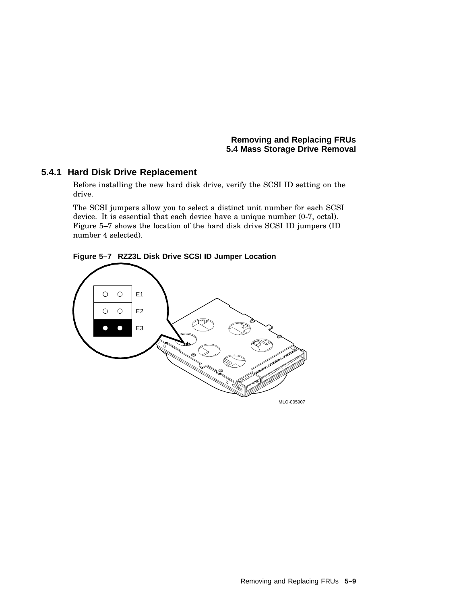**Removing and Replacing FRUs 5.4 Mass Storage Drive Removal**

# **5.4.1 Hard Disk Drive Replacement**

Before installing the new hard disk drive, verify the SCSI ID setting on the drive.

The SCSI jumpers allow you to select a distinct unit number for each SCSI device. It is essential that each device have a unique number (0-7, octal). Figure 5–7 shows the location of the hard disk drive SCSI ID jumpers (ID number 4 selected).



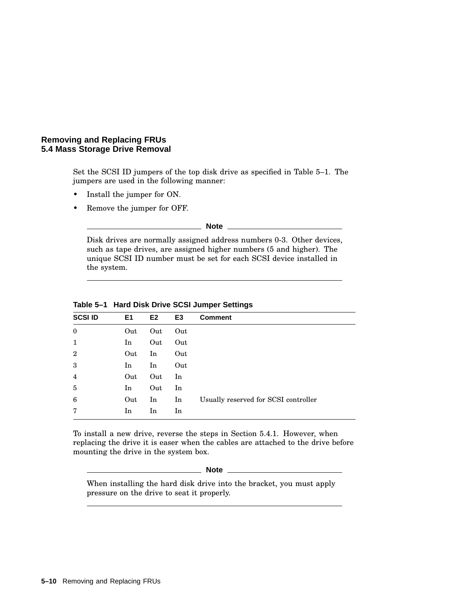#### **Removing and Replacing FRUs 5.4 Mass Storage Drive Removal**

Set the SCSI ID jumpers of the top disk drive as specified in Table 5–1. The jumpers are used in the following manner:

- Install the jumper for ON.
- Remove the jumper for OFF.

**Note**

Disk drives are normally assigned address numbers 0-3. Other devices, such as tape drives, are assigned higher numbers (5 and higher). The unique SCSI ID number must be set for each SCSI device installed in the system.

| <b>SCSI ID</b> | E <sub>1</sub> | E <sub>2</sub> | E3  | <b>Comment</b>                       |
|----------------|----------------|----------------|-----|--------------------------------------|
| $\mathbf{0}$   | Out            | Out            | Out |                                      |
| 1              | In             | Out            | Out |                                      |
| $\overline{2}$ | Out            | In             | Out |                                      |
| 3              | In             | In             | Out |                                      |
| 4              | Out            | Out            | In  |                                      |
| 5              | In             | Out            | In  |                                      |
| 6              | Out            | In             | In  | Usually reserved for SCSI controller |
| 7              | In             | In             | In  |                                      |

**Table 5–1 Hard Disk Drive SCSI Jumper Settings**

To install a new drive, reverse the steps in Section 5.4.1. However, when replacing the drive it is easer when the cables are attached to the drive before mounting the drive in the system box.

**Note**

When installing the hard disk drive into the bracket, you must apply pressure on the drive to seat it properly.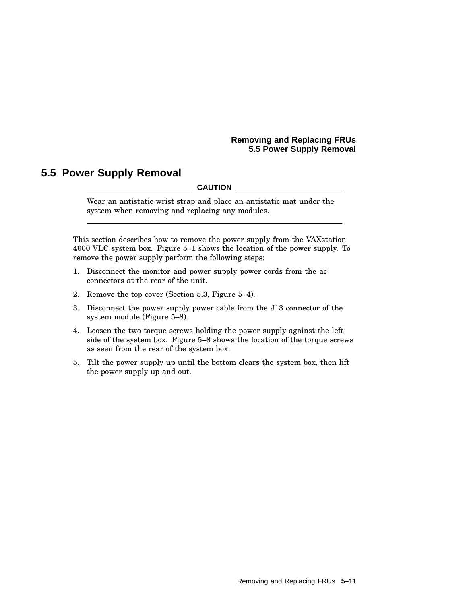### **Removing and Replacing FRUs 5.5 Power Supply Removal**

# **5.5 Power Supply Removal**

**CAUTION**

Wear an antistatic wrist strap and place an antistatic mat under the system when removing and replacing any modules.

This section describes how to remove the power supply from the VAXstation 4000 VLC system box. Figure 5–1 shows the location of the power supply. To remove the power supply perform the following steps:

- 1. Disconnect the monitor and power supply power cords from the ac connectors at the rear of the unit.
- 2. Remove the top cover (Section 5.3, Figure 5–4).
- 3. Disconnect the power supply power cable from the J13 connector of the system module (Figure 5–8).
- 4. Loosen the two torque screws holding the power supply against the left side of the system box. Figure 5–8 shows the location of the torque screws as seen from the rear of the system box.
- 5. Tilt the power supply up until the bottom clears the system box, then lift the power supply up and out.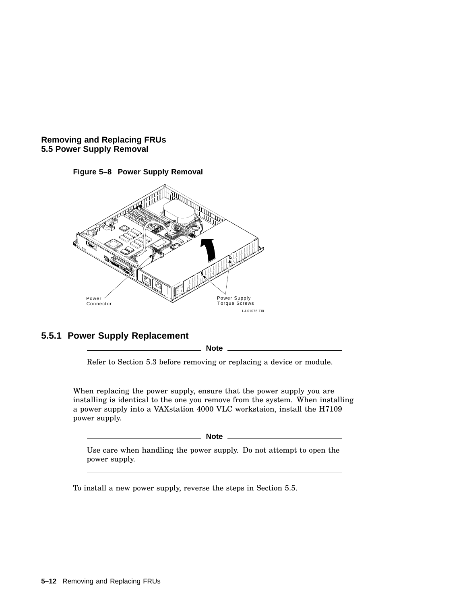





# **5.5.1 Power Supply Replacement**

**Note**

Refer to Section 5.3 before removing or replacing a device or module.

When replacing the power supply, ensure that the power supply you are installing is identical to the one you remove from the system. When installing a power supply into a VAXstation 4000 VLC workstaion, install the H7109 power supply.

**Note**

Use care when handling the power supply. Do not attempt to open the power supply.

To install a new power supply, reverse the steps in Section 5.5.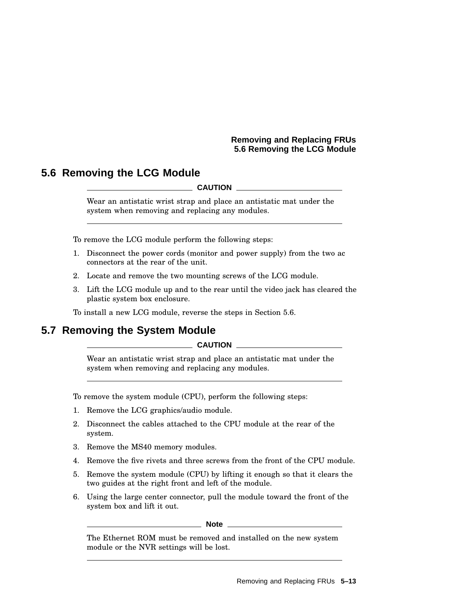### **Removing and Replacing FRUs 5.6 Removing the LCG Module**

# **5.6 Removing the LCG Module**

**CAUTION**

Wear an antistatic wrist strap and place an antistatic mat under the system when removing and replacing any modules.

To remove the LCG module perform the following steps:

- 1. Disconnect the power cords (monitor and power supply) from the two ac connectors at the rear of the unit.
- 2. Locate and remove the two mounting screws of the LCG module.
- 3. Lift the LCG module up and to the rear until the video jack has cleared the plastic system box enclosure.

To install a new LCG module, reverse the steps in Section 5.6.

# **5.7 Removing the System Module**

**CAUTION**

Wear an antistatic wrist strap and place an antistatic mat under the system when removing and replacing any modules.

To remove the system module (CPU), perform the following steps:

- 1. Remove the LCG graphics/audio module.
- 2. Disconnect the cables attached to the CPU module at the rear of the system.
- 3. Remove the MS40 memory modules.
- 4. Remove the five rivets and three screws from the front of the CPU module.
- 5. Remove the system module (CPU) by lifting it enough so that it clears the two guides at the right front and left of the module.
- 6. Using the large center connector, pull the module toward the front of the system box and lift it out.

**Note**

The Ethernet ROM must be removed and installed on the new system module or the NVR settings will be lost.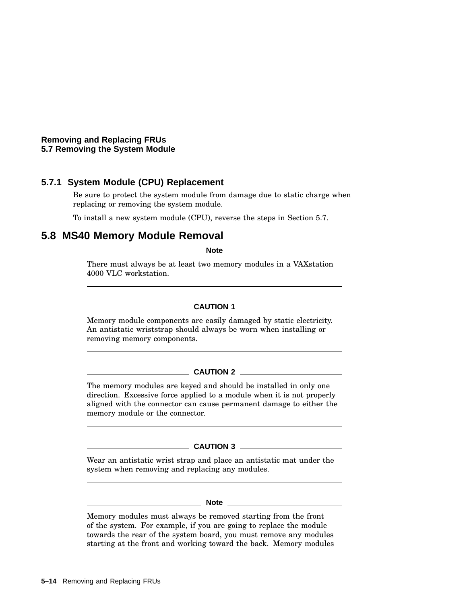**Removing and Replacing FRUs 5.7 Removing the System Module**

# **5.7.1 System Module (CPU) Replacement**

Be sure to protect the system module from damage due to static charge when replacing or removing the system module.

To install a new system module (CPU), reverse the steps in Section 5.7.

# **5.8 MS40 Memory Module Removal**

**Note**

There must always be at least two memory modules in a VAXstation 4000 VLC workstation.

# **CAUTION 1**

Memory module components are easily damaged by static electricity. An antistatic wriststrap should always be worn when installing or removing memory components.

#### **CAUTION 2**

The memory modules are keyed and should be installed in only one direction. Excessive force applied to a module when it is not properly aligned with the connector can cause permanent damage to either the memory module or the connector.

#### **CAUTION 3**

Wear an antistatic wrist strap and place an antistatic mat under the system when removing and replacing any modules.

#### **Note** <u><u>Note</u> 1996 **1997**</u>

Memory modules must always be removed starting from the front of the system. For example, if you are going to replace the module towards the rear of the system board, you must remove any modules starting at the front and working toward the back. Memory modules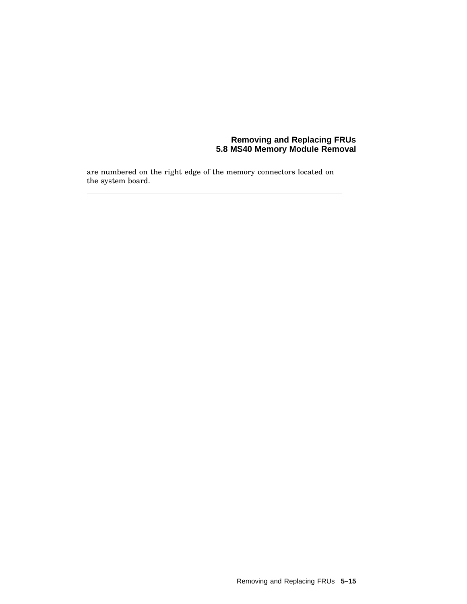#### **Removing and Replacing FRUs 5.8 MS40 Memory Module Removal**

are numbered on the right edge of the memory connectors located on the system board.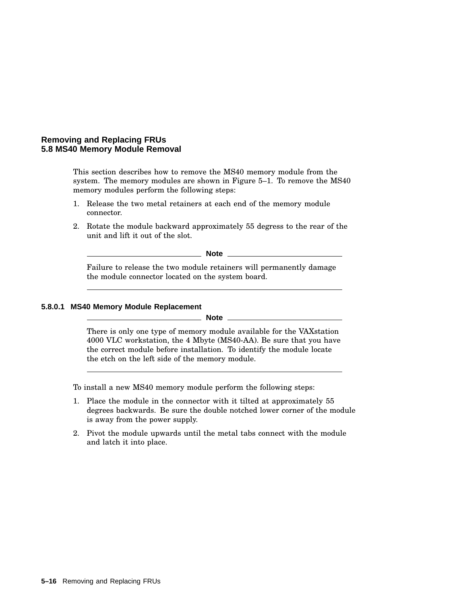#### **Removing and Replacing FRUs 5.8 MS40 Memory Module Removal**

This section describes how to remove the MS40 memory module from the system. The memory modules are shown in Figure 5–1. To remove the MS40 memory modules perform the following steps:

- 1. Release the two metal retainers at each end of the memory module connector.
- 2. Rotate the module backward approximately 55 degress to the rear of the unit and lift it out of the slot.

**Note**

Failure to release the two module retainers will permanently damage the module connector located on the system board.

#### **5.8.0.1 MS40 Memory Module Replacement**

**Note** \_\_

There is only one type of memory module available for the VAXstation 4000 VLC workstation, the 4 Mbyte (MS40-AA). Be sure that you have the correct module before installation. To identify the module locate the etch on the left side of the memory module.

To install a new MS40 memory module perform the following steps:

- 1. Place the module in the connector with it tilted at approximately 55 degrees backwards. Be sure the double notched lower corner of the module is away from the power supply.
- 2. Pivot the module upwards until the metal tabs connect with the module and latch it into place.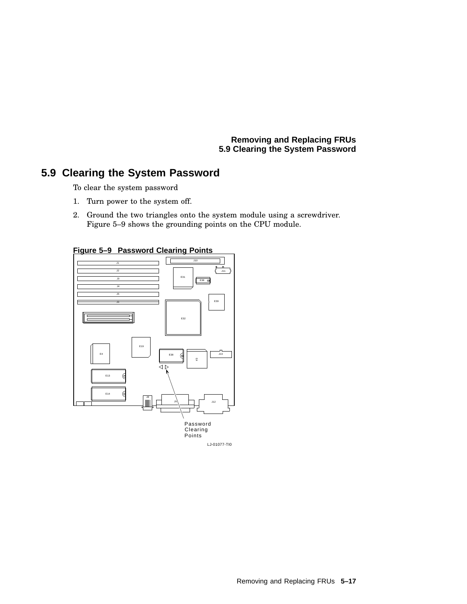**Removing and Replacing FRUs 5.9 Clearing the System Password**

# **5.9 Clearing the System Password**

To clear the system password

- 1. Turn power to the system off.
- 2. Ground the two triangles onto the system module using a screwdriver. Figure 5–9 shows the grounding points on the CPU module.



**Figure 5–9 Password Clearing Points**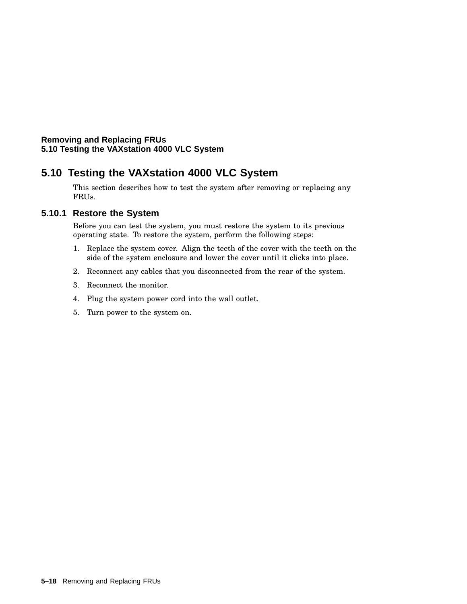# **Removing and Replacing FRUs 5.10 Testing the VAXstation 4000 VLC System**

# **5.10 Testing the VAXstation 4000 VLC System**

This section describes how to test the system after removing or replacing any FRUs.

# **5.10.1 Restore the System**

Before you can test the system, you must restore the system to its previous operating state. To restore the system, perform the following steps:

- 1. Replace the system cover. Align the teeth of the cover with the teeth on the side of the system enclosure and lower the cover until it clicks into place.
- 2. Reconnect any cables that you disconnected from the rear of the system.
- 3. Reconnect the monitor.
- 4. Plug the system power cord into the wall outlet.
- 5. Turn power to the system on.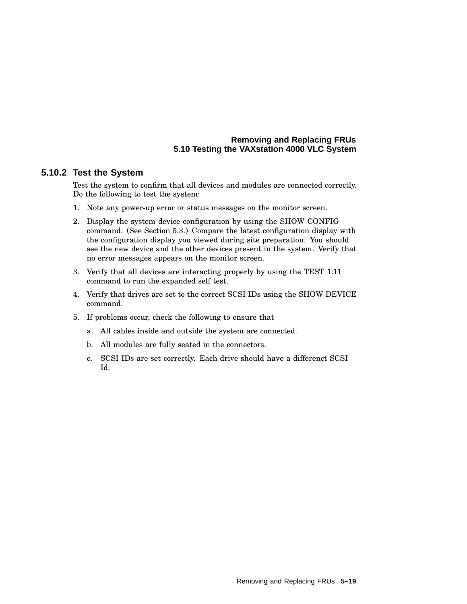### **Removing and Replacing FRUs 5.10 Testing the VAXstation 4000 VLC System**

### **5.10.2 Test the System**

Test the system to confirm that all devices and modules are connected correctly. Do the following to test the system:

- 1. Note any power-up error or status messages on the monitor screen.
- 2. Display the system device configuration by using the SHOW CONFIG command. (See Section 5.3.) Compare the latest configuration display with the configuration display you viewed during site preparation. You should see the new device and the other devices present in the system. Verify that no error messages appears on the monitor screen.
- 3. Verify that all devices are interacting properly by using the TEST 1:11 command to run the expanded self test.
- 4. Verify that drives are set to the correct SCSI IDs using the SHOW DEVICE command.
- 5. If problems occur, check the following to ensure that
	- a. All cables inside and outside the system are connected.
	- b. All modules are fully seated in the connectors.
	- c. SCSI IDs are set correctly. Each drive should have a differenct SCSI Id.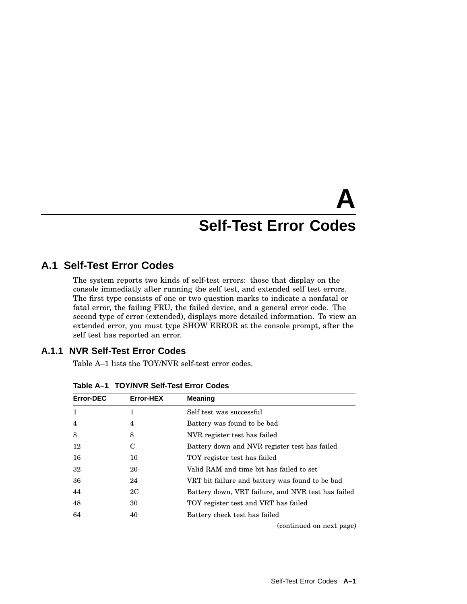# **A Self-Test Error Codes**

# **A.1 Self-Test Error Codes**

The system reports two kinds of self-test errors: those that display on the console immediatly after running the self test, and extended self test errors. The first type consists of one or two question marks to indicate a nonfatal or fatal error, the failing FRU, the failed device, and a general error code. The second type of error (extended), displays more detailed information. To view an extended error, you must type SHOW ERROR at the console prompt, after the self test has reported an error.

# **A.1.1 NVR Self-Test Error Codes**

Table A–1 lists the TOY/NVR self-test error codes.

| <b>Error-DEC</b> | Error-HEX | <b>Meaning</b>                                     |
|------------------|-----------|----------------------------------------------------|
| $\mathbf{1}$     | 1         | Self test was successful                           |
| $\overline{4}$   | 4         | Battery was found to be bad                        |
| 8                | 8         | NVR register test has failed                       |
| 12               | С         | Battery down and NVR register test has failed      |
| 16               | 10        | TOY register test has failed                       |
| 32               | 20        | Valid RAM and time bit has failed to set           |
| 36               | 24        | VRT bit failure and battery was found to be bad    |
| 44               | 2C        | Battery down, VRT failure, and NVR test has failed |
| 48               | 30        | TOY register test and VRT has failed               |
| 64               | 40        | Battery check test has failed                      |
|                  |           | (continued on next page)                           |

**Table A–1 TOY/NVR Self-Test Error Codes**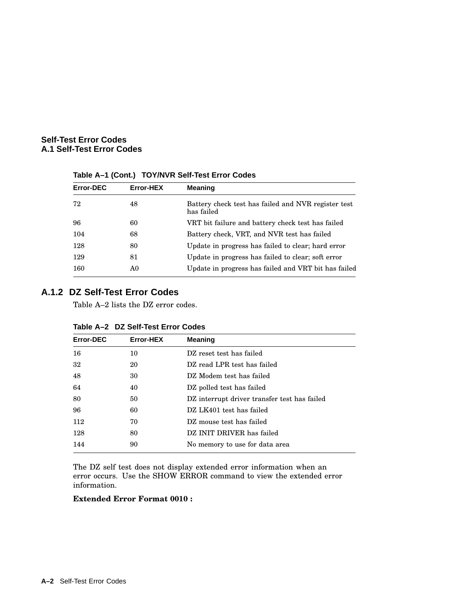| <b>Error-DEC</b> | Error-HEX | <b>Meaning</b>                                                    |
|------------------|-----------|-------------------------------------------------------------------|
| 72               | 48        | Battery check test has failed and NVR register test<br>has failed |
| 96               | 60        | VRT bit failure and battery check test has failed                 |
| 104              | 68        | Battery check, VRT, and NVR test has failed                       |
| 128              | 80        | Update in progress has failed to clear; hard error                |
| 129              | 81        | Update in progress has failed to clear; soft error                |
| 160              | A0        | Update in progress has failed and VRT bit has failed              |

**Table A–1 (Cont.) TOY/NVR Self-Test Error Codes**

# **A.1.2 DZ Self-Test Error Codes**

Table A–2 lists the DZ error codes.

| <b>Error-DEC</b> | Error-HEX | <b>Meaning</b>                               |
|------------------|-----------|----------------------------------------------|
| 16               | 10        | DZ reset test has failed                     |
| 32               | 20        | DZ read LPR test has failed                  |
| 48               | 30        | DZ Modem test has failed                     |
| 64               | 40        | DZ polled test has failed                    |
| 80               | 50        | DZ interrupt driver transfer test has failed |
| 96               | 60        | DZ LK401 test has failed                     |
| 112              | 70        | DZ mouse test has failed                     |
| 128              | 80        | DZ INIT DRIVER has failed                    |
| 144              | 90        | No memory to use for data area               |

| Table A-2 DZ Self-Test Error Codes |  |  |  |
|------------------------------------|--|--|--|
|------------------------------------|--|--|--|

The DZ self test does not display extended error information when an error occurs. Use the SHOW ERROR command to view the extended error information.

#### **Extended Error Format 0010 :**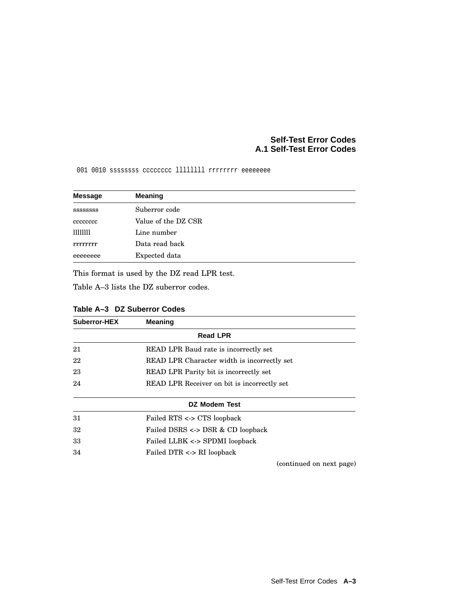001 0010 sssssssss cccccccc llllllll rrrrrrrr eeeeeeee

| <b>Message</b>   | <b>Meaning</b>      |
|------------------|---------------------|
| <b>SSSSSSSSS</b> | Suberror code       |
| cccccccc         | Value of the DZ CSR |
| 11111111         | Line number         |
| rrrrrrr          | Data read back      |
| eeeeeeee         | Expected data       |

This format is used by the DZ read LPR test.

Table A–3 lists the DZ suberror codes.

| Suberror-HEX | <b>Meaning</b>                              |
|--------------|---------------------------------------------|
|              | <b>Read LPR</b>                             |
| 21           | READ LPR Baud rate is incorrectly set       |
| 22           | READ LPR Character width is incorrectly set |
| 23           | READ LPR Parity bit is incorrectly set      |
| 24           | READ LPR Receiver on bit is incorrectly set |
|              | DZ Modem Test                               |
| 31           | Failed RTS <-> CTS loopback                 |
| 32           | Failed DSRS <-> DSR & CD loopback           |
| 33           | Failed LLBK <-> SPDMI loopback              |
| 34           | Failed DTR <-> RI loopback                  |
|              | (continued on next page)                    |

| Table A-3 DZ Suberror Codes |
|-----------------------------|
|-----------------------------|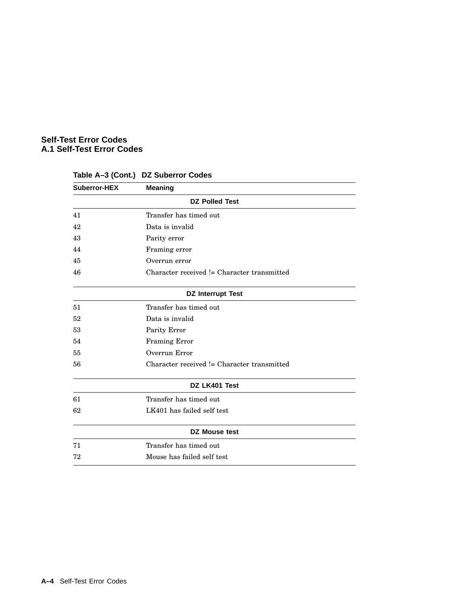| <b>Suberror-HEX</b> | <b>Meaning</b>                              |  |
|---------------------|---------------------------------------------|--|
|                     | <b>DZ Polled Test</b>                       |  |
| 41                  | Transfer has timed out                      |  |
| 42                  | Data is invalid                             |  |
| 43                  | Parity error                                |  |
| 44                  | Framing error                               |  |
| 45                  | Overrun error                               |  |
| 46                  | Character received != Character transmitted |  |
|                     | <b>DZ Interrupt Test</b>                    |  |
| 51                  | Transfer has timed out                      |  |
| 52                  | Data is invalid                             |  |
| 53                  | Parity Error                                |  |
| 54                  | <b>Framing Error</b>                        |  |
| 55                  | Overrun Error                               |  |
| 56                  | Character received != Character transmitted |  |
|                     | DZ LK401 Test                               |  |
| 61                  | Transfer has timed out                      |  |
| 62                  | LK401 has failed self test                  |  |
|                     | <b>DZ Mouse test</b>                        |  |
| 71                  | Transfer has timed out                      |  |
| 72                  | Mouse has failed self test                  |  |
|                     |                                             |  |

# **Table A–3 (Cont.) DZ Suberror Codes**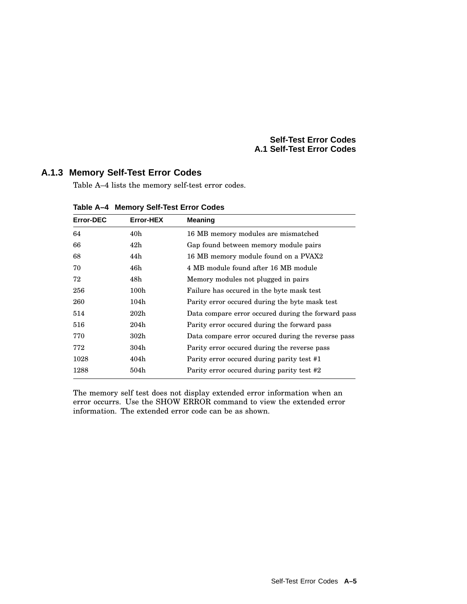# **A.1.3 Memory Self-Test Error Codes**

Table A–4 lists the memory self-test error codes.

| <b>Error-DEC</b> | <b>Error-HEX</b> | <b>Meaning</b>                                     |
|------------------|------------------|----------------------------------------------------|
| 64               | 40 <sub>h</sub>  | 16 MB memory modules are mismatched                |
| 66               | 42h              | Gap found between memory module pairs              |
| 68               | 44h              | 16 MB memory module found on a PVAX2               |
| 70               | 46h              | 4 MB module found after 16 MB module               |
| 72               | 48h              | Memory modules not plugged in pairs                |
| 256              | 100 <sub>h</sub> | Failure has occured in the byte mask test          |
| 260              | 104h             | Parity error occured during the byte mask test     |
| 514              | $202\mathrm{h}$  | Data compare error occured during the forward pass |
| 516              | 204h             | Parity error occured during the forward pass       |
| 770              | 302 <sub>h</sub> | Data compare error occured during the reverse pass |
| 772              | 304h             | Parity error occured during the reverse pass       |
| 1028             | 404h             | Parity error occured during parity test #1         |
| 1288             | 504h             | Parity error occured during parity test #2         |

**Table A–4 Memory Self-Test Error Codes**

The memory self test does not display extended error information when an error occurrs. Use the SHOW ERROR command to view the extended error information. The extended error code can be as shown.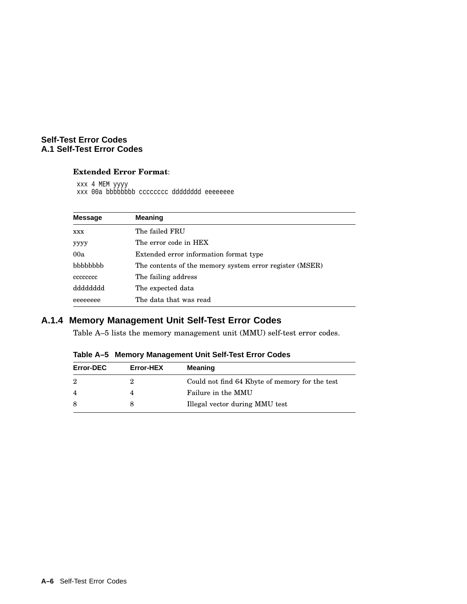#### **Extended Error Format**:

xxx 4 MEM yyyy xxx 00a bbbbbbbb cccccccc dddddddd eeeeeeee

| <b>Message</b> | <b>Meaning</b>                                          |  |
|----------------|---------------------------------------------------------|--|
| <b>XXX</b>     | The failed FRU                                          |  |
| уууу           | The error code in HEX                                   |  |
| 00a            | Extended error information format type                  |  |
| bbbbbbb        | The contents of the memory system error register (MSER) |  |
| cececcec       | The failing address                                     |  |
| dddddddd       | The expected data                                       |  |
| eeeeeeee       | The data that was read                                  |  |

# **A.1.4 Memory Management Unit Self-Test Error Codes**

Table A–5 lists the memory management unit (MMU) self-test error codes.

**Table A–5 Memory Management Unit Self-Test Error Codes**

| <b>Error-DEC</b> | Error-HEX | Meaning                                        |
|------------------|-----------|------------------------------------------------|
| 2                |           | Could not find 64 Kbyte of memory for the test |
| $\overline{4}$   |           | Failure in the MMU                             |
| 8                |           | Illegal vector during MMU test                 |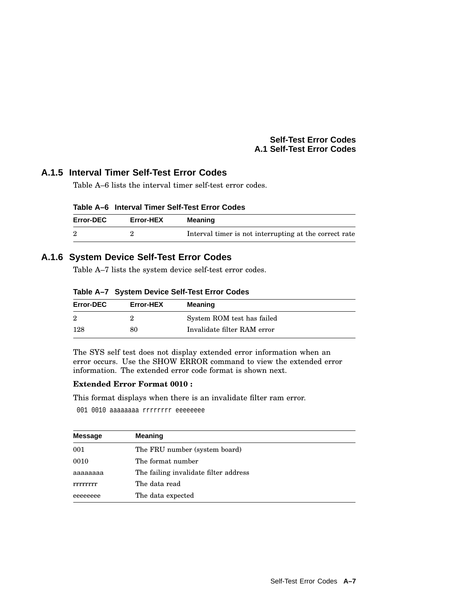# **A.1.5 Interval Timer Self-Test Error Codes**

Table A–6 lists the interval timer self-test error codes.

| Table A–6   Interval Timer Self-Test Error Codes |  |  |  |  |  |
|--------------------------------------------------|--|--|--|--|--|
|--------------------------------------------------|--|--|--|--|--|

| <b>Error-DEC</b> | Error-HEX | Meaning                                                |
|------------------|-----------|--------------------------------------------------------|
|                  |           | Interval timer is not interrupting at the correct rate |

# **A.1.6 System Device Self-Test Error Codes**

Table A–7 lists the system device self-test error codes.

| Table A-7 System Device Self-Test Error Codes |  |  |  |
|-----------------------------------------------|--|--|--|
|                                               |  |  |  |

| <b>Error-DEC</b> | <b>Error-HEX</b> | Meaning                     |
|------------------|------------------|-----------------------------|
| $\overline{2}$   |                  | System ROM test has failed  |
| 128              | 80               | Invalidate filter RAM error |

The SYS self test does not display extended error information when an error occurs. Use the SHOW ERROR command to view the extended error information. The extended error code format is shown next.

#### **Extended Error Format 0010 :**

This format displays when there is an invalidate filter ram error.

001 0010 aaaaaaaa rrrrrrrr eeeeeeee

| <b>Message</b> | <b>Meaning</b>                        |
|----------------|---------------------------------------|
| 001            | The FRU number (system board)         |
| 0010           | The format number                     |
| аааааааа       | The failing invalidate filter address |
| rrrrrrrr       | The data read                         |
| eeeeeeee       | The data expected                     |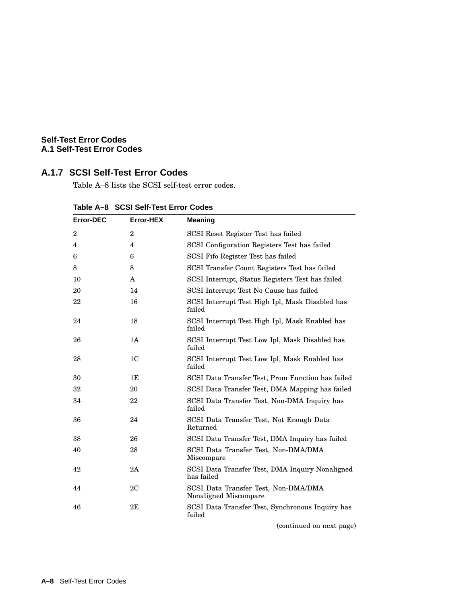# **A.1.7 SCSI Self-Test Error Codes**

Table A–8 lists the SCSI self-test error codes.

| <b>Error-DEC</b> | <b>Error-HEX</b> | <b>Meaning</b>                                                |
|------------------|------------------|---------------------------------------------------------------|
| $\overline{2}$   | $\overline{2}$   | SCSI Reset Register Test has failed                           |
| 4                | 4                | SCSI Configuration Registers Test has failed                  |
| 6                | 6                | SCSI Fifo Register Test has failed                            |
| 8                | 8                | SCSI Transfer Count Registers Test has failed                 |
| 10               | A                | SCSI Interrupt, Status Registers Test has failed              |
| 20               | 14               | SCSI Interrupt Test No Cause has failed                       |
| 22               | 16               | SCSI Interrupt Test High Ipl, Mask Disabled has<br>failed     |
| 24               | 18               | SCSI Interrupt Test High Ipl, Mask Enabled has<br>failed      |
| 26               | 1A               | SCSI Interrupt Test Low Ipl, Mask Disabled has<br>failed      |
| 28               | 1 <sub>C</sub>   | SCSI Interrupt Test Low Ipl, Mask Enabled has<br>failed       |
| 30               | 1E               | SCSI Data Transfer Test, Prom Function has failed             |
| 32               | 20               | SCSI Data Transfer Test, DMA Mapping has failed               |
| 34               | 22               | SCSI Data Transfer Test, Non-DMA Inquiry has<br>failed        |
| 36               | 24               | SCSI Data Transfer Test, Not Enough Data<br>Returned          |
| 38               | 26               | SCSI Data Transfer Test, DMA Inquiry has failed               |
| 40               | 28               | SCSI Data Transfer Test, Non-DMA/DMA<br>Miscompare            |
| 42               | 2A               | SCSI Data Transfer Test, DMA Inquiry Nonaligned<br>has failed |
| 44               | 2C               | SCSI Data Transfer Test, Non-DMA/DMA<br>Nonaligned Miscompare |
| 46               | 2E               | SCSI Data Transfer Test, Synchronous Inquiry has<br>failed    |

**Table A–8 SCSI Self-Test Error Codes**

(continued on next page)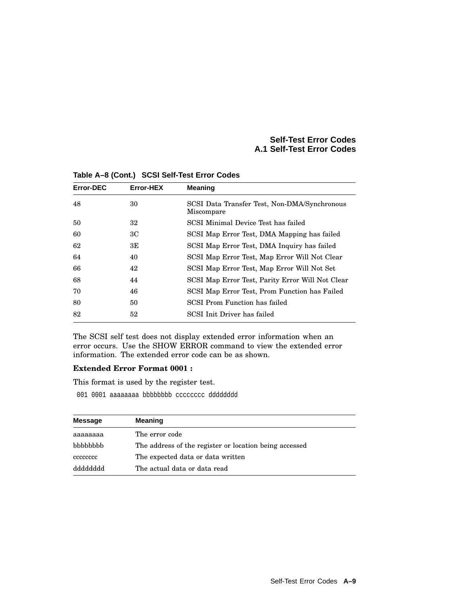| <b>Error-DEC</b> | Error-HEX | <b>Meaning</b>                                             |
|------------------|-----------|------------------------------------------------------------|
| 48               | 30        | SCSI Data Transfer Test, Non-DMA/Synchronous<br>Miscompare |
| 50               | 32        | SCSI Minimal Device Test has failed                        |
| 60               | 3C        | SCSI Map Error Test, DMA Mapping has failed                |
| 62               | ЗE        | SCSI Map Error Test, DMA Inquiry has failed                |
| 64               | 40        | SCSI Map Error Test, Map Error Will Not Clear              |
| 66               | 42        | SCSI Map Error Test, Map Error Will Not Set                |
| 68               | 44        | SCSI Map Error Test, Parity Error Will Not Clear           |
| 70               | 46        | SCSI Map Error Test, Prom Function has Failed              |
| 80               | 50        | SCSI Prom Function has failed                              |
| 82               | 52        | SCSI Init Driver has failed                                |

**Table A–8 (Cont.) SCSI Self-Test Error Codes**

The SCSI self test does not display extended error information when an error occurs. Use the SHOW ERROR command to view the extended error information. The extended error code can be as shown.

#### **Extended Error Format 0001 :**

This format is used by the register test.

001 0001 aaaaaaaa bbbbbbbbb cccccccc dddddddd

| Message         | <b>Meaning</b>                                         |
|-----------------|--------------------------------------------------------|
| аааааааа        | The error code                                         |
| <b>bbbbbbbb</b> | The address of the register or location being accessed |
| cececcec        | The expected data or data written                      |
| qqqqqqqqq       | The actual data or data read                           |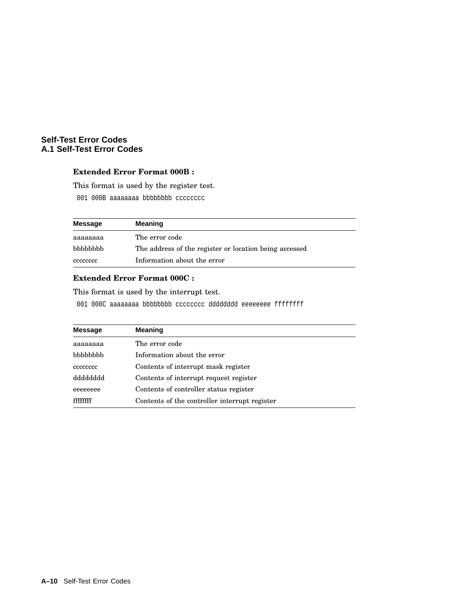# **Extended Error Format 000B :**

This format is used by the register test.

001 000B aaaaaaaa bbbbbbbbb cccccccc

| Message  | <b>Meaning</b>                                         |
|----------|--------------------------------------------------------|
| aaaaaaaa | The error code                                         |
| bbbbbbb  | The address of the register or location being accessed |
| cececcec | Information about the error                            |

# **Extended Error Format 000C :**

This format is used by the interrupt test.

001 000C aaaaaaaa bbbbbbbb cccccccc dddddddd eeeeeeee ffffffff

| <b>Message</b> | <b>Meaning</b>                                |
|----------------|-----------------------------------------------|
| аааааааа       | The error code                                |
| bbbbbbbb       | Information about the error                   |
| cececcec       | Contents of interrupt mask register           |
| dyppppppp      | Contents of interrupt request register        |
| eeeeeeee       | Contents of controller status register        |
|                | Contents of the controller interrupt register |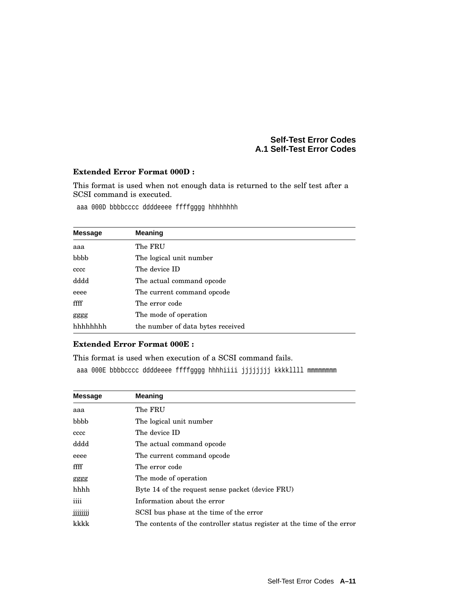#### **Extended Error Format 000D :**

This format is used when not enough data is returned to the self test after a SCSI command is executed.

aaa 000D bbbbcccc ddddeeee ffffgggg hhhhhhhh

| <b>Message</b> | <b>Meaning</b>                    |
|----------------|-----------------------------------|
| aaa            | The FRU                           |
| bbbb           | The logical unit number           |
| cccc           | The device ID                     |
| dddd           | The actual command opcode         |
| eeee           | The current command opcode        |
| ffff           | The error code                    |
| gggg           | The mode of operation             |
| hhhhhhh        | the number of data bytes received |

#### **Extended Error Format 000E :**

This format is used when execution of a SCSI command fails.

aaa 000E bbbbcccc ddddeeee ffffgggg hhhhiiii jjjjjjjj kkkkllll mmmmmmmm

| <b>Message</b>   | <b>Meaning</b>                                                          |
|------------------|-------------------------------------------------------------------------|
| aaa              | The FRU                                                                 |
| bbbb             | The logical unit number                                                 |
| cccc             | The device ID                                                           |
| dddd             | The actual command opcode                                               |
| eeee             | The current command opcode                                              |
| ffff             | The error code                                                          |
| gggg             | The mode of operation                                                   |
| hhhh             | Byte 14 of the request sense packet (device FRU)                        |
| iiii             | Information about the error                                             |
| <b>ijjjjjjjj</b> | SCSI bus phase at the time of the error                                 |
| kkkk             | The contents of the controller status register at the time of the error |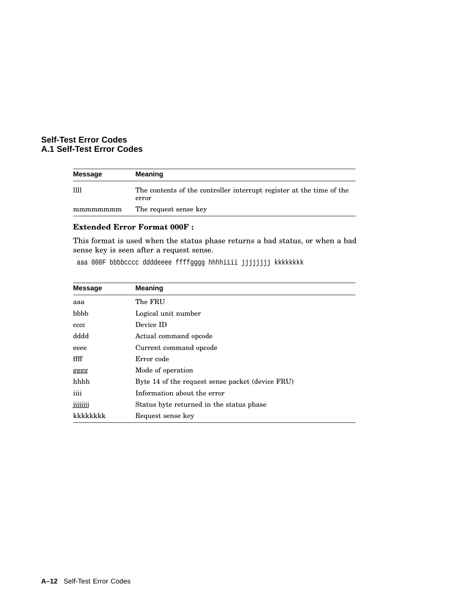| Message  | <b>Meaning</b>                                                                |  |  |
|----------|-------------------------------------------------------------------------------|--|--|
| 1111     | The contents of the controller interrupt register at the time of the<br>error |  |  |
| mmmmmmmm | The request sense key                                                         |  |  |

# **Extended Error Format 000F :**

This format is used when the status phase returns a bad status, or when a bad sense key is seen after a request sense.

aaa 000F bbbbcccc ddddeeee ffffgggg hhhhiiii jjjjjjjj kkkkkkkk

| <b>Message</b> | <b>Meaning</b>                                   |
|----------------|--------------------------------------------------|
| aaa            | The FRU                                          |
| bbbb           | Logical unit number                              |
| cccc           | Device ID                                        |
| dddd           | Actual command opcode                            |
| eeee           | Current command opcode                           |
| ffff           | Error code                                       |
| gggg           | Mode of operation                                |
| hhhh           | Byte 14 of the request sense packet (device FRU) |
| iiii           | Information about the error                      |
| jjjjjjjj       | Status byte returned in the status phase         |
| kkkkkkkk       | Request sense key                                |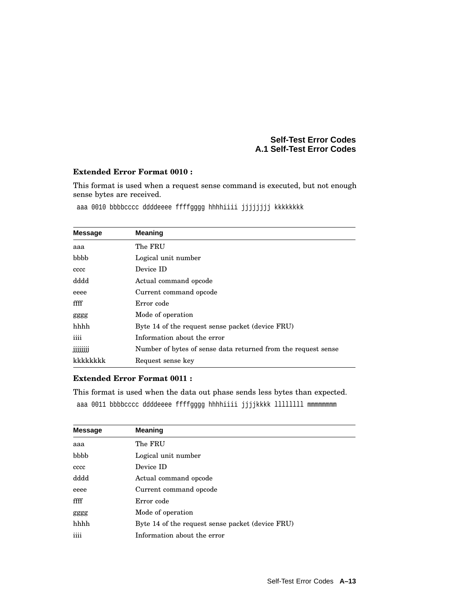#### **Extended Error Format 0010 :**

This format is used when a request sense command is executed, but not enough sense bytes are received.

aaa 0010 bbbbcccc ddddeeee ffffgggg hhhhiiii jjjjjjjj kkkkkkkk

| <b>Message</b> | <b>Meaning</b>                                                |  |
|----------------|---------------------------------------------------------------|--|
| aaa            | The FRU                                                       |  |
| bbbb           | Logical unit number                                           |  |
| cccc           | Device ID                                                     |  |
| dddd           | Actual command opcode                                         |  |
| eeee           | Current command opcode                                        |  |
| ffff           | Error code                                                    |  |
| gggg           | Mode of operation                                             |  |
| hhhh           | Byte 14 of the request sense packet (device FRU)              |  |
| iiii           | Information about the error                                   |  |
| jjjjjjjj       | Number of bytes of sense data returned from the request sense |  |
| kkkkkkkk       | Request sense key                                             |  |

# **Extended Error Format 0011 :**

This format is used when the data out phase sends less bytes than expected. aaa 0011 bbbbcccc ddddeeee ffffgggg hhhhiiii jjjjkkkk llllllll mmmmmmmm

| <b>Message</b> | <b>Meaning</b>                                   |
|----------------|--------------------------------------------------|
| aaa            | The FRU                                          |
| bbbb           | Logical unit number                              |
| cccc           | Device ID                                        |
| dddd           | Actual command opcode                            |
| eeee           | Current command opcode                           |
| ffff           | Error code                                       |
| gggg           | Mode of operation                                |
| hhhh           | Byte 14 of the request sense packet (device FRU) |
| iiii           | Information about the error                      |
|                |                                                  |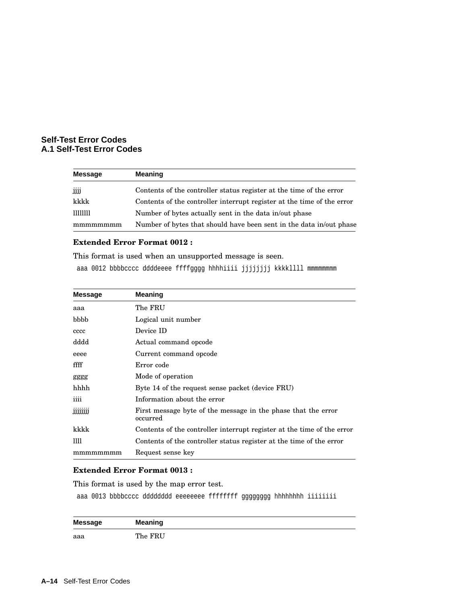| Message  | <b>Meaning</b>                                                         |
|----------|------------------------------------------------------------------------|
| jjjj     | Contents of the controller status register at the time of the error    |
| kkkk     | Contents of the controller interrupt register at the time of the error |
| 11111111 | Number of bytes actually sent in the data in/out phase                 |
| mmmmmmmm | Number of bytes that should have been sent in the data in/out phase    |

#### **Extended Error Format 0012 :**

This format is used when an unsupported message is seen.

aaa 0012 bbbbcccc ddddeeee ffffgggg hhhhiiii jjjjjjjj kkkkllll mmmmmmmm

| <b>Message</b> | <b>Meaning</b>                                                            |  |
|----------------|---------------------------------------------------------------------------|--|
| aaa            | The FRU                                                                   |  |
| bbbb           | Logical unit number                                                       |  |
| cccc           | Device ID                                                                 |  |
| dddd           | Actual command opcode                                                     |  |
| eeee           | Current command opcode                                                    |  |
| ffff           | Error code                                                                |  |
| gggg           | Mode of operation                                                         |  |
| hhhh           | Byte 14 of the request sense packet (device FRU)                          |  |
| iiii           | Information about the error                                               |  |
| jjjjjjj        | First message byte of the message in the phase that the error<br>occurred |  |
| kkkk           | Contents of the controller interrupt register at the time of the error    |  |
| Ш              | Contents of the controller status register at the time of the error       |  |
| mmmmmmm        | Request sense key                                                         |  |

# **Extended Error Format 0013 :**

This format is used by the map error test.

aaa 0013 bbbbcccc dddddddd eeeeeeee ffffffff gggggggg hhhhhhhh iiiiiiii

| Message | <b>Meaning</b> |
|---------|----------------|
| aaa     | The FRU        |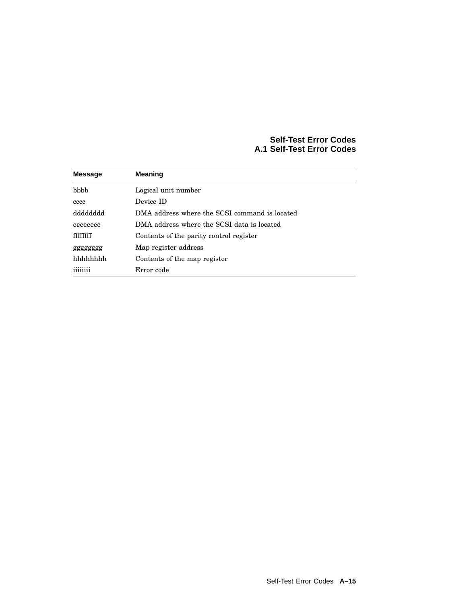| <b>Message</b> | <b>Meaning</b>                                |  |  |
|----------------|-----------------------------------------------|--|--|
| bbbb           | Logical unit number                           |  |  |
| cccc           | Device ID                                     |  |  |
| dddddddd       | DMA address where the SCSI command is located |  |  |
| eeeeeeee       | DMA address where the SCSI data is located    |  |  |
| ffffffff       | Contents of the parity control register       |  |  |
| gggggggg       | Map register address                          |  |  |
| hhhhhhh        | Contents of the map register                  |  |  |
| 11111111       | Error code                                    |  |  |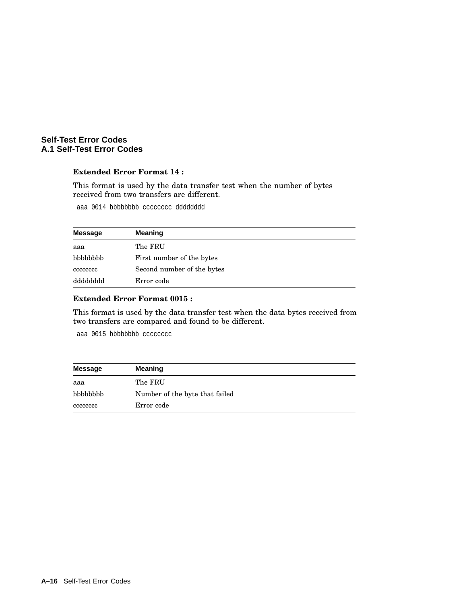#### **Extended Error Format 14 :**

This format is used by the data transfer test when the number of bytes received from two transfers are different.

aaa 0014 bbbbbbbb cccccccc dddddddd

| Message  | <b>Meaning</b>             |
|----------|----------------------------|
| aaa      | The FRU                    |
| bbbbbbbb | First number of the bytes  |
| cececcec | Second number of the bytes |
| dddddddd | Error code                 |

# **Extended Error Format 0015 :**

This format is used by the data transfer test when the data bytes received from two transfers are compared and found to be different.

aaa 0015 bbbbbbbbb cccccccc

| <b>Message</b> | <b>Meaning</b>                 |  |  |
|----------------|--------------------------------|--|--|
| aaa            | The FRU                        |  |  |
| bbbbbbb        | Number of the byte that failed |  |  |
| cccccccc       | Error code                     |  |  |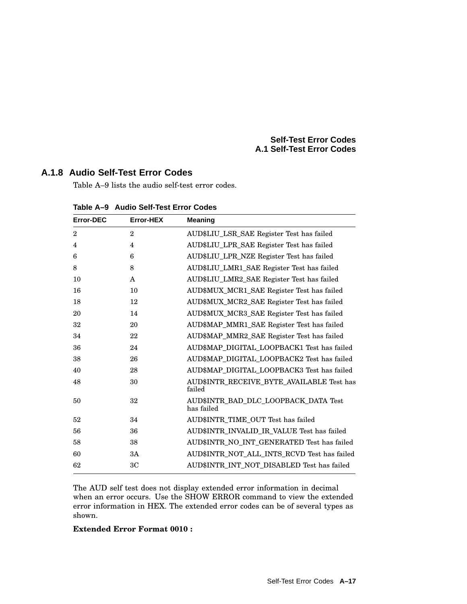# **A.1.8 Audio Self-Test Error Codes**

Table A–9 lists the audio self-test error codes.

| <b>Error-DEC</b> | Error-HEX      | <b>Meaning</b>                                      |
|------------------|----------------|-----------------------------------------------------|
| $\overline{2}$   | $\mathbf{2}$   | AUD\$LIU LSR SAE Register Test has failed           |
| 4                | 4              | AUD\$LIU LPR SAE Register Test has failed           |
| 6                | 6              | AUD\$LIU LPR NZE Register Test has failed           |
| 8                | 8              | AUD\$LIU LMR1 SAE Register Test has failed          |
| 10               | A              | AUD\$LIU_LMR2_SAE Register Test has failed          |
| 16               | 10             | AUD\$MUX_MCR1_SAE Register Test has failed          |
| 18               | 12             | AUD\$MUX_MCR2_SAE Register Test has failed          |
| 20               | 14             | AUD\$MUX MCR3 SAE Register Test has failed          |
| 32               | 20             | AUD\$MAP_MMR1_SAE Register Test has failed          |
| 34               | 22             | AUD\$MAP_MMR2_SAE Register Test has failed          |
| 36               | 24             | AUD\$MAP_DIGITAL_LOOPBACK1 Test has failed          |
| 38               | 26             | AUD\$MAP_DIGITAL_LOOPBACK2 Test has failed          |
| 40               | 28             | AUD\$MAP_DIGITAL_LOOPBACK3 Test has failed          |
| 48               | 30             | AUD\$INTR_RECEIVE_BYTE_AVAILABLE Test has<br>failed |
| 50               | 32             | AUD\$INTR_BAD_DLC_LOOPBACK_DATA Test<br>has failed  |
| 52               | 34             | AUD\$INTR TIME OUT Test has failed                  |
| 56               | 36             | AUD\$INTR_INVALID_IR_VALUE Test has failed          |
| 58               | 38             | AUD\$INTR_NO_INT_GENERATED Test has failed          |
| 60               | 3A             | AUD\$INTR_NOT_ALL_INTS_RCVD Test has failed         |
| 62               | 3 <sub>C</sub> | AUD\$INTR_INT_NOT_DISABLED Test has failed          |

**Table A–9 Audio Self-Test Error Codes**

The AUD self test does not display extended error information in decimal when an error occurs. Use the SHOW ERROR command to view the extended error information in HEX. The extended error codes can be of several types as shown.

# **Extended Error Format 0010 :**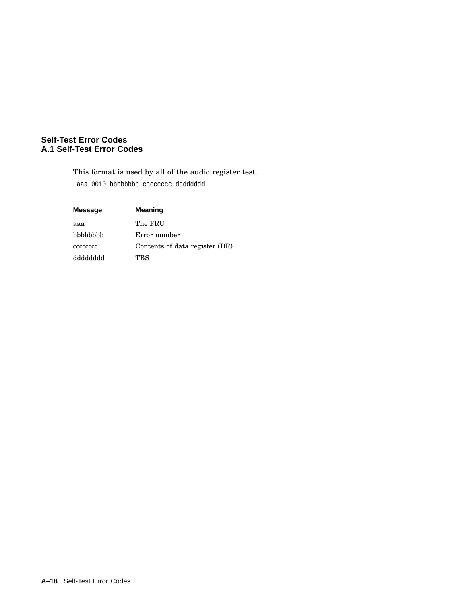This format is used by all of the audio register test. aaa 0010 bbbbbbbb cccccccc dddddddd

| <b>Message</b> | <b>Meaning</b>                 |  |  |  |
|----------------|--------------------------------|--|--|--|
| aaa            | The FRU                        |  |  |  |
| bbbbbbb        | Error number                   |  |  |  |
| cccccccc       | Contents of data register (DR) |  |  |  |
| dddddddd       | TBS                            |  |  |  |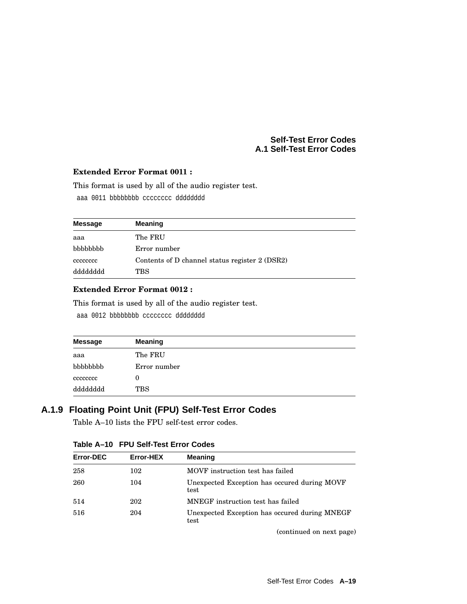### **Extended Error Format 0011 :**

This format is used by all of the audio register test.

aaa 0011 bbbbbbbb cccccccc dddddddd

| Message  | <b>Meaning</b>                                 |
|----------|------------------------------------------------|
| aaa      | The FRU                                        |
| bbbbbbbb | Error number                                   |
| cececcec | Contents of D channel status register 2 (DSR2) |
| dddddddd | TBS                                            |

# **Extended Error Format 0012 :**

This format is used by all of the audio register test.

aaa 0012 bbbbbbbb cccccccc dddddddd

| <b>Message</b> | <b>Meaning</b> |
|----------------|----------------|
| aaa            | The FRU        |
| bbbbbbb        | Error number   |
| cccccccc       | 0              |
| dddddddd       | <b>TBS</b>     |

# **A.1.9 Floating Point Unit (FPU) Self-Test Error Codes**

Table A–10 lists the FPU self-test error codes.

| Error-DEC | Error-HEX | Meaning                                               |
|-----------|-----------|-------------------------------------------------------|
| 258       | 102       | MOVF instruction test has failed                      |
| 260       | 104       | Unexpected Exception has occured during MOVF<br>test  |
| 514       | 202       | MNEGF instruction test has failed                     |
| 516       | 204       | Unexpected Exception has occured during MNEGF<br>test |

**Table A–10 FPU Self-Test Error Codes**

(continued on next page)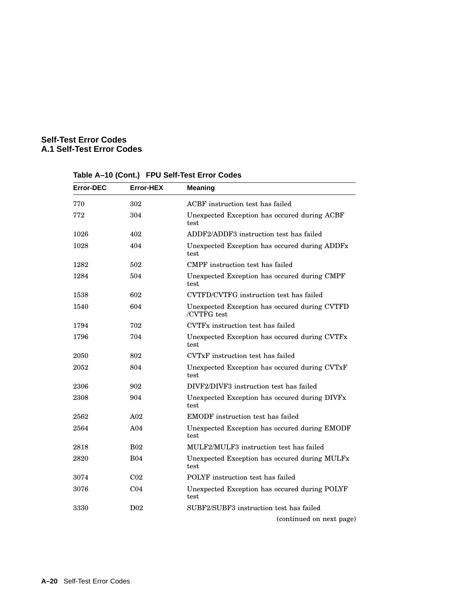| <b>Error-DEC</b> | Error-HEX       | <b>Meaning</b>                                               |  |
|------------------|-----------------|--------------------------------------------------------------|--|
| 770              | 302             | ACBF instruction test has failed                             |  |
| 772              | 304             | Unexpected Exception has occured during ACBF<br>test         |  |
| 1026             | 402             | ADDF2/ADDF3 instruction test has failed                      |  |
| 1028             | 404             | Unexpected Exception has occured during ADDFx<br>test.       |  |
| 1282             | 502             | CMPF instruction test has failed                             |  |
| 1284             | 504             | Unexpected Exception has occured during CMPF<br>test         |  |
| 1538             | 602             | CVTFD/CVTFG instruction test has failed                      |  |
| 1540             | 604             | Unexpected Exception has occured during CVTFD<br>/CVTFG test |  |
| 1794             | 702             | CVTFx instruction test has failed                            |  |
| 1796             | 704             | Unexpected Exception has occured during CVTFx<br>test        |  |
| 2050             | 802             | CVTxF instruction test has failed                            |  |
| 2052             | 804             | Unexpected Exception has occured during CVTxF<br>test        |  |
| 2306             | 902             | DIVF2/DIVF3 instruction test has failed                      |  |
| 2308             | 904             | Unexpected Exception has occured during DIVFx<br>test        |  |
| 2562             | A <sub>02</sub> | <b>EMODF</b> instruction test has failed                     |  |
| 2564             | A <sub>04</sub> | Unexpected Exception has occured during EMODF<br>test        |  |
| 2818             | <b>B02</b>      | MULF2/MULF3 instruction test has failed                      |  |
| 2820             | <b>B04</b>      | Unexpected Exception has occured during MULFx<br>test        |  |
| 3074             | C <sub>02</sub> | POLYF instruction test has failed                            |  |
| 3076             | CO <sub>4</sub> | Unexpected Exception has occured during POLYF<br>test        |  |
| 3330             | D <sub>02</sub> | SUBF2/SUBF3 instruction test has failed                      |  |
|                  |                 | (continued on next page)                                     |  |

# **Table A–10 (Cont.) FPU Self-Test Error Codes**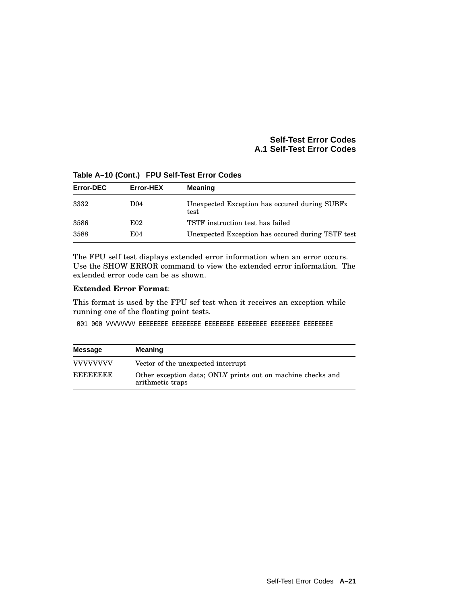| Error-DEC | Error-HEX       | <b>Meaning</b>                                                    |
|-----------|-----------------|-------------------------------------------------------------------|
| 3332      | D <sub>04</sub> | Unexpected Exception has occured during SUBF <sub>x</sub><br>test |
| 3586      | E02             | TSTF instruction test has failed                                  |
| 3588      | E04             | Unexpected Exception has occured during TSTF test                 |

**Table A–10 (Cont.) FPU Self-Test Error Codes**

The FPU self test displays extended error information when an error occurs. Use the SHOW ERROR command to view the extended error information. The extended error code can be as shown.

### **Extended Error Format**:

This format is used by the FPU sef test when it receives an exception while running one of the floating point tests.

001 000 VVVVVVVV EEEEEEEE EEEEEEEE EEEEEEEE EEEEEEEE EEEEEEEE EEEEEEEE

| <b>Message</b>   | <b>Meaning</b>                                                                  |
|------------------|---------------------------------------------------------------------------------|
| <b>VVVVVVVVV</b> | Vector of the unexpected interrupt                                              |
| <b>EEEEEEEE</b>  | Other exception data; ONLY prints out on machine checks and<br>arithmetic traps |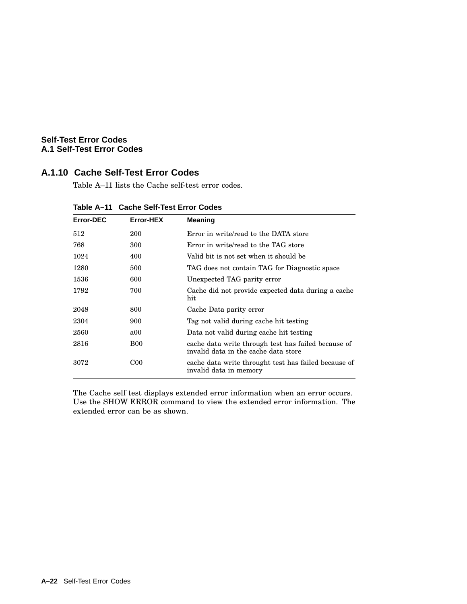# **A.1.10 Cache Self-Test Error Codes**

Table A–11 lists the Cache self-test error codes.

| <b>Error-DEC</b> | Error-HEX    | <b>Meaning</b>                                                                              |
|------------------|--------------|---------------------------------------------------------------------------------------------|
| 512              | 200          | Error in write/read to the DATA store                                                       |
| 768              | 300          | Error in write/read to the TAG store                                                        |
| 1024             | 400          | Valid bit is not set when it should be                                                      |
| 1280             | 500          | TAG does not contain TAG for Diagnostic space                                               |
| 1536             | 600          | Unexpected TAG parity error                                                                 |
| 1792             | 700          | Cache did not provide expected data during a cache<br>hit                                   |
| 2048             | 800          | Cache Data parity error                                                                     |
| 2304             | 900          | Tag not valid during cache hit testing                                                      |
| 2560             | a00          | Data not valid during cache hit testing                                                     |
| 2816             | <b>B00</b>   | cache data write through test has failed because of<br>invalid data in the cache data store |
| 3072             | $_{\rm CO0}$ | cache data write throught test has failed because of<br>invalid data in memory              |

**Table A–11 Cache Self-Test Error Codes**

The Cache self test displays extended error information when an error occurs. Use the SHOW ERROR command to view the extended error information. The extended error can be as shown.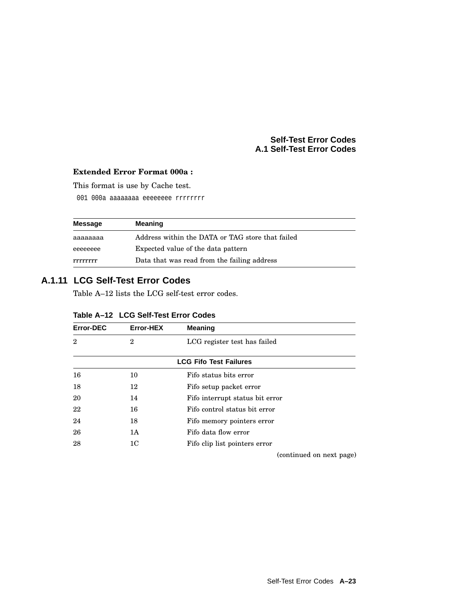## **Extended Error Format 000a :**

This format is use by Cache test.

001 000a aaaaaaaa eeeeeeee rrrrrrrr

| Message  | <b>Meaning</b>                                   |  |
|----------|--------------------------------------------------|--|
| aaaaaaaa | Address within the DATA or TAG store that failed |  |
| eeeeeeee | Expected value of the data pattern               |  |
| rrrrrrr  | Data that was read from the failing address      |  |

# **A.1.11 LCG Self-Test Error Codes**

Table A–12 lists the LCG self-test error codes.

| Error-DEC      | Error-HEX      | <b>Meaning</b>                  |
|----------------|----------------|---------------------------------|
| $\overline{2}$ | $\overline{2}$ | LCG register test has failed    |
|                |                | <b>LCG Fifo Test Failures</b>   |
| 16             | 10             | Fifo status bits error          |
| 18             | 12             | Fifo setup packet error         |
| 20             | 14             | Fifo interrupt status bit error |
| 22             | 16             | Fifo control status bit error   |
| 24             | 18             | Fifo memory pointers error      |
| 26             | 1A             | Fifo data flow error            |
| 28             | 1 <sub>C</sub> | Fifo clip list pointers error   |
|                |                | (continued on next page)        |

| Table A-12 LCG Self-Test Error Codes |  |  |  |
|--------------------------------------|--|--|--|
|--------------------------------------|--|--|--|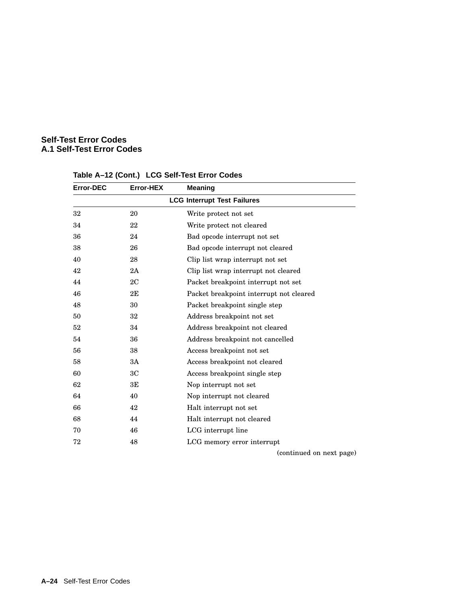| <b>Error-DEC</b>                   | <b>Error-HEX</b> | <b>Meaning</b>                          |  |
|------------------------------------|------------------|-----------------------------------------|--|
| <b>LCG Interrupt Test Failures</b> |                  |                                         |  |
| 32                                 | 20               | Write protect not set                   |  |
| 34                                 | 22               | Write protect not cleared               |  |
| 36                                 | 24               | Bad opcode interrupt not set            |  |
| 38                                 | 26               | Bad opcode interrupt not cleared        |  |
| 40                                 | 28               | Clip list wrap interrupt not set        |  |
| 42                                 | 2A               | Clip list wrap interrupt not cleared    |  |
| 44                                 | 2C               | Packet breakpoint interrupt not set     |  |
| 46                                 | 2E               | Packet breakpoint interrupt not cleared |  |
| 48                                 | 30               | Packet breakpoint single step           |  |
| 50                                 | 32               | Address breakpoint not set              |  |
| 52                                 | 34               | Address breakpoint not cleared          |  |
| 54                                 | 36               | Address breakpoint not cancelled        |  |
| 56                                 | 38               | Access breakpoint not set               |  |
| 58                                 | 3A               | Access breakpoint not cleared           |  |
| 60                                 | 3 <sub>C</sub>   | Access breakpoint single step           |  |
| 62                                 | 3E               | Nop interrupt not set                   |  |
| 64                                 | 40               | Nop interrupt not cleared               |  |
| 66                                 | 42               | Halt interrupt not set                  |  |
| 68                                 | 44               | Halt interrupt not cleared              |  |
| 70                                 | 46               | LCG interrupt line                      |  |
| 72                                 | 48               | LCG memory error interrupt              |  |
|                                    |                  |                                         |  |

# **Table A–12 (Cont.) LCG Self-Test Error Codes**

(continued on next page)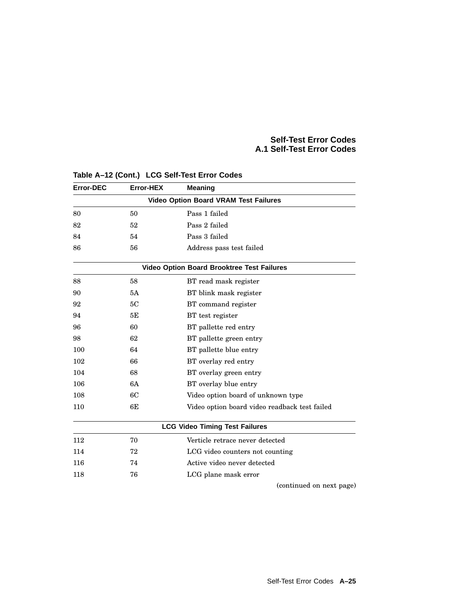| <b>Error-DEC</b> | Error-HEX                                         | <b>Meaning</b>                                |  |  |  |
|------------------|---------------------------------------------------|-----------------------------------------------|--|--|--|
|                  | <b>Video Option Board VRAM Test Failures</b>      |                                               |  |  |  |
| 80               | 50                                                | Pass 1 failed                                 |  |  |  |
| 82               | 52                                                | Pass 2 failed                                 |  |  |  |
| 84               | 54                                                | Pass 3 failed                                 |  |  |  |
| 86               | 56                                                | Address pass test failed                      |  |  |  |
|                  | <b>Video Option Board Brooktree Test Failures</b> |                                               |  |  |  |
| 88               | 58                                                | BT read mask register                         |  |  |  |
| 90               | 5A                                                | BT blink mask register                        |  |  |  |
| 92               | 5C                                                | BT command register                           |  |  |  |
| 94               | 5E                                                | BT test register                              |  |  |  |
| 96               | 60                                                | BT pallette red entry                         |  |  |  |
| 98               | 62                                                | BT pallette green entry                       |  |  |  |
| 100              | 64                                                | BT pallette blue entry                        |  |  |  |
| 102              | 66                                                | BT overlay red entry                          |  |  |  |
| 104              | 68                                                | BT overlay green entry                        |  |  |  |
| 106              | 6A                                                | BT overlay blue entry                         |  |  |  |
| 108              | 6C                                                | Video option board of unknown type            |  |  |  |
| 110              | 6E                                                | Video option board video readback test failed |  |  |  |
|                  | <b>LCG Video Timing Test Failures</b>             |                                               |  |  |  |
| 112              | 70                                                | Verticle retrace never detected               |  |  |  |
| 114              | 72                                                | LCG video counters not counting               |  |  |  |
| 116              | 74                                                | Active video never detected                   |  |  |  |
| 118              | 76                                                | LCG plane mask error                          |  |  |  |
|                  |                                                   | (continued on next page)                      |  |  |  |

## **Table A–12 (Cont.) LCG Self-Test Error Codes**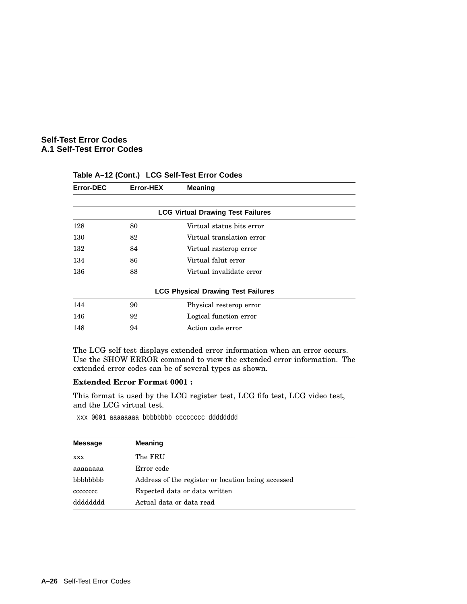| Error-DEC                                | Error-HEX | <b>Meaning</b>                            |  |  |
|------------------------------------------|-----------|-------------------------------------------|--|--|
| <b>LCG Virtual Drawing Test Failures</b> |           |                                           |  |  |
| 128                                      | 80        | Virtual status bits error                 |  |  |
| 130                                      | 82        | Virtual translation error                 |  |  |
| 132                                      | 84        | Virtual rasterop error                    |  |  |
| 134                                      | 86        | Virtual falut error                       |  |  |
| 136                                      | 88        | Virtual invalidate error                  |  |  |
|                                          |           | <b>LCG Physical Drawing Test Failures</b> |  |  |
| 144                                      | 90        | Physical resterop error                   |  |  |
| 146                                      | 92        | Logical function error                    |  |  |
| 148                                      | 94        | Action code error                         |  |  |

**Table A–12 (Cont.) LCG Self-Test Error Codes**

The LCG self test displays extended error information when an error occurs. Use the SHOW ERROR command to view the extended error information. The extended error codes can be of several types as shown.

#### **Extended Error Format 0001 :**

This format is used by the LCG register test, LCG fifo test, LCG video test, and the LCG virtual test.

xxx 0001 aaaaaaaa bbbbbbbb cccccccc dddddddd

| <b>Message</b> | <b>Meaning</b>                                     |
|----------------|----------------------------------------------------|
| <b>XXX</b>     | The FRU                                            |
| аааааааа       | Error code                                         |
| bbbbbbbb       | Address of the register or location being accessed |
| cccccccc       | Expected data or data written                      |
| qqqqqqqqq      | Actual data or data read                           |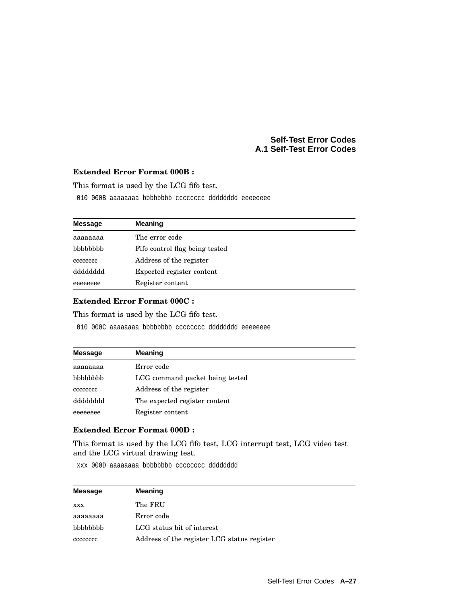### **Extended Error Format 000B :**

This format is used by the LCG fifo test.

010 000B aaaaaaaa bbbbbbbb cccccccc dddddddd eeeeeeee

| <b>Message</b> | <b>Meaning</b>                 |
|----------------|--------------------------------|
| aaaaaaaa       | The error code                 |
| bbbbbbb        | Fifo control flag being tested |
| cccccccc       | Address of the register        |
| dddddddd       | Expected register content      |
| eeeeeeee       | Register content               |

## **Extended Error Format 000C :**

This format is used by the LCG fifo test.

010 000C aaaaaaaa bbbbbbbb cccccccc dddddddd eeeeeeee

| <b>Message</b> | Meaning                         |
|----------------|---------------------------------|
| аааааааа       | Error code                      |
| bbbbbbb        | LCG command packet being tested |
| cececcec       | Address of the register         |
| dddddddd       | The expected register content   |
| eeeeeeee       | Register content                |

### **Extended Error Format 000D :**

This format is used by the LCG fifo test, LCG interrupt test, LCG video test and the LCG virtual drawing test.

xxx 000D aaaaaaaa bbbbbbbb cccccccc dddddddd

| <b>Message</b> | <b>Meaning</b>                              |
|----------------|---------------------------------------------|
| <b>XXX</b>     | The FRU                                     |
| aaaaaaaa       | Error code                                  |
| bbbbbbb        | LCG status bit of interest                  |
| cececcec       | Address of the register LCG status register |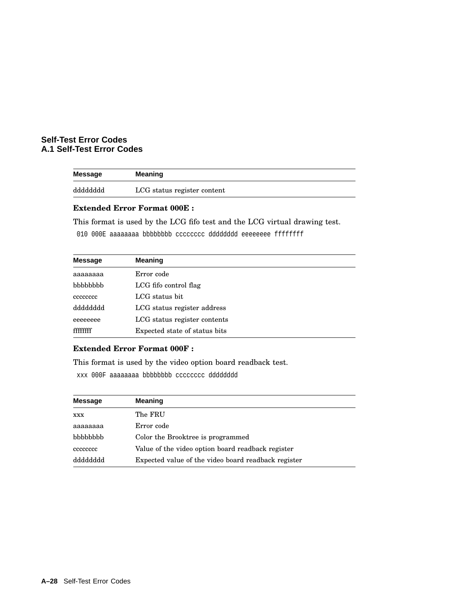| Message  | Meaning                     |
|----------|-----------------------------|
| dddddddd | LCG status register content |

#### **Extended Error Format 000E :**

This format is used by the LCG fifo test and the LCG virtual drawing test.

010 000E aaaaaaaa bbbbbbbb cccccccc dddddddd eeeeeeee ffffffff

| <b>Message</b> | <b>Meaning</b>                |
|----------------|-------------------------------|
| aaaaaaaa       | Error code                    |
| bbbbbbb        | LCG fifo control flag         |
| cececcec       | LCG status bit                |
| dddddddd       | LCG status register address   |
| eeeeeeee       | LCG status register contents  |
| ffffffff       | Expected state of status bits |

## **Extended Error Format 000F :**

This format is used by the video option board readback test.

xxx 000F aaaaaaaa bbbbbbbb cccccccc dddddddd

| Message    | <b>Meaning</b>                                      |
|------------|-----------------------------------------------------|
| <b>XXX</b> | The FRU                                             |
| aaaaaaaa   | Error code                                          |
| bbbbbbb    | Color the Brooktree is programmed                   |
| cececcec   | Value of the video option board readback register   |
| dddddddd   | Expected value of the video board readback register |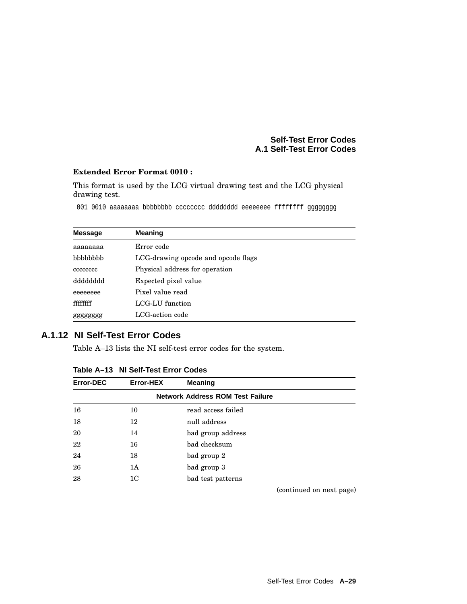## **Extended Error Format 0010 :**

This format is used by the LCG virtual drawing test and the LCG physical drawing test.

001 0010 aaaaaaaa bbbbbbbb cccccccc dddddddd eeeeeeee ffffffff gggggggg

| <b>Message</b>  | <b>Meaning</b>                      |  |  |
|-----------------|-------------------------------------|--|--|
| аааааааа        | Error code                          |  |  |
| <b>bbbbbbbb</b> | LCG-drawing opcode and opcode flags |  |  |
| cececcec        | Physical address for operation      |  |  |
| dddddddd        | Expected pixel value                |  |  |
| eeeeeeee        | Pixel value read                    |  |  |
| ffffffff        | LCG-LU function                     |  |  |
| gggggggg        | LCG-action code                     |  |  |

## **A.1.12 NI Self-Test Error Codes**

Table A–13 lists the NI self-test error codes for the system.

| <b>Error-DEC</b> | Error-HEX                               | <b>Meaning</b>     |                          |  |  |
|------------------|-----------------------------------------|--------------------|--------------------------|--|--|
|                  | <b>Network Address ROM Test Failure</b> |                    |                          |  |  |
| 16               | 10                                      | read access failed |                          |  |  |
| 18               | 12                                      | null address       |                          |  |  |
| 20               | 14                                      | bad group address  |                          |  |  |
| 22               | 16                                      | bad checksum       |                          |  |  |
| 24               | 18                                      | bad group 2        |                          |  |  |
| 26               | 1A                                      | bad group 3        |                          |  |  |
| 28               | 1 <sub>C</sub>                          | bad test patterns  |                          |  |  |
|                  |                                         |                    | (continued on next page) |  |  |

| Table A-13 NI Self-Test Error Codes |  |  |
|-------------------------------------|--|--|
|-------------------------------------|--|--|

Self-Test Error Codes **A–29**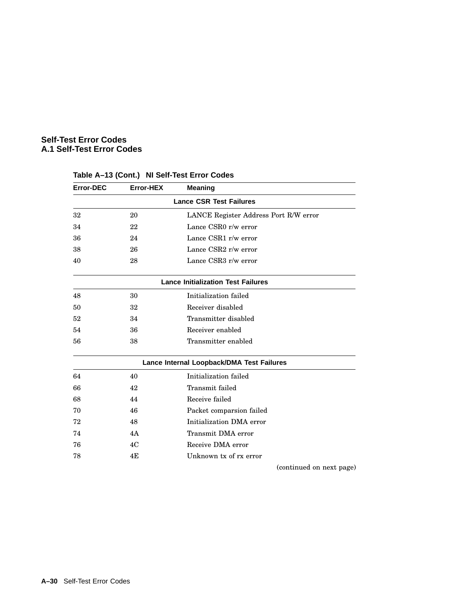| Error-DEC | <b>Error-HEX</b> | <b>Meaning</b>                            |
|-----------|------------------|-------------------------------------------|
|           |                  | <b>Lance CSR Test Failures</b>            |
| 32        | 20               | LANCE Register Address Port R/W error     |
| 34        | 22               | Lance CSR0 r/w error                      |
| 36        | 24               | Lance CSR1 r/w error                      |
| 38        | 26               | Lance CSR2 r/w error                      |
| 40        | 28               | Lance CSR3 r/w error                      |
|           |                  | <b>Lance Initialization Test Failures</b> |
| 48        | 30               | Initialization failed                     |
| 50        | 32               | Receiver disabled                         |
| 52        | 34               | Transmitter disabled                      |
| 54        | 36               | Receiver enabled                          |
| 56        | 38               | Transmitter enabled                       |
|           |                  | Lance Internal Loopback/DMA Test Failures |
| 64        | 40               | Initialization failed                     |
| 66        | 42               | Transmit failed                           |
| 68        | 44               | Receive failed                            |
| 70        | 46               | Packet comparsion failed                  |
| 72        | 48               | Initialization DMA error                  |
| 74        | 4A               | Transmit DMA error                        |
| 76        | 4C               | Receive DMA error                         |
| 78        | 4E               | Unknown tx of rx error                    |

## **Table A–13 (Cont.) NI Self-Test Error Codes**

(continued on next page)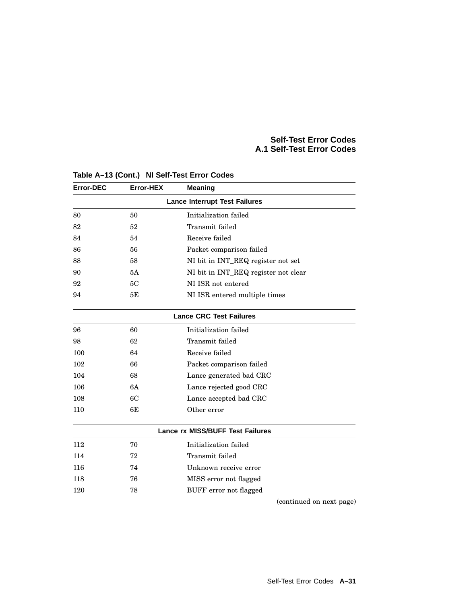| <b>Error-DEC</b> | Error-HEX | <b>Meaning</b>                          |
|------------------|-----------|-----------------------------------------|
|                  |           | <b>Lance Interrupt Test Failures</b>    |
| 80               | 50        | Initialization failed                   |
| 82               | 52        | Transmit failed                         |
| 84               | 54        | Receive failed                          |
| 86               | 56        | Packet comparison failed                |
| 88               | 58        | NI bit in INT_REQ register not set      |
| 90               | 5A        | NI bit in INT_REQ register not clear    |
| 92               | 5C        | NI ISR not entered                      |
| 94               | 5Е        | NI ISR entered multiple times           |
|                  |           | <b>Lance CRC Test Failures</b>          |
| 96               | 60        | Initialization failed                   |
| 98               | 62        | Transmit failed                         |
| 100              | 64        | Receive failed                          |
| 102              | 66        | Packet comparison failed                |
| 104              | 68        | Lance generated bad CRC                 |
| 106              | 6A        | Lance rejected good CRC                 |
| 108              | 6C        | Lance accepted bad CRC                  |
| 110              | 6E        | Other error                             |
|                  |           | <b>Lance rx MISS/BUFF Test Failures</b> |
| 112              | 70        | Initialization failed                   |
| 114              | 72        | Transmit failed                         |
| 116              | 74        | Unknown receive error                   |
| 118              | 76        | MISS error not flagged                  |
| 120              | 78        | BUFF error not flagged                  |
|                  |           | (continued on next page)                |

## **Table A–13 (Cont.) NI Self-Test Error Codes**

Self-Test Error Codes **A–31**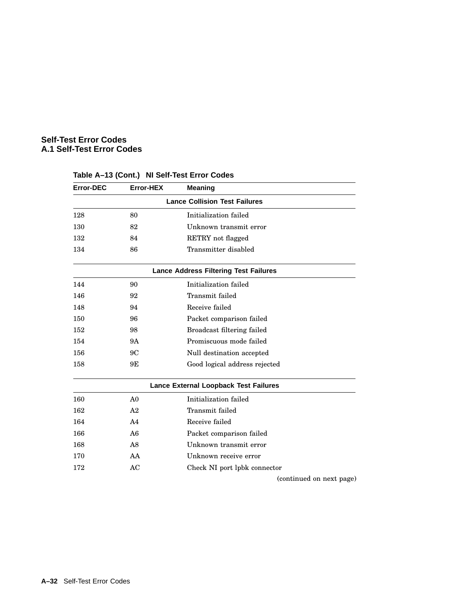| Error-DEC | Error-HEX      | <b>Meaning</b>                               |
|-----------|----------------|----------------------------------------------|
|           |                | <b>Lance Collision Test Failures</b>         |
| 128       | 80             | Initialization failed                        |
| 130       | 82             | Unknown transmit error                       |
| 132       | 84             | RETRY not flagged                            |
| 134       | 86             | Transmitter disabled                         |
|           |                | <b>Lance Address Filtering Test Failures</b> |
| 144       | 90             | Initialization failed                        |
| 146       | 92             | Transmit failed                              |
| 148       | 94             | Receive failed                               |
| 150       | 96             | Packet comparison failed                     |
| 152       | 98             | Broadcast filtering failed                   |
| 154       | 9Α             | Promiscuous mode failed                      |
| 156       | 9C             | Null destination accepted                    |
| 158       | 9Ε             | Good logical address rejected                |
|           |                | Lance External Loopback Test Failures        |
| 160       | A <sub>0</sub> | Initialization failed                        |
| 162       | A <sub>2</sub> | Transmit failed                              |
| 164       | A <sub>4</sub> | Receive failed                               |
| 166       | A6             | Packet comparison failed                     |
| 168       | A8             | Unknown transmit error                       |
| 170       | AA             | Unknown receive error                        |
| 172       | AC             | Check NI port lpbk connector                 |
|           |                | (continued on next page)                     |

## **Table A–13 (Cont.) NI Self-Test Error Codes**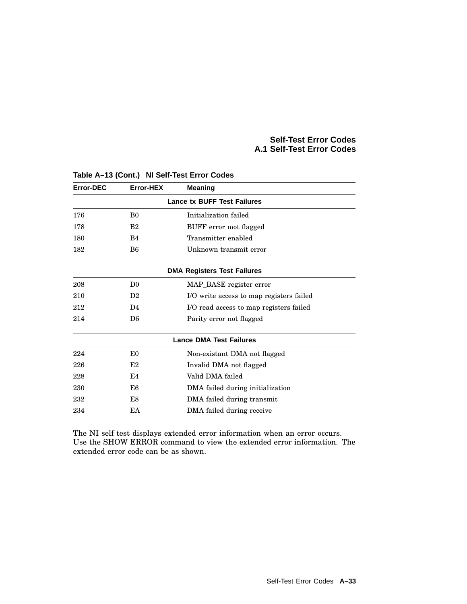| <b>Error-DEC</b> | Error-HEX      | <b>Meaning</b>                           |
|------------------|----------------|------------------------------------------|
|                  |                | <b>Lance tx BUFF Test Failures</b>       |
| 176              | B <sub>0</sub> | Initialization failed                    |
| 178              | B <sub>2</sub> | BUFF error mot flagged                   |
| 180              | B <sub>4</sub> | Transmitter enabled                      |
| 182              | B <sub>6</sub> | Unknown transmit error                   |
|                  |                | <b>DMA Registers Test Failures</b>       |
| 208              | D <sub>0</sub> | MAP_BASE register error                  |
| 210              | D <sub>2</sub> | I/O write access to map registers failed |
| 212              | D <sub>4</sub> | I/O read access to map registers failed  |
| 214              | D <sub>6</sub> | Parity error not flagged                 |
|                  |                | <b>Lance DMA Test Failures</b>           |
| 224              | E <sub>0</sub> | Non-existant DMA not flagged             |
| 226              | E2             | Invalid DMA not flagged                  |
| 228              | E4             | Valid DMA failed                         |
| 230              | E6             | DMA failed during initialization         |
| 232              | E8             | DMA failed during transmit               |
| 234              | EA             | DMA failed during receive                |

## **Table A–13 (Cont.) NI Self-Test Error Codes**

The NI self test displays extended error information when an error occurs. Use the SHOW ERROR command to view the extended error information. The extended error code can be as shown.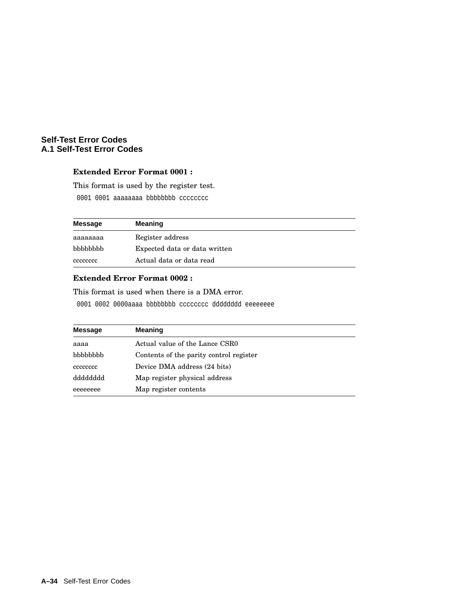## **Extended Error Format 0001 :**

This format is used by the register test.

0001 0001 aaaaaaaa bbbbbbbb cccccccc

| Message         | <b>Meaning</b>                |
|-----------------|-------------------------------|
| aaaaaaaa        | Register address              |
| <b>bbbbbbbb</b> | Expected data or data written |
| cececcec        | Actual data or data read      |

#### **Extended Error Format 0002 :**

This format is used when there is a DMA error.

0001 0002 0000aaaa bbbbbbbb cccccccc dddddddd eeeeeeee

| <b>Message</b> | <b>Meaning</b>                          |
|----------------|-----------------------------------------|
| aaaa           | Actual value of the Lance CSR0          |
| bbbbbbb        | Contents of the parity control register |
| cccccccc       | Device DMA address (24 bits)            |
| dddddddd       | Map register physical address           |
| eeeeeeee       | Map register contents                   |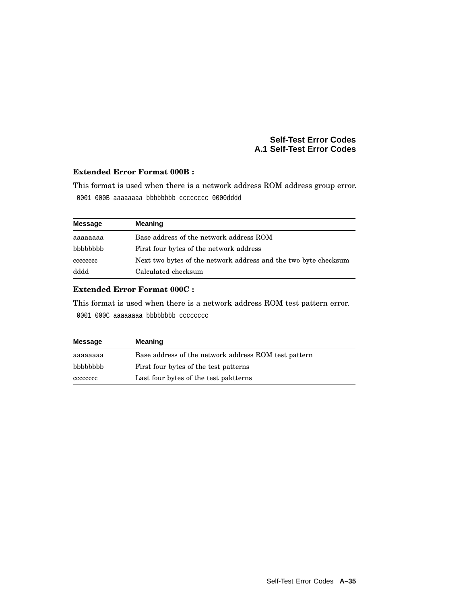## **Extended Error Format 000B :**

This format is used when there is a network address ROM address group error. 0001 000B aaaaaaaa bbbbbbbb cccccccc 0000dddd

| Message  | <b>Meaning</b>                                                  |
|----------|-----------------------------------------------------------------|
| аааааааа | Base address of the network address ROM                         |
| bbbbbbbb | First four bytes of the network address                         |
| cccccccc | Next two bytes of the network address and the two byte checksum |
| dddd     | Calculated checksum                                             |

## **Extended Error Format 000C :**

This format is used when there is a network address ROM test pattern error. 0001 000C aaaaaaaa bbbbbbbbb cccccccc

| Message  | <b>Meaning</b>                                       |  |
|----------|------------------------------------------------------|--|
| aaaaaaaa | Base address of the network address ROM test pattern |  |
| bbbbbbbb | First four bytes of the test patterns                |  |
| cececcec | Last four bytes of the test paktterns                |  |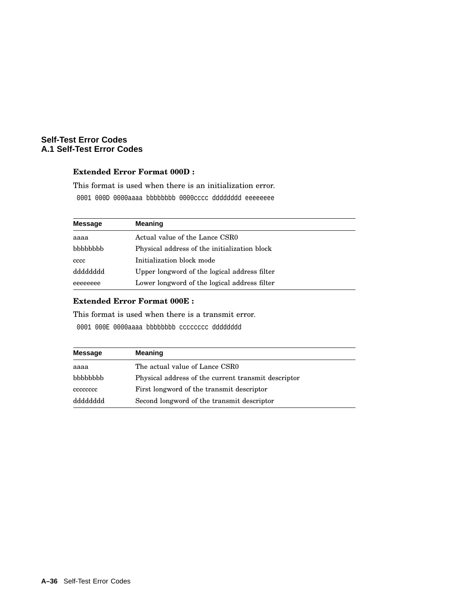#### **Extended Error Format 000D :**

This format is used when there is an initialization error.

0001 000D 0000aaaa bbbbbbbb 0000cccc dddddddd eeeeeeee

| <b>Message</b> | <b>Meaning</b>                               |
|----------------|----------------------------------------------|
| aaaa           | Actual value of the Lance CSR0               |
| bbbbbbbb       | Physical address of the initialization block |
| cccc           | Initialization block mode                    |
| dddddddd       | Upper longword of the logical address filter |
| eeeeeeee       | Lower longword of the logical address filter |

## **Extended Error Format 000E :**

This format is used when there is a transmit error.

0001 000E 0000aaaa bbbbbbbb cccccccc dddddddd

| Message   | <b>Meaning</b>                                      |
|-----------|-----------------------------------------------------|
| aaaa      | The actual value of Lance CSR0                      |
| bbbbbbb   | Physical address of the current transmit descriptor |
| cececcec  | First longword of the transmit descriptor           |
| qqqqqqqqq | Second longword of the transmit descriptor          |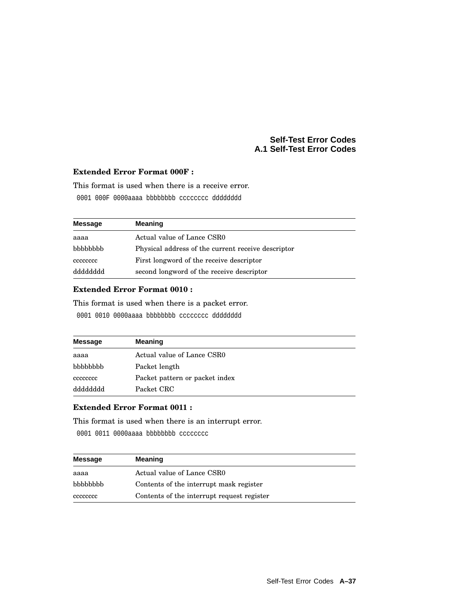## **Extended Error Format 000F :**

This format is used when there is a receive error.

0001 000F 0000aaaa bbbbbbbb cccccccc dddddddd

| <b>Message</b> | <b>Meaning</b>                                     |
|----------------|----------------------------------------------------|
| aaaa           | Actual value of Lance CSR0                         |
| bbbbbbbb       | Physical address of the current receive descriptor |
| cececcec       | First longword of the receive descriptor           |
| dddddddd       | second longword of the receive descriptor          |

## **Extended Error Format 0010 :**

This format is used when there is a packet error.

0001 0010 0000aaaa bbbbbbbb cccccccc dddddddd

| <b>Message</b> | <b>Meaning</b>                 |
|----------------|--------------------------------|
| aaaa           | Actual value of Lance CSR0     |
| bbbbbbb        | Packet length                  |
| cececcec       | Packet pattern or packet index |
| dddddddd       | Packet CRC                     |

## **Extended Error Format 0011 :**

This format is used when there is an interrupt error.

0001 0011 0000aaaa bbbbbbbbb cccccccc

| <b>Message</b> | <b>Meaning</b>                             |
|----------------|--------------------------------------------|
| aaaa           | Actual value of Lance CSR0                 |
| bbbbbbb        | Contents of the interrupt mask register    |
| cccccccc       | Contents of the interrupt request register |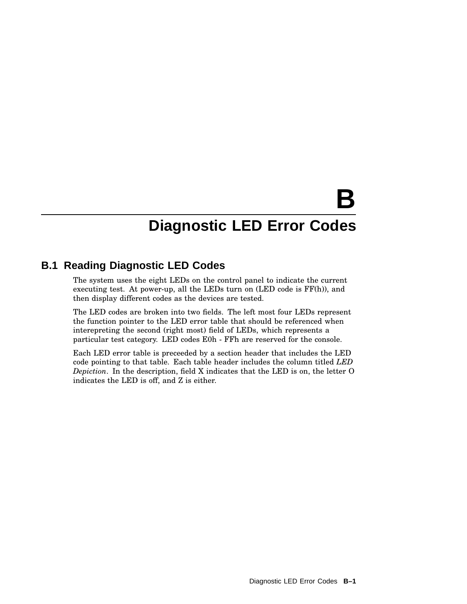# **B**

## **Diagnostic LED Error Codes**

## **B.1 Reading Diagnostic LED Codes**

The system uses the eight LEDs on the control panel to indicate the current executing test. At power-up, all the LEDs turn on (LED code is FF(h)), and then display different codes as the devices are tested.

The LED codes are broken into two fields. The left most four LEDs represent the function pointer to the LED error table that should be referenced when interepreting the second (right most) field of LEDs, which represents a particular test category. LED codes E0h - FFh are reserved for the console.

Each LED error table is preceeded by a section header that includes the LED code pointing to that table. Each table header includes the column titled *LED Depiction*. In the description, field X indicates that the LED is on, the letter O indicates the LED is off, and Z is either.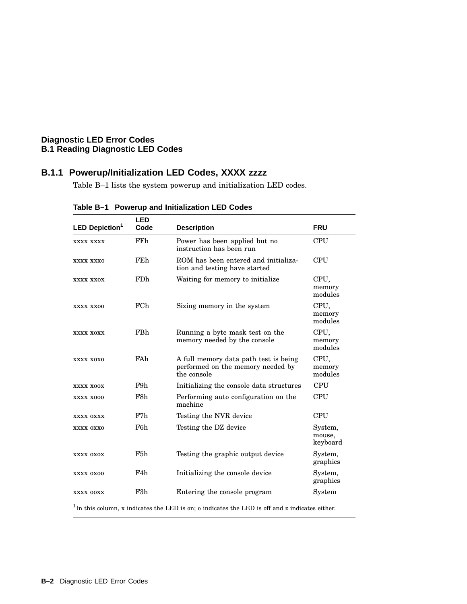## **B.1.1 Powerup/Initialization LED Codes, XXXX zzzz**

Table B–1 lists the system powerup and initialization LED codes.

| <b>LED Depiction<sup>1</sup></b> | <b>LED</b><br>Code | <b>Description</b>                                                                                     | <b>FRU</b>                    |
|----------------------------------|--------------------|--------------------------------------------------------------------------------------------------------|-------------------------------|
| XXXX XXXX                        | FFh                | Power has been applied but no<br>instruction has been run                                              | CPU                           |
| XXXX XXXO                        | FEh                | ROM has been entered and initializa-<br>tion and testing have started                                  | CPU                           |
| XXXX XXOX                        | <b>FDh</b>         | Waiting for memory to initialize.                                                                      | CPU,<br>memory<br>modules     |
| XXXX XX00                        | <b>FCh</b>         | Sizing memory in the system                                                                            | CPU,<br>memory<br>modules     |
| XXXX XOXX                        | FBh                | Running a byte mask test on the<br>memory needed by the console                                        | CPU,<br>memory<br>modules     |
| XXXX XOXO                        | FAh                | A full memory data path test is being<br>performed on the memory needed by<br>the console              | CPU,<br>memory<br>modules     |
| XXXX XOOX                        | F9h                | Initializing the console data structures                                                               | <b>CPU</b>                    |
| XXXX X000                        | F8h                | Performing auto configuration on the<br>machine                                                        | <b>CPU</b>                    |
| XXXX OXXX                        | F7h                | Testing the NVR device                                                                                 | <b>CPU</b>                    |
| XXXX OXXO                        | F6h                | Testing the DZ device                                                                                  | System,<br>mouse,<br>keyboard |
| XXXX OXOX                        | F <sub>5</sub> h   | Testing the graphic output device                                                                      | System,<br>graphics           |
| XXXX 0X00                        | F4h                | Initializing the console device                                                                        | System,<br>graphics           |
| XXXX OOXX                        | F <sub>3</sub> h   | Entering the console program                                                                           | System                        |
|                                  |                    | ${}^{1}$ In this column, x indicates the LED is on; o indicates the LED is off and z indicates either. |                               |

**Table B–1 Powerup and Initialization LED Codes**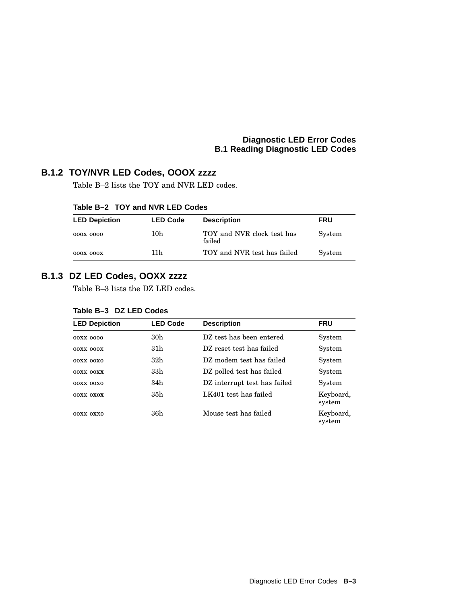## **B.1.2 TOY/NVR LED Codes, OOOX zzzz**

Table B–2 lists the TOY and NVR LED codes.

| <b>LED Depiction</b> | <b>LED Code</b> | <b>Description</b>                   | <b>FRU</b> |
|----------------------|-----------------|--------------------------------------|------------|
| 000X 0000            | 10h             | TOY and NVR clock test has<br>failed | System     |
| 000X 000X            | 11 h            | TOY and NVR test has failed          | System     |

## **Table B–2 TOY and NVR LED Codes**

## **B.1.3 DZ LED Codes, OOXX zzzz**

Table B–3 lists the DZ LED codes.

| Table B-3 DZ LED Codes |
|------------------------|
|                        |

| <b>LED Depiction</b> | <b>LED Code</b> | <b>Description</b>           | <b>FRU</b>          |
|----------------------|-----------------|------------------------------|---------------------|
| 00XX 0000            | 30h             | DZ test has been entered     | System              |
| 00XX 000X            | 31h             | DZ reset test has failed     | System              |
| $00XX$ $00X0$        | 32h             | DZ modem test has failed     | System              |
| <b>OOXX OOXX</b>     | 33h             | DZ polled test has failed    | System              |
| $00XX$ $00X0$        | 34h             | DZ interrupt test has failed | System              |
| OOXX OXOX            | 35h             | LK401 test has failed        | Keyboard,<br>system |
| 00XX 0XX0            | 36h             | Mouse test has failed        | Keyboard,<br>system |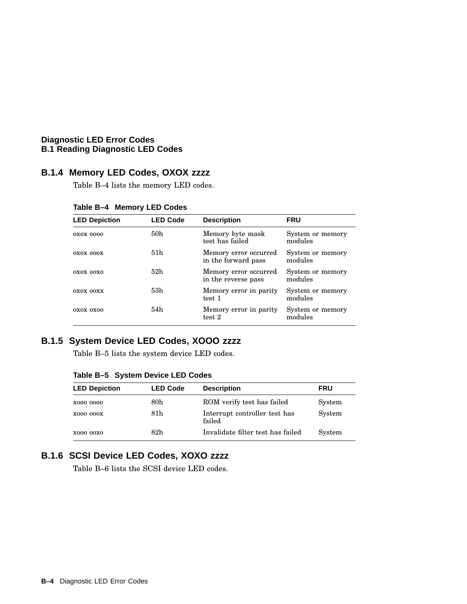## **B.1.4 Memory LED Codes, OXOX zzzz**

Table B–4 lists the memory LED codes.

| <b>LED Depiction</b> | <b>LED Code</b> | <b>Description</b>                           | <b>FRU</b>                  |
|----------------------|-----------------|----------------------------------------------|-----------------------------|
| 0X0X 0000            | 50h             | Memory byte mask<br>test has failed          | System or memory<br>modules |
| OXOX 000X            | 51 <sub>h</sub> | Memory error occurred<br>in the forward pass | System or memory<br>modules |
| OXOX OOXO            | 52h             | Memory error occurred<br>in the reverse pass | System or memory<br>modules |
| OXOX OOXX            | 53h             | Memory error in parity<br>test 1             | System or memory<br>modules |
| OXOX OXOO            | 54h             | Memory error in parity<br>test 2             | System or memory<br>modules |

**Table B–4 Memory LED Codes**

## **B.1.5 System Device LED Codes, XOOO zzzz**

Table B–5 lists the system device LED codes.

| Table B-5 System Device LED Codes |  |  |  |  |
|-----------------------------------|--|--|--|--|
|-----------------------------------|--|--|--|--|

| <b>LED Depiction</b> | <b>LED Code</b> | <b>Description</b>                      | <b>FRU</b> |
|----------------------|-----------------|-----------------------------------------|------------|
| X000 0000            | 80 <sub>h</sub> | ROM verify test has failed              | System     |
| <b>X000 000X</b>     | 81h             | Interrupt controller test has<br>failed | System     |
| X000 00X0            | 82h             | Invalidate filter test has failed       | System     |

## **B.1.6 SCSI Device LED Codes, XOXO zzzz**

Table B–6 lists the SCSI device LED codes.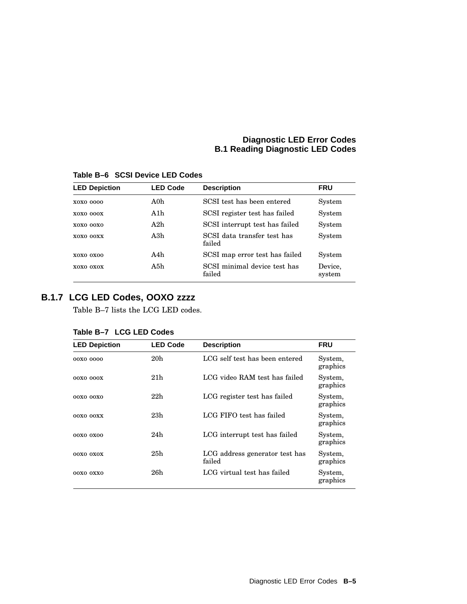| <b>LED Depiction</b> | <b>LED Code</b> | <b>Description</b>                     | <b>FRU</b>        |
|----------------------|-----------------|----------------------------------------|-------------------|
| X0X0 0000            | A0h             | SCSI test has been entered             | System            |
| <b>XOXO 000X</b>     | A1h             | SCSI register test has failed          | System            |
| X0X0 00X0            | A2h             | SCSI interrupt test has failed         | System            |
| XOXO OOXX            | A3h             | SCSI data transfer test has<br>failed  | System            |
| XOXO OXOO            | A4h             | SCSI map error test has failed         | System            |
| xoxo oxox            | A5h             | SCSI minimal device test has<br>failed | Device.<br>system |

**Table B–6 SCSI Device LED Codes**

## **B.1.7 LCG LED Codes, OOXO zzzz**

Table B–7 lists the LCG LED codes.

| <b>LED Depiction</b> | <b>LED Code</b> | <b>Description</b>                       | <b>FRU</b>          |
|----------------------|-----------------|------------------------------------------|---------------------|
| 00X0 0000            | 20 <sub>h</sub> | LCG self test has been entered           | System,<br>graphics |
| 00X0 000X            | 21 <sub>h</sub> | LCG video RAM test has failed            | System,<br>graphics |
| 00X0 00X0            | 22h             | LCG register test has failed             | System,<br>graphics |
| 00X0 00XX            | 23h             | LCG FIFO test has failed                 | System,<br>graphics |
| 00X0 0X00            | 24h             | LCG interrupt test has failed            | System,<br>graphics |
| 00X0 0X0X            | 25h             | LCG address generator test has<br>failed | System,<br>graphics |
| 00X0 0XX0            | 26h             | LCG virtual test has failed              | System,<br>graphics |

## **Table B–7 LCG LED Codes**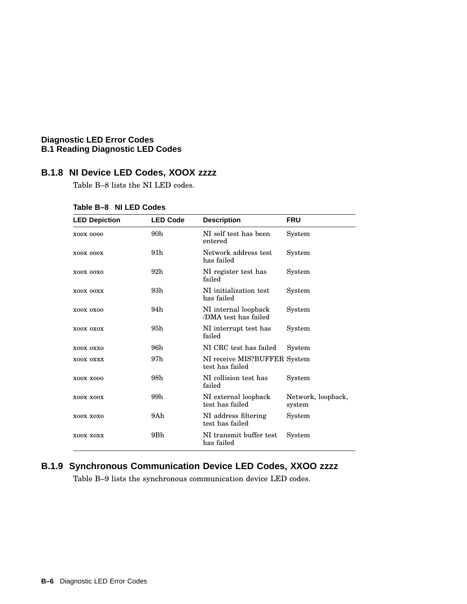## **B.1.8 NI Device LED Codes, XOOX zzzz**

Table B–8 lists the NI LED codes.

| <b>LED Depiction</b> | <b>LED Code</b> | <b>Description</b>                              | <b>FRU</b>                   |
|----------------------|-----------------|-------------------------------------------------|------------------------------|
| X00X 0000            | 90h             | NI self test has been<br>entered                | System                       |
| X00X 000X            | 91h             | Network address test<br>has failed              | System                       |
| XOOX OOXO            | 92 <sub>h</sub> | NI register test has<br>failed                  | System                       |
| XOOX OOXX            | 93h             | NI initialization test<br>has failed            | System                       |
| XOOX OXOO            | 94h             | NI internal loopback<br>/DMA test has failed    | System                       |
| XOOX OXOX            | 95h             | NI interrupt test has<br>failed                 | System                       |
| XOOX OXXO            | 96h             | NI CRC test has failed                          | System                       |
| XOOX OXXX            | 97h             | NI receive MIS?BUFFER System<br>test has failed |                              |
| X00X X000            | 98h             | NI collision test has<br>failed                 | System                       |
| XOOX XOOX            | 99h             | NI external loopback<br>test has failed         | Network, loopback,<br>system |
| XOOX XOXO            | 9Ah             | NI address filtering<br>test has failed         | System                       |
| XOOX XOXX            | 9Bh             | NI transmit buffer test<br>has failed           | System                       |

## **Table B–8 NI LED Codes**

## **B.1.9 Synchronous Communication Device LED Codes, XXOO zzzz**

Table B–9 lists the synchronous communication device LED codes.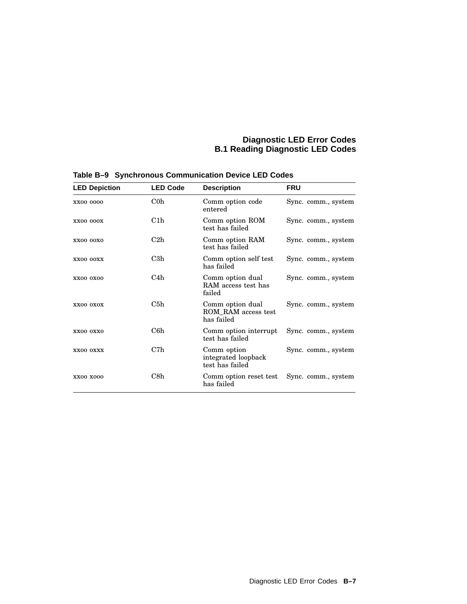| <b>LED Depiction</b> | <b>LED Code</b> | <b>Description</b>                                    | <b>FRU</b>          |
|----------------------|-----------------|-------------------------------------------------------|---------------------|
| XX00 0000            | $\rm{C0h}$      | Comm option code<br>entered                           | Sync. comm., system |
| <b>XX00 000X</b>     | C1h             | Comm option ROM<br>test has failed                    | Sync. comm., system |
| <b>XX00 00X0</b>     | C2h             | Comm option RAM<br>test has failed                    | Sync. comm., system |
| XX00 OOXX            | C3h             | Comm option self test<br>has failed                   | Sync. comm., system |
| <b>XX00 0X00</b>     | C4h             | Comm option dual<br>RAM access test has<br>failed     | Sync. comm., system |
| XX00 OXOX            | C5h             | Comm option dual<br>ROM RAM access test<br>has failed | Sync. comm., system |
| XX00 OXX0            | C6h             | Comm option interrupt<br>test has failed              | Sync. comm., system |
| XX00 OXXX            | C7h             | Comm option<br>integrated loopback<br>test has failed | Sync. comm., system |
| <b>XX00 X000</b>     | C8h             | Comm option reset test<br>has failed                  | Sync. comm., system |

**Table B–9 Synchronous Communication Device LED Codes**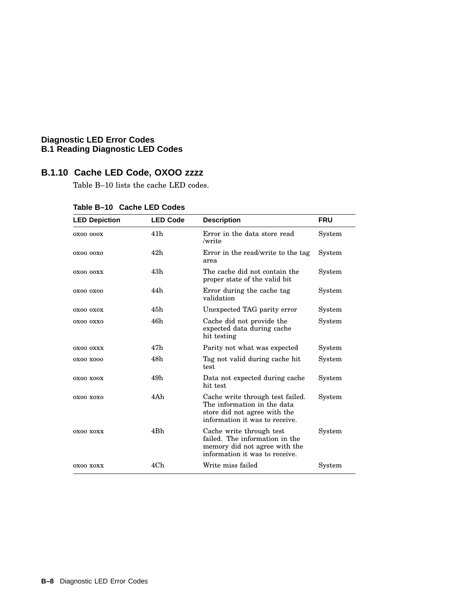## **B.1.10 Cache LED Code, OXOO zzzz**

Table B–10 lists the cache LED codes.

| <b>LED Depiction</b> | <b>LED Code</b> | <b>Description</b>                                                                                                                | <b>FRU</b> |
|----------------------|-----------------|-----------------------------------------------------------------------------------------------------------------------------------|------------|
| 0X00 000X            | 41h             | Error in the data store read<br>/write                                                                                            | System     |
| 0X00 00X0            | 42h             | Error in the read/write to the tag<br>area                                                                                        | System     |
| 0X00 00XX            | 43h             | The cache did not contain the<br>proper state of the valid bit                                                                    | System     |
| 0X00 0X00            | 44h             | Error during the cache tag<br>validation                                                                                          | System     |
| OXOO OXOX            | 45h             | Unexpected TAG parity error                                                                                                       | System     |
| 0X00 0XX0            | 46h             | Cache did not provide the<br>expected data during cache<br>hit testing                                                            | System     |
| OXOO OXXX            | 47h             | Parity not what was expected                                                                                                      | System     |
| 0X00 X000            | 48h             | Tag not valid during cache hit<br>test                                                                                            | System     |
| OXOO XOOX            | 49h             | Data not expected during cache<br>hit test                                                                                        | System     |
| 0X00 X0X0            | 4Ah             | Cache write through test failed.<br>The information in the data<br>store did not agree with the<br>information it was to receive. | System     |
| 0X00 X0XX            | 4Bh             | Cache write through test<br>failed. The information in the<br>memory did not agree with the<br>information it was to receive.     | System     |
| 0X00 X0XX            | 4Ch             | Write miss failed                                                                                                                 | System     |

| Table B-10 Cache LED Codes |  |
|----------------------------|--|
|                            |  |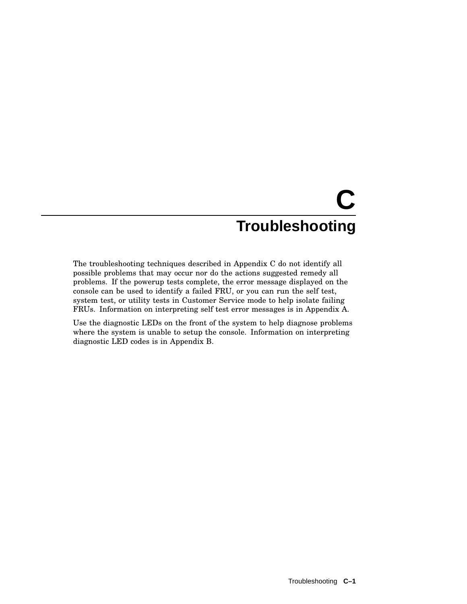# **C Troubleshooting**

The troubleshooting techniques described in Appendix C do not identify all possible problems that may occur nor do the actions suggested remedy all problems. If the powerup tests complete, the error message displayed on the console can be used to identify a failed FRU, or you can run the self test, system test, or utility tests in Customer Service mode to help isolate failing FRUs. Information on interpreting self test error messages is in Appendix A.

Use the diagnostic LEDs on the front of the system to help diagnose problems where the system is unable to setup the console. Information on interpreting diagnostic LED codes is in Appendix B.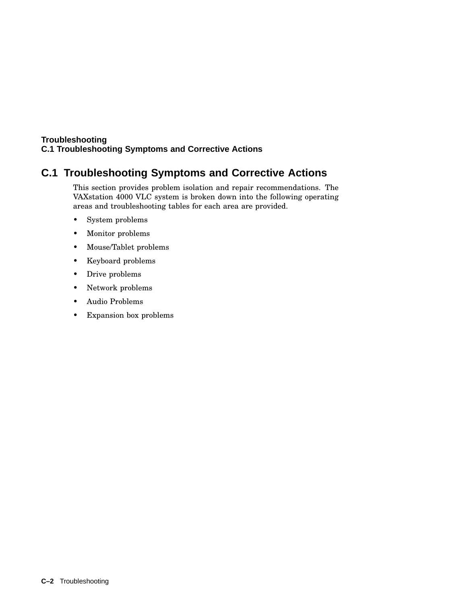## **C.1 Troubleshooting Symptoms and Corrective Actions**

This section provides problem isolation and repair recommendations. The VAXstation 4000 VLC system is broken down into the following operating areas and troubleshooting tables for each area are provided.

- System problems
- Monitor problems
- Mouse/Tablet problems
- Keyboard problems
- Drive problems
- Network problems
- Audio Problems
- Expansion box problems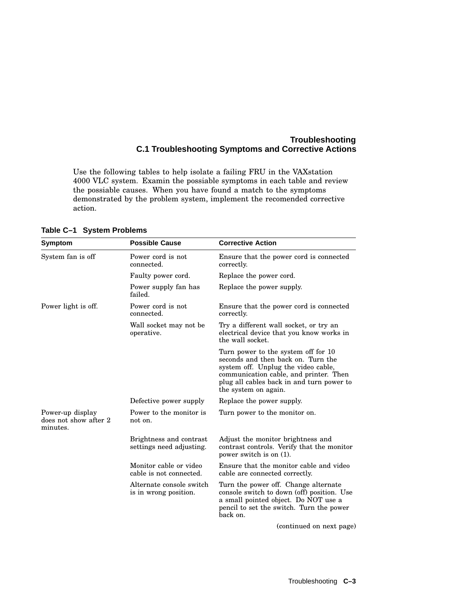Use the following tables to help isolate a failing FRU in the VAXstation 4000 VLC system. Examin the possiable symptoms in each table and review the possiable causes. When you have found a match to the symptoms demonstrated by the problem system, implement the recomended corrective action.

| Symptom                                               | <b>Possible Cause</b>                               | <b>Corrective Action</b>                                                                                                                                                                                                        |
|-------------------------------------------------------|-----------------------------------------------------|---------------------------------------------------------------------------------------------------------------------------------------------------------------------------------------------------------------------------------|
| System fan is off                                     | Power cord is not<br>connected.                     | Ensure that the power cord is connected<br>correctly.                                                                                                                                                                           |
|                                                       | Faulty power cord.                                  | Replace the power cord.                                                                                                                                                                                                         |
|                                                       | Power supply fan has<br>failed.                     | Replace the power supply.                                                                                                                                                                                                       |
| Power light is off.                                   | Power cord is not<br>connected.                     | Ensure that the power cord is connected<br>correctly.                                                                                                                                                                           |
|                                                       | Wall socket may not be<br>operative.                | Try a different wall socket, or try an<br>electrical device that you know works in<br>the wall socket.                                                                                                                          |
|                                                       |                                                     | Turn power to the system off for 10<br>seconds and then back on. Turn the<br>system off. Unplug the video cable,<br>communication cable, and printer. Then<br>plug all cables back in and turn power to<br>the system on again. |
|                                                       | Defective power supply                              | Replace the power supply.                                                                                                                                                                                                       |
| Power-up display<br>does not show after 2<br>minutes. | Power to the monitor is<br>not on.                  | Turn power to the monitor on.                                                                                                                                                                                                   |
|                                                       | Brightness and contrast<br>settings need adjusting. | Adjust the monitor brightness and<br>contrast controls. Verify that the monitor<br>power switch is on $(1)$ .                                                                                                                   |
|                                                       | Monitor cable or video<br>cable is not connected.   | Ensure that the monitor cable and video<br>cable are connected correctly.                                                                                                                                                       |
|                                                       | Alternate console switch<br>is in wrong position.   | Turn the power off. Change alternate<br>console switch to down (off) position. Use<br>a small pointed object. Do NOT use a<br>pencil to set the switch. Turn the power<br>back on.                                              |
|                                                       |                                                     | (continued on next page)                                                                                                                                                                                                        |

**Table C–1 System Problems**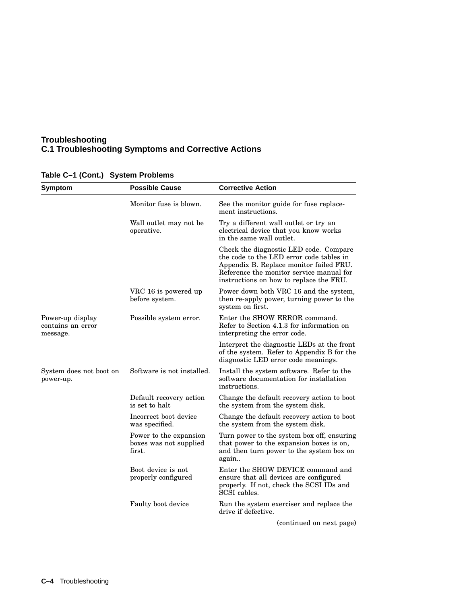| <b>Symptom</b>                                    | <b>Possible Cause</b>                                      | <b>Corrective Action</b>                                                                                                                                                                                             |
|---------------------------------------------------|------------------------------------------------------------|----------------------------------------------------------------------------------------------------------------------------------------------------------------------------------------------------------------------|
|                                                   | Monitor fuse is blown.                                     | See the monitor guide for fuse replace-<br>ment instructions.                                                                                                                                                        |
|                                                   | Wall outlet may not be<br>operative.                       | Try a different wall outlet or try an<br>electrical device that you know works<br>in the same wall outlet.                                                                                                           |
|                                                   |                                                            | Check the diagnostic LED code. Compare<br>the code to the LED error code tables in<br>Appendix B. Replace monitor failed FRU.<br>Reference the monitor service manual for<br>instructions on how to replace the FRU. |
|                                                   | VRC 16 is powered up<br>before system.                     | Power down both VRC 16 and the system,<br>then re-apply power, turning power to the<br>system on first.                                                                                                              |
| Power-up display<br>contains an error<br>message. | Possible system error.                                     | Enter the SHOW ERROR command.<br>Refer to Section 4.1.3 for information on<br>interpreting the error code.                                                                                                           |
|                                                   |                                                            | Interpret the diagnostic LEDs at the front<br>of the system. Refer to Appendix B for the<br>diagnostic LED error code meanings.                                                                                      |
| System does not boot on<br>power-up.              | Software is not installed.                                 | Install the system software. Refer to the<br>software documentation for installation<br>instructions.                                                                                                                |
|                                                   | Default recovery action<br>is set to halt                  | Change the default recovery action to boot<br>the system from the system disk.                                                                                                                                       |
|                                                   | Incorrect boot device<br>was specified.                    | Change the default recovery action to boot<br>the system from the system disk.                                                                                                                                       |
|                                                   | Power to the expansion<br>boxes was not supplied<br>first. | Turn power to the system box off, ensuring<br>that power to the expansion boxes is on,<br>and then turn power to the system box on<br>again                                                                          |
|                                                   | Boot device is not<br>properly configured                  | Enter the SHOW DEVICE command and<br>ensure that all devices are configured<br>properly. If not, check the SCSI IDs and<br>SCSI cables.                                                                              |
|                                                   | Faulty boot device                                         | Run the system exerciser and replace the<br>drive if defective.                                                                                                                                                      |
|                                                   |                                                            | (continued on next page)                                                                                                                                                                                             |

## **Table C–1 (Cont.) System Problems**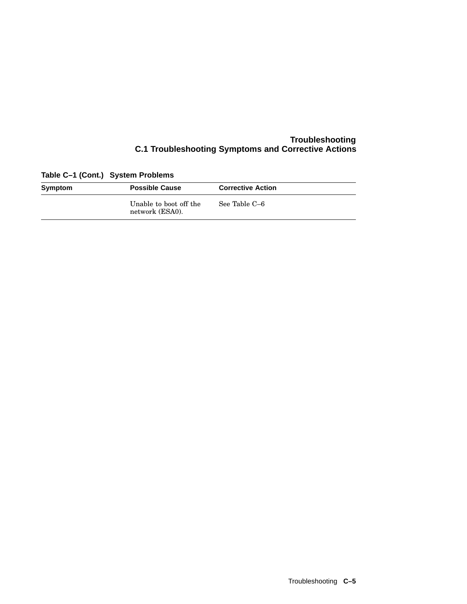| Table C-1 (Cont.) System Problems |                                           |                          |  |
|-----------------------------------|-------------------------------------------|--------------------------|--|
| Symptom                           | <b>Possible Cause</b>                     | <b>Corrective Action</b> |  |
|                                   | Unable to boot off the<br>network (ESA0). | See Table C–6            |  |

**Table C–1 (Cont.) System Problems**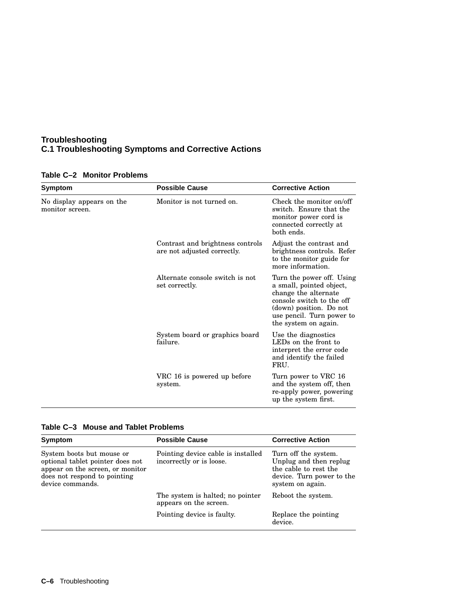| Symptom                                      | <b>Possible Cause</b>                                           | <b>Corrective Action</b>                                                                                                                                                                   |
|----------------------------------------------|-----------------------------------------------------------------|--------------------------------------------------------------------------------------------------------------------------------------------------------------------------------------------|
| No display appears on the<br>monitor screen. | Monitor is not turned on.                                       | Check the monitor on/off<br>switch. Ensure that the<br>monitor power cord is<br>connected correctly at<br>both ends.                                                                       |
|                                              | Contrast and brightness controls<br>are not adjusted correctly. | Adjust the contrast and<br>brightness controls. Refer<br>to the monitor guide for<br>more information.                                                                                     |
|                                              | Alternate console switch is not<br>set correctly.               | Turn the power off. Using<br>a small, pointed object,<br>change the alternate<br>console switch to the off<br>(down) position. Do not<br>use pencil. Turn power to<br>the system on again. |
|                                              | System board or graphics board<br>failure.                      | Use the diagnostics<br>LEDs on the front to<br>interpret the error code<br>and identify the failed<br>FRU.                                                                                 |
|                                              | VRC 16 is powered up before<br>system.                          | Turn power to VRC 16<br>and the system off, then<br>re-apply power, powering<br>up the system first.                                                                                       |

## **Table C–2 Monitor Problems**

## **Table C–3 Mouse and Tablet Problems**

| Symptom                                                                                                                                               | <b>Possible Cause</b>                                          | <b>Corrective Action</b>                                                                                                 |
|-------------------------------------------------------------------------------------------------------------------------------------------------------|----------------------------------------------------------------|--------------------------------------------------------------------------------------------------------------------------|
| System boots but mouse or<br>optional tablet pointer does not<br>appear on the screen, or monitor<br>does not respond to pointing<br>device commands. | Pointing device cable is installed<br>incorrectly or is loose. | Turn off the system.<br>Unplug and then replug<br>the cable to rest the<br>device. Turn power to the<br>system on again. |
|                                                                                                                                                       | The system is halted; no pointer<br>appears on the screen.     | Reboot the system.                                                                                                       |
|                                                                                                                                                       | Pointing device is faulty.                                     | Replace the pointing<br>device.                                                                                          |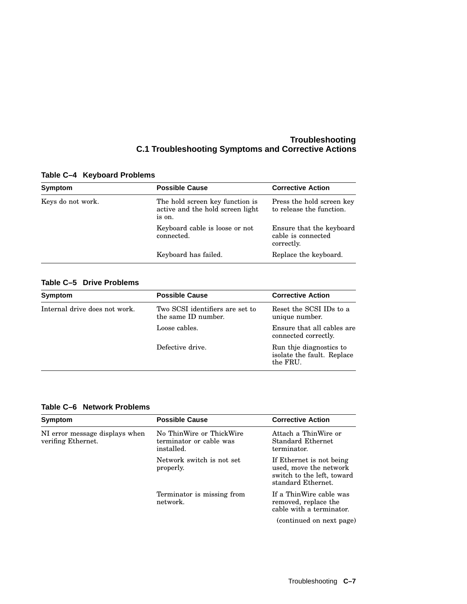| <b>Possible Cause</b>                                                         | <b>Corrective Action</b>                                     |
|-------------------------------------------------------------------------------|--------------------------------------------------------------|
| The hold screen key function is<br>active and the hold screen light<br>is on. | Press the hold screen key<br>to release the function.        |
| Keyboard cable is loose or not<br>connected.                                  | Ensure that the keyboard<br>cable is connected<br>correctly. |
| Keyboard has failed.                                                          | Replace the keyboard.                                        |
|                                                                               |                                                              |

## **Table C–4 Keyboard Problems**

## **Table C–5 Drive Problems**

| Symptom                       | <b>Possible Cause</b>                                  | <b>Corrective Action</b>                                          |
|-------------------------------|--------------------------------------------------------|-------------------------------------------------------------------|
| Internal drive does not work. | Two SCSI identifiers are set to<br>the same ID number. | Reset the SCSI IDs to a<br>unique number.                         |
|                               | Loose cables.                                          | Ensure that all cables are<br>connected correctly.                |
|                               | Defective drive.                                       | Run thje diagnostics to<br>isolate the fault. Replace<br>the FRU. |

## **Table C–6 Network Problems**

| Symptom                                              | <b>Possible Cause</b>                                             | <b>Corrective Action</b>                                                                               |
|------------------------------------------------------|-------------------------------------------------------------------|--------------------------------------------------------------------------------------------------------|
| NI error message displays when<br>verifing Ethernet. | No ThinWire or ThickWire<br>terminator or cable was<br>installed. | Attach a ThinWire or<br>Standard Ethernet<br>terminator.                                               |
|                                                      | Network switch is not set<br>properly.                            | If Ethernet is not being<br>used, move the network<br>switch to the left, toward<br>standard Ethernet. |
|                                                      | Terminator is missing from<br>network.                            | If a ThinWire cable was<br>removed, replace the<br>cable with a terminator.                            |
|                                                      |                                                                   | (continued on next page)                                                                               |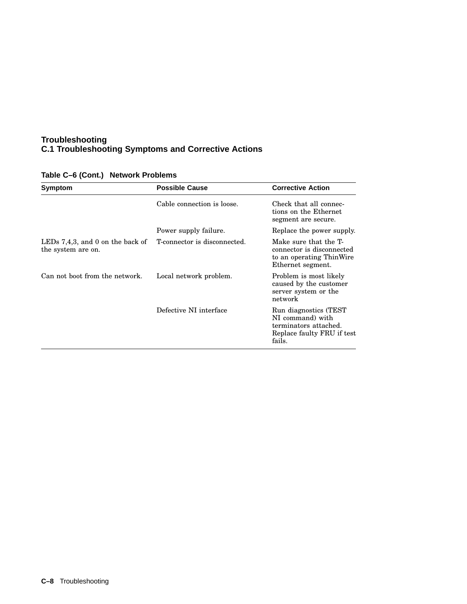| Symptom                                                   | <b>Possible Cause</b>        | <b>Corrective Action</b>                                                                                    |
|-----------------------------------------------------------|------------------------------|-------------------------------------------------------------------------------------------------------------|
|                                                           | Cable connection is loose.   | Check that all connec-<br>tions on the Ethernet<br>segment are secure.                                      |
|                                                           | Power supply failure.        | Replace the power supply.                                                                                   |
| LEDs $7,4,3$ , and 0 on the back of<br>the system are on. | T-connector is disconnected. | Make sure that the T-<br>connector is disconnected<br>to an operating Thin Wire<br>Ethernet segment.        |
| Can not boot from the network.                            | Local network problem.       | Problem is most likely<br>caused by the customer<br>server system or the<br>network                         |
|                                                           | Defective NI interface       | Run diagnostics (TEST)<br>NI command) with<br>terminators attached.<br>Replace faulty FRU if test<br>fails. |

## **Table C–6 (Cont.) Network Problems**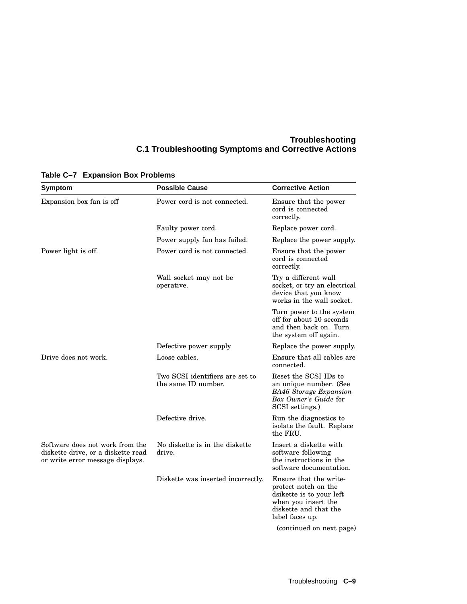| Symptom                                                                                                   | <b>Possible Cause</b>                                  | <b>Corrective Action</b>                                                                                                                      |
|-----------------------------------------------------------------------------------------------------------|--------------------------------------------------------|-----------------------------------------------------------------------------------------------------------------------------------------------|
| Expansion box fan is off                                                                                  | Power cord is not connected.                           | Ensure that the power<br>cord is connected<br>correctly.                                                                                      |
|                                                                                                           | Faulty power cord.                                     | Replace power cord.                                                                                                                           |
|                                                                                                           | Power supply fan has failed.                           | Replace the power supply.                                                                                                                     |
| Power light is off.                                                                                       | Power cord is not connected.                           | Ensure that the power<br>cord is connected<br>correctly.                                                                                      |
|                                                                                                           | Wall socket may not be<br>operative.                   | Try a different wall<br>socket, or try an electrical<br>device that you know<br>works in the wall socket.                                     |
|                                                                                                           |                                                        | Turn power to the system<br>off for about 10 seconds<br>and then back on. Turn<br>the system off again.                                       |
|                                                                                                           | Defective power supply                                 | Replace the power supply.                                                                                                                     |
| Drive does not work.                                                                                      | Loose cables.                                          | Ensure that all cables are<br>connected.                                                                                                      |
|                                                                                                           | Two SCSI identifiers are set to<br>the same ID number. | Reset the SCSI IDs to<br>an unique number. (See<br><b>BA46</b> Storage Expansion<br>Box Owner's Guide for<br>SCSI settings.)                  |
|                                                                                                           | Defective drive.                                       | Run the diagnostics to<br>isolate the fault. Replace<br>the FRU.                                                                              |
| Software does not work from the<br>diskette drive, or a diskette read<br>or write error message displays. | No diskette is in the diskette<br>drive.               | Insert a diskette with<br>software following<br>the instructions in the<br>software documentation.                                            |
|                                                                                                           | Diskette was inserted incorrectly.                     | Ensure that the write-<br>protect notch on the<br>dsikette is to your left<br>when you insert the<br>diskette and that the<br>label faces up. |
|                                                                                                           |                                                        | (continued on next page)                                                                                                                      |

## **Table C–7 Expansion Box Problems**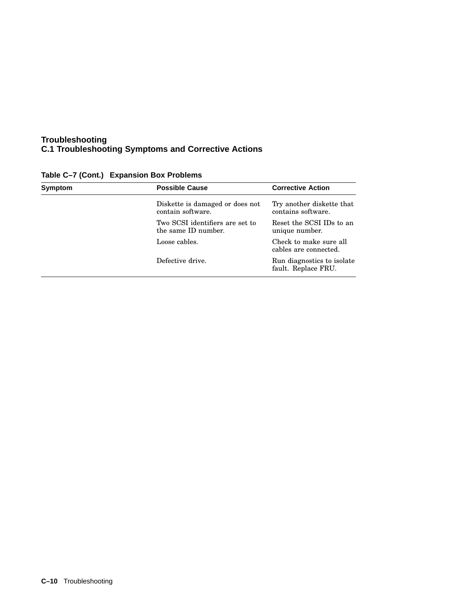| <b>Possible Cause</b>                                  | <b>Corrective Action</b>                          |
|--------------------------------------------------------|---------------------------------------------------|
| Diskette is damaged or does not<br>contain software.   | Try another diskette that<br>contains software.   |
| Two SCSI identifiers are set to<br>the same ID number. | Reset the SCSI IDs to an<br>unique number.        |
| Loose cables.                                          | Check to make sure all<br>cables are connected.   |
| Defective drive.                                       | Run diagnostics to isolate<br>fault. Replace FRU. |
|                                                        |                                                   |

**Table C–7 (Cont.) Expansion Box Problems**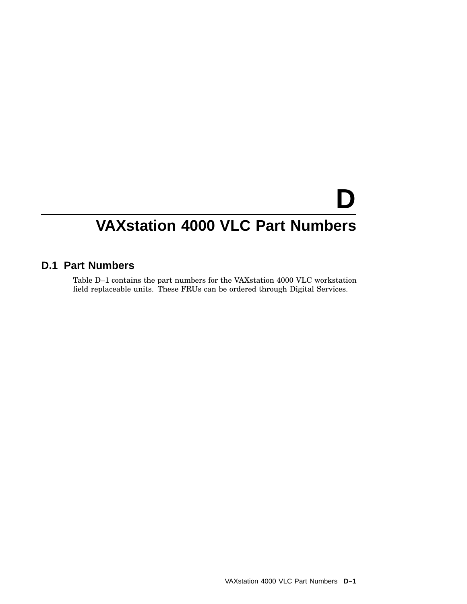# **D**

## **VAXstation 4000 VLC Part Numbers**

## **D.1 Part Numbers**

Table D–1 contains the part numbers for the VAXstation 4000 VLC workstation field replaceable units. These FRUs can be ordered through Digital Services.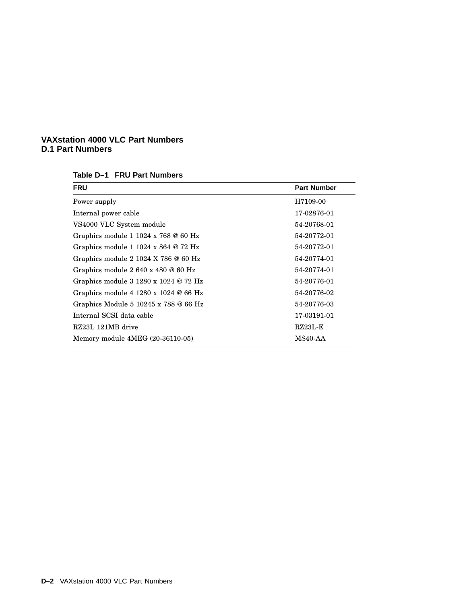| Table D-1 FRU Part Numbers |  |  |
|----------------------------|--|--|
|----------------------------|--|--|

| <b>FRU</b>                                                                    | <b>Part Number</b> |
|-------------------------------------------------------------------------------|--------------------|
| Power supply                                                                  | H7109-00           |
| Internal power cable                                                          | 17-02876-01        |
| VS4000 VLC System module                                                      | 54-20768-01        |
| Graphics module $11024 \times 768$ @ 60 Hz                                    | 54-20772-01        |
| Graphics module 1 1024 x 864 @ 72 Hz                                          | 54-20772-01        |
| Graphics module $21024 \text{ X } 786 \text{ } \textcircled{6} 60 \text{ Hz}$ | 54-20774-01        |
| Graphics module $2640 \times 480$ @ 60 Hz                                     | 54-20774-01        |
| Graphics module $3\ 1280 \times 1024 \otimes 72$ Hz                           | 54-20776-01        |
| Graphics module $4\,1280 \times 1024 \otimes 66$ Hz                           | 54-20776-02        |
| Graphics Module 5 10245 x 788 @ 66 Hz                                         | 54-20776-03        |
| Internal SCSI data cable                                                      | 17-03191-01        |
| RZ23L 121MB drive                                                             | $RZ23L-E$          |
| Memory module $4MEG (20-36110-05)$                                            | MS40-AA            |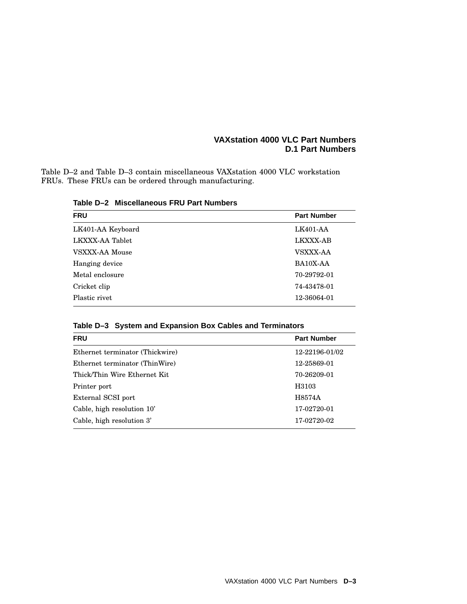Table D–2 and Table D–3 contain miscellaneous VAXstation 4000 VLC workstation FRUs. These FRUs can be ordered through manufacturing.

| <b>FRU</b>        | <b>Part Number</b> |
|-------------------|--------------------|
| LK401-AA Keyboard | LK401-AA           |
| LKXXX-AA Tablet   | <b>LKXXX-AB</b>    |
| VSXXX-AA Mouse    | <b>VSXXX-AA</b>    |
| Hanging device    | BA10X-AA           |
| Metal enclosure   | 70-29792-01        |
| Cricket clip      | 74-43478-01        |
| Plastic rivet     | 12-36064-01        |
|                   |                    |

**Table D–2 Miscellaneous FRU Part Numbers**

**Table D–3 System and Expansion Box Cables and Terminators**

| <b>FRU</b>                      | <b>Part Number</b> |  |
|---------------------------------|--------------------|--|
| Ethernet terminator (Thickwire) | 12-22196-01/02     |  |
| Ethernet terminator (ThinWire)  | 12-25869-01        |  |
| Thick/Thin Wire Ethernet Kit    | 70-26209-01        |  |
| Printer port                    | H3103              |  |
| External SCSI port              | H8574A             |  |
| Cable, high resolution 10'      | 17-02720-01        |  |
| Cable, high resolution 3'       | 17-02720-02        |  |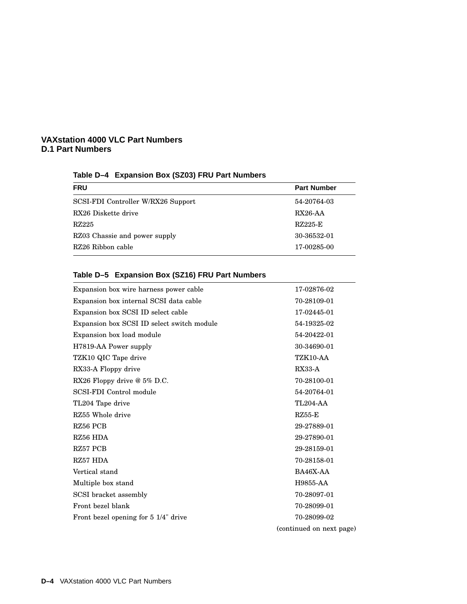## **Table D–4 Expansion Box (SZ03) FRU Part Numbers**

| <b>FRU</b>                         | <b>Part Number</b> |
|------------------------------------|--------------------|
| SCSI-FDI Controller W/RX26 Support | 54-20764-03        |
| RX26 Diskette drive                | $RX26-AA$          |
| RZ225                              | RZ225-E            |
| RZ03 Chassie and power supply      | 30-36532-01        |
| RZ26 Ribbon cable                  | 17-00285-00        |

## **Table D–5 Expansion Box (SZ16) FRU Part Numbers**

| Expansion box wire harness power cable     | 17-02876-02              |
|--------------------------------------------|--------------------------|
| Expansion box internal SCSI data cable     | 70-28109-01              |
| Expansion box SCSI ID select cable         | 17-02445-01              |
| Expansion box SCSI ID select switch module | 54-19325-02              |
| Expansion box load module                  | 54-20422-01              |
| H7819-AA Power supply                      | 30-34690-01              |
| TZK10 QIC Tape drive                       | TZK10-AA                 |
| RX33-A Floppy drive                        | $RX33-A$                 |
| RX26 Floppy drive @ 5% D.C.                | 70-28100-01              |
| SCSI-FDI Control module                    | 54-20764-01              |
| TL204 Tape drive                           | <b>TL204-AA</b>          |
| RZ55 Whole drive                           | $RZ55-E$                 |
| RZ56 PCB                                   | 29-27889-01              |
| RZ56 HDA                                   | 29-27890-01              |
| RZ57 PCB                                   | 29-28159-01              |
| RZ57 HDA                                   | 70-28158-01              |
| Vertical stand                             | BA46X-AA                 |
| Multiple box stand                         | H9855-AA                 |
| SCSI bracket assembly                      | 70-28097-01              |
| Front bezel blank                          | 70-28099-01              |
| Front bezel opening for 5 1/4" drive       | 70-28099-02              |
|                                            | (continued on next page) |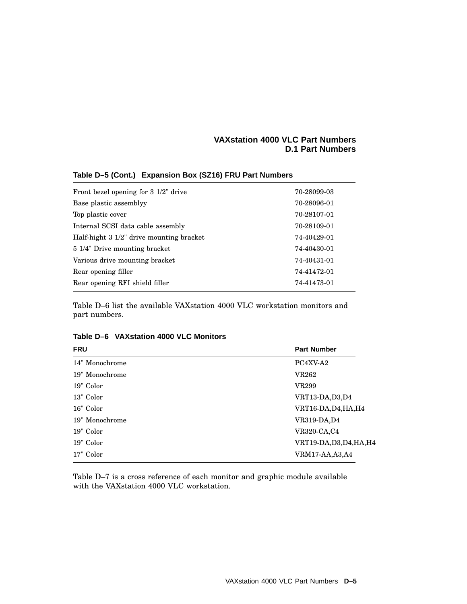| Front bezel opening for $3\frac{1}{2}$ drive | 70-28099-03 |
|----------------------------------------------|-------------|
| Base plastic assemblyy                       | 70-28096-01 |
| Top plastic cover                            | 70-28107-01 |
| Internal SCSI data cable assembly            | 70-28109-01 |
| Half-hight 3 1/2" drive mounting bracket     | 74-40429-01 |
| 5 1/4" Drive mounting bracket                | 74-40430-01 |
| Various drive mounting bracket               | 74-40431-01 |
| Rear opening filler                          | 74-41472-01 |
| Rear opening RFI shield filler               | 74-41473-01 |
|                                              |             |

#### **Table D–5 (Cont.) Expansion Box (SZ16) FRU Part Numbers**

Table D–6 list the available VAXstation 4000 VLC workstation monitors and part numbers.

| <b>FRU</b>     | <b>Part Number</b>       |
|----------------|--------------------------|
| 14" Monochrome | PC4XV-A2                 |
| 19" Monochrome | <b>VR262</b>             |
| 19" Color      | VR299                    |
| 13" Color      | VRT13-DA, D3, D4         |
| 16" Color      | VRT16-DA, D4, HA, H4     |
| 19" Monochrome | VR319-DA,D4              |
| 19" Color      | <b>VR320-CA,C4</b>       |
| 19" Color      | VRT19-DA, D3, D4, HA, H4 |
| 17" Color      | <b>VRM17-AA,A3,A4</b>    |

**Table D–6 VAXstation 4000 VLC Monitors**

Table D–7 is a cross reference of each monitor and graphic module available with the VAXstation 4000 VLC workstation.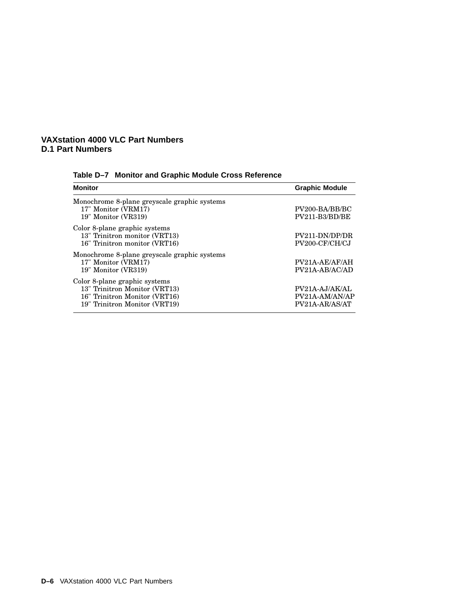#### **VAXstation 4000 VLC Part Numbers D.1 Part Numbers**

| Table D-7 Monitor and Graphic Module Cross Reference |  |
|------------------------------------------------------|--|

| MONITOR                                                                                                                          | Graphic Module                                       |  |
|----------------------------------------------------------------------------------------------------------------------------------|------------------------------------------------------|--|
| Monochrome 8-plane greyscale graphic systems<br>17" Monitor (VRM17)<br>19" Monitor (VR319)                                       | PV200-BA/BB/BC<br>PV211-B3/BD/BE                     |  |
| Color 8-plane graphic systems<br>13" Trinitron monitor (VRT13)<br>16" Trinitron monitor (VRT16)                                  | PV211-DN/DP/DR<br>PV200-CF/CH/CJ                     |  |
| Monochrome 8-plane greyscale graphic systems<br>17" Monitor (VRM17)<br>19" Monitor (VR319)                                       | PV21A-AE/AF/AH<br>PV21A-AB/AC/AD                     |  |
| Color 8-plane graphic systems<br>13" Trinitron Monitor (VRT13)<br>16" Trinitron Monitor (VRT16)<br>19" Trinitron Monitor (VRT19) | $PV21A-AJ/AK/AL$<br>PV21A-AM/AN/AP<br>PV21A-AR/AS/AT |  |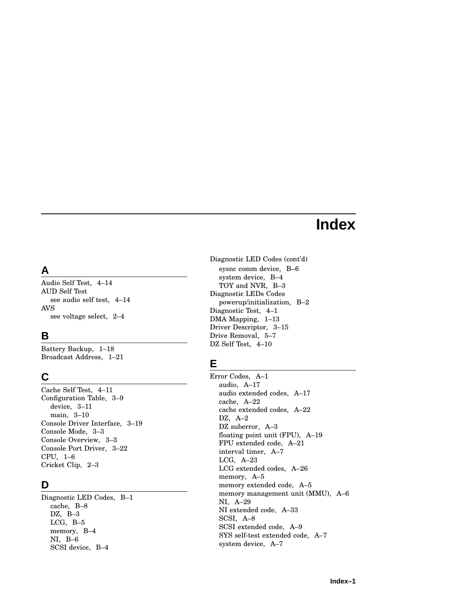# **Index**

## **A**

Audio Self Test, 4–14 AUD Self Test see audio self test, 4–14 AVS see voltage select, 2–4

# **B**

Battery Backup, 1–18 Broadcast Address, 1–21

## **C**

Cache Self Test, 4–1 1 Configuration Table, 3–9 device, 3–1 1 main, 3–10 Console Driver Interface, 3–19 Console Mode, 3–3 Console Overview, 3–3 Console Port Driver, 3–22 CPU, 1–6 Cricket Clip, 2–3

# **D**

Diagnostic LED Codes, B–1 cache, B–8 DZ, B–3 LCG, B–5 memory, B–4 NI, B–6 SCSI device, B–4

Diagnostic LED Codes (cont'd ) sysn c comm device, B–6 system device, B–4 TOY and NVR, B–3 Diagnostic LEDs Codes powerup/initialization, B–2 Diagnostic Test, 4–1 DMA Mapping, 1–13 Driver Descriptor, 3–15 Drive Removal, 5–7 DZ Self Test, 4–10

# **E**

Error Codes, A–1 audio, A–17 audio extended codes, A–17 cache, A–22 cache extended codes, A–22 DZ, A–2 DZ suberror, A–3 floating point unit (FPU), A–19 FPU extended code, A–21 interval timer, A–7 LCG, A–23 LCG extended codes, A–26 memory, A–5 memory extended code, A–5 memory management unit (MMU), A–6 NI, A–29 NI extended code, A–33 SCSI, A–8 SCSI extended code, A–9 SYS self-test extended code, A–7 system device, A–7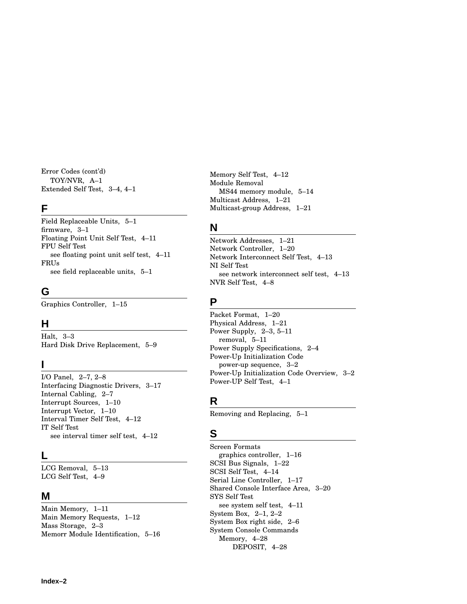Error Codes (cont'd) TOY/NVR, A–1 Extended Self Test, 3–4, 4–1

#### **F**

Field Replaceable Units, 5–1 firmware, 3–1 Floating Point Unit Self Test, 4–11 FPU Self Test see floating point unit self test, 4–11 FRUs see field replaceable units, 5–1

## **G**

Graphics Controller, 1–15

## **H**

Halt, 3–3 Hard Disk Drive Replacement, 5–9

## **I**

I/O Panel, 2–7, 2–8 Interfacing Diagnostic Drivers, 3–17 Internal Cabling, 2–7 Interrupt Sources, 1–10 Interrupt Vector, 1–10 Interval Timer Self Test, 4–12 IT Self Test see interval timer self test, 4–12

#### **L**

LCG Removal, 5–13 LCG Self Test, 4–9

#### **M**

Main Memory, 1–11 Main Memory Requests, 1–12 Mass Storage, 2–3 Memorr Module Identification, 5–16 Memory Self Test, 4–12 Module Removal MS44 memory module, 5–14 Multicast Address, 1–21 Multicast-group Address, 1–21

## **N**

Network Addresses, 1–21 Network Controller, 1–20 Network Interconnect Self Test, 4–13 NI Self Test see network interconnect self test, 4–13 NVR Self Test, 4–8

## **P**

Packet Format, 1–20 Physical Address, 1–21 Power Supply, 2–3, 5–11 removal, 5–11 Power Supply Specifications, 2–4 Power-Up Initialization Code power-up sequence, 3–2 Power-Up Initialization Code Overview, 3–2 Power-UP Self Test, 4–1

## **R**

Removing and Replacing, 5–1

## **S**

Screen Formats graphics controller, 1–16 SCSI Bus Signals, 1–22 SCSI Self Test, 4–14 Serial Line Controller, 1–17 Shared Console Interface Area, 3–20 SYS Self Test see system self test, 4–11 System Box, 2–1, 2–2 System Box right side, 2–6 System Console Commands Memory, 4–28 DEPOSIT, 4–28